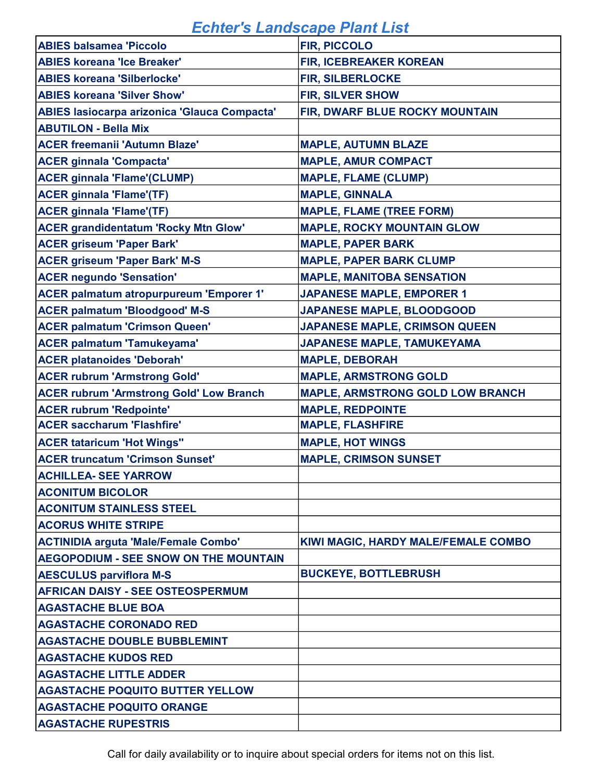| <b>ABIES balsamea 'Piccolo</b>                      | <b>FIR, PICCOLO</b>                     |
|-----------------------------------------------------|-----------------------------------------|
| <b>ABIES koreana 'Ice Breaker'</b>                  | <b>FIR, ICEBREAKER KOREAN</b>           |
| <b>ABIES koreana 'Silberlocke'</b>                  | <b>FIR, SILBERLOCKE</b>                 |
| <b>ABIES koreana 'Silver Show'</b>                  | <b>FIR, SILVER SHOW</b>                 |
| <b>ABIES lasiocarpa arizonica 'Glauca Compacta'</b> | FIR, DWARF BLUE ROCKY MOUNTAIN          |
| <b>ABUTILON - Bella Mix</b>                         |                                         |
| <b>ACER freemanii 'Autumn Blaze'</b>                | <b>MAPLE, AUTUMN BLAZE</b>              |
| <b>ACER ginnala 'Compacta'</b>                      | <b>MAPLE, AMUR COMPACT</b>              |
| <b>ACER ginnala 'Flame'(CLUMP)</b>                  | <b>MAPLE, FLAME (CLUMP)</b>             |
| <b>ACER ginnala 'Flame'(TF)</b>                     | <b>MAPLE, GINNALA</b>                   |
| <b>ACER ginnala 'Flame'(TF)</b>                     | <b>MAPLE, FLAME (TREE FORM)</b>         |
| <b>ACER grandidentatum 'Rocky Mtn Glow'</b>         | <b>MAPLE, ROCKY MOUNTAIN GLOW</b>       |
| <b>ACER griseum 'Paper Bark'</b>                    | <b>MAPLE, PAPER BARK</b>                |
| <b>ACER griseum 'Paper Bark' M-S</b>                | <b>MAPLE, PAPER BARK CLUMP</b>          |
| <b>ACER negundo 'Sensation'</b>                     | <b>MAPLE, MANITOBA SENSATION</b>        |
| ACER palmatum atropurpureum 'Emporer 1'             | <b>JAPANESE MAPLE, EMPORER 1</b>        |
| <b>ACER palmatum 'Bloodgood' M-S</b>                | JAPANESE MAPLE, BLOODGOOD               |
| <b>ACER palmatum 'Crimson Queen'</b>                | JAPANESE MAPLE, CRIMSON QUEEN           |
| <b>ACER palmatum 'Tamukeyama'</b>                   | JAPANESE MAPLE, TAMUKEYAMA              |
| <b>ACER platanoides 'Deborah'</b>                   | <b>MAPLE, DEBORAH</b>                   |
| <b>ACER rubrum 'Armstrong Gold'</b>                 | <b>MAPLE, ARMSTRONG GOLD</b>            |
| <b>ACER rubrum 'Armstrong Gold' Low Branch</b>      | <b>MAPLE, ARMSTRONG GOLD LOW BRANCH</b> |
| <b>ACER rubrum 'Redpointe'</b>                      | <b>MAPLE, REDPOINTE</b>                 |
| <b>ACER saccharum 'Flashfire'</b>                   | <b>MAPLE, FLASHFIRE</b>                 |
| <b>ACER tataricum 'Hot Wings"</b>                   | <b>MAPLE, HOT WINGS</b>                 |
| <b>ACER truncatum 'Crimson Sunset'</b>              | <b>MAPLE, CRIMSON SUNSET</b>            |
| <b>ACHILLEA- SEE YARROW</b>                         |                                         |
| <b>ACONITUM BICOLOR</b>                             |                                         |
| <b>ACONITUM STAINLESS STEEL</b>                     |                                         |
| <b>ACORUS WHITE STRIPE</b>                          |                                         |
| <b>ACTINIDIA arguta 'Male/Female Combo'</b>         | KIWI MAGIC, HARDY MALE/FEMALE COMBO     |
| <b>AEGOPODIUM - SEE SNOW ON THE MOUNTAIN</b>        |                                         |
| <b>AESCULUS parviflora M-S</b>                      | <b>BUCKEYE, BOTTLEBRUSH</b>             |
| <b>AFRICAN DAISY - SEE OSTEOSPERMUM</b>             |                                         |
| <b>AGASTACHE BLUE BOA</b>                           |                                         |
| <b>AGASTACHE CORONADO RED</b>                       |                                         |
| <b>AGASTACHE DOUBLE BUBBLEMINT</b>                  |                                         |
| <b>AGASTACHE KUDOS RED</b>                          |                                         |
| <b>AGASTACHE LITTLE ADDER</b>                       |                                         |
| <b>AGASTACHE POQUITO BUTTER YELLOW</b>              |                                         |
| <b>AGASTACHE POQUITO ORANGE</b>                     |                                         |
| <b>AGASTACHE RUPESTRIS</b>                          |                                         |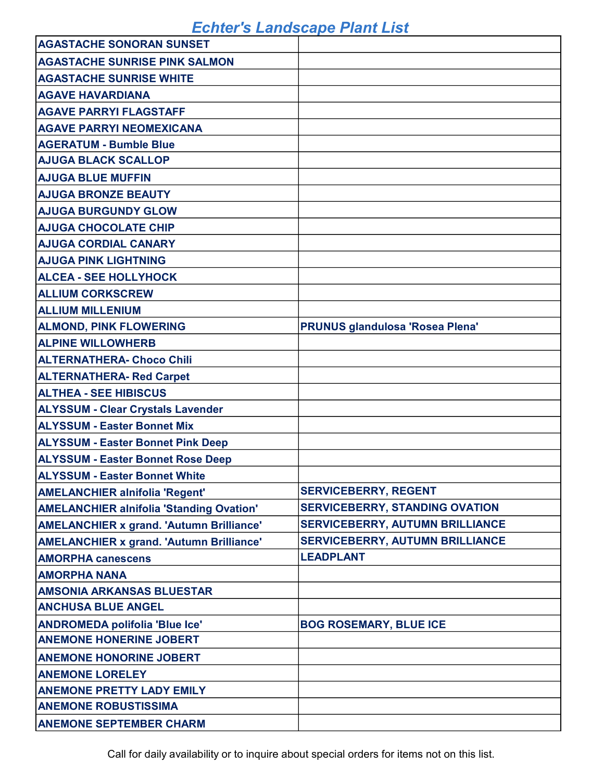| <b>AGASTACHE SONORAN SUNSET</b>                 |                                        |
|-------------------------------------------------|----------------------------------------|
| <b>AGASTACHE SUNRISE PINK SALMON</b>            |                                        |
| <b>AGASTACHE SUNRISE WHITE</b>                  |                                        |
| <b>AGAVE HAVARDIANA</b>                         |                                        |
| <b>AGAVE PARRYI FLAGSTAFF</b>                   |                                        |
| <b>AGAVE PARRYI NEOMEXICANA</b>                 |                                        |
| <b>AGERATUM - Bumble Blue</b>                   |                                        |
| <b>AJUGA BLACK SCALLOP</b>                      |                                        |
| <b>AJUGA BLUE MUFFIN</b>                        |                                        |
| <b>AJUGA BRONZE BEAUTY</b>                      |                                        |
| <b>AJUGA BURGUNDY GLOW</b>                      |                                        |
| <b>AJUGA CHOCOLATE CHIP</b>                     |                                        |
| <b>AJUGA CORDIAL CANARY</b>                     |                                        |
| <b>AJUGA PINK LIGHTNING</b>                     |                                        |
| <b>ALCEA - SEE HOLLYHOCK</b>                    |                                        |
| <b>ALLIUM CORKSCREW</b>                         |                                        |
| <b>ALLIUM MILLENIUM</b>                         |                                        |
| <b>ALMOND, PINK FLOWERING</b>                   | <b>PRUNUS glandulosa 'Rosea Plena'</b> |
| <b>ALPINE WILLOWHERB</b>                        |                                        |
| <b>ALTERNATHERA- Choco Chili</b>                |                                        |
| <b>ALTERNATHERA- Red Carpet</b>                 |                                        |
| <b>ALTHEA - SEE HIBISCUS</b>                    |                                        |
| <b>ALYSSUM - Clear Crystals Lavender</b>        |                                        |
| <b>ALYSSUM - Easter Bonnet Mix</b>              |                                        |
| <b>ALYSSUM - Easter Bonnet Pink Deep</b>        |                                        |
| <b>ALYSSUM - Easter Bonnet Rose Deep</b>        |                                        |
| <b>ALYSSUM - Easter Bonnet White</b>            |                                        |
| <b>AMELANCHIER alnifolia 'Regent'</b>           | <b>SERVICEBERRY, REGENT</b>            |
| <b>AMELANCHIER alnifolia 'Standing Ovation'</b> | <b>SERVICEBERRY, STANDING OVATION</b>  |
| <b>AMELANCHIER x grand. 'Autumn Brilliance'</b> | <b>SERVICEBERRY, AUTUMN BRILLIANCE</b> |
| <b>AMELANCHIER x grand. 'Autumn Brilliance'</b> | <b>SERVICEBERRY, AUTUMN BRILLIANCE</b> |
| <b>AMORPHA canescens</b>                        | <b>LEADPLANT</b>                       |
| <b>AMORPHA NANA</b>                             |                                        |
| <b>AMSONIA ARKANSAS BLUESTAR</b>                |                                        |
| <b>ANCHUSA BLUE ANGEL</b>                       |                                        |
| <b>ANDROMEDA polifolia 'Blue Ice'</b>           | <b>BOG ROSEMARY, BLUE ICE</b>          |
| <b>ANEMONE HONERINE JOBERT</b>                  |                                        |
| <b>ANEMONE HONORINE JOBERT</b>                  |                                        |
| <b>ANEMONE LORELEY</b>                          |                                        |
| <b>ANEMONE PRETTY LADY EMILY</b>                |                                        |
| <b>ANEMONE ROBUSTISSIMA</b>                     |                                        |
| <b>ANEMONE SEPTEMBER CHARM</b>                  |                                        |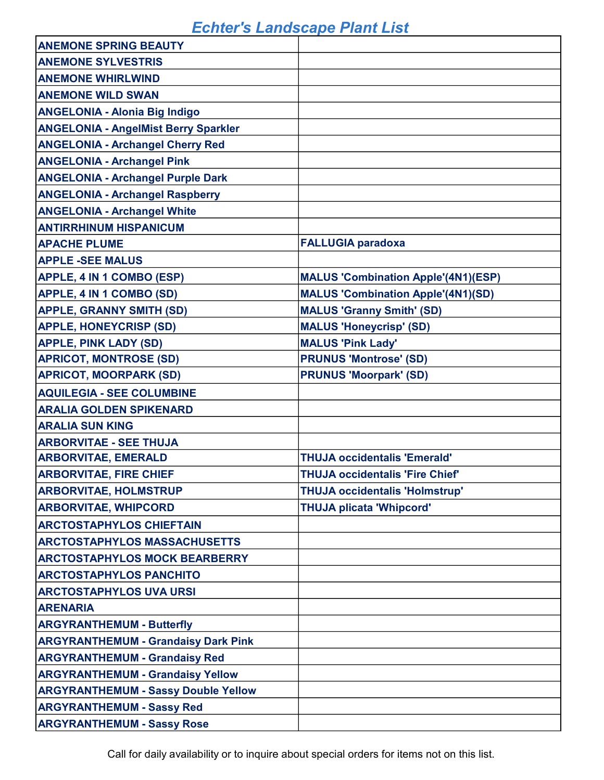| <b>ANEMONE SPRING BEAUTY</b>                |                                            |
|---------------------------------------------|--------------------------------------------|
| <b>ANEMONE SYLVESTRIS</b>                   |                                            |
| <b>ANEMONE WHIRLWIND</b>                    |                                            |
| <b>ANEMONE WILD SWAN</b>                    |                                            |
| <b>ANGELONIA - Alonia Big Indigo</b>        |                                            |
| <b>ANGELONIA - AngelMist Berry Sparkler</b> |                                            |
| <b>ANGELONIA - Archangel Cherry Red</b>     |                                            |
| <b>ANGELONIA - Archangel Pink</b>           |                                            |
| <b>ANGELONIA - Archangel Purple Dark</b>    |                                            |
| <b>ANGELONIA - Archangel Raspberry</b>      |                                            |
| <b>ANGELONIA - Archangel White</b>          |                                            |
| <b>ANTIRRHINUM HISPANICUM</b>               |                                            |
| <b>APACHE PLUME</b>                         | <b>FALLUGIA paradoxa</b>                   |
| <b>APPLE -SEE MALUS</b>                     |                                            |
| APPLE, 4 IN 1 COMBO (ESP)                   | <b>MALUS 'Combination Apple'(4N1)(ESP)</b> |
| <b>APPLE, 4 IN 1 COMBO (SD)</b>             | <b>MALUS 'Combination Apple'(4N1)(SD)</b>  |
| <b>APPLE, GRANNY SMITH (SD)</b>             | <b>MALUS 'Granny Smith' (SD)</b>           |
| <b>APPLE, HONEYCRISP (SD)</b>               | <b>MALUS 'Honeycrisp' (SD)</b>             |
| <b>APPLE, PINK LADY (SD)</b>                | <b>MALUS 'Pink Lady'</b>                   |
| <b>APRICOT, MONTROSE (SD)</b>               | <b>PRUNUS 'Montrose' (SD)</b>              |
| <b>APRICOT, MOORPARK (SD)</b>               | <b>PRUNUS 'Moorpark' (SD)</b>              |
| <b>AQUILEGIA - SEE COLUMBINE</b>            |                                            |
| <b>ARALIA GOLDEN SPIKENARD</b>              |                                            |
| <b>ARALIA SUN KING</b>                      |                                            |
| <b>ARBORVITAE - SEE THUJA</b>               |                                            |
| <b>ARBORVITAE, EMERALD</b>                  | <b>THUJA occidentalis 'Emerald'</b>        |
| <b>ARBORVITAE, FIRE CHIEF</b>               | <b>THUJA occidentalis 'Fire Chief'</b>     |
| <b>ARBORVITAE, HOLMSTRUP</b>                | <b>THUJA occidentalis 'Holmstrup'</b>      |
| <b>ARBORVITAE, WHIPCORD</b>                 | <b>THUJA plicata 'Whipcord'</b>            |
| <b>ARCTOSTAPHYLOS CHIEFTAIN</b>             |                                            |
| <b>ARCTOSTAPHYLOS MASSACHUSETTS</b>         |                                            |
| <b>ARCTOSTAPHYLOS MOCK BEARBERRY</b>        |                                            |
| <b>ARCTOSTAPHYLOS PANCHITO</b>              |                                            |
| <b>ARCTOSTAPHYLOS UVA URSI</b>              |                                            |
| <b>ARENARIA</b>                             |                                            |
| <b>ARGYRANTHEMUM - Butterfly</b>            |                                            |
| <b>ARGYRANTHEMUM - Grandaisy Dark Pink</b>  |                                            |
| <b>ARGYRANTHEMUM - Grandaisy Red</b>        |                                            |
| <b>ARGYRANTHEMUM - Grandaisy Yellow</b>     |                                            |
| <b>ARGYRANTHEMUM - Sassy Double Yellow</b>  |                                            |
| <b>ARGYRANTHEMUM - Sassy Red</b>            |                                            |
| <b>ARGYRANTHEMUM - Sassy Rose</b>           |                                            |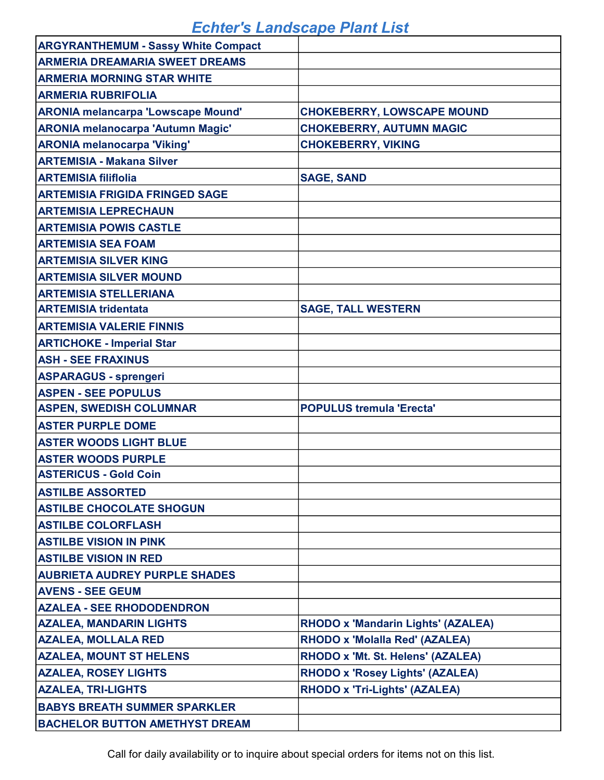| <b>ARGYRANTHEMUM - Sassy White Compact</b> |                                           |
|--------------------------------------------|-------------------------------------------|
| <b>ARMERIA DREAMARIA SWEET DREAMS</b>      |                                           |
| <b>ARMERIA MORNING STAR WHITE</b>          |                                           |
| <b>ARMERIA RUBRIFOLIA</b>                  |                                           |
| <b>ARONIA melancarpa 'Lowscape Mound'</b>  | <b>CHOKEBERRY, LOWSCAPE MOUND</b>         |
| <b>ARONIA melanocarpa 'Autumn Magic'</b>   | <b>CHOKEBERRY, AUTUMN MAGIC</b>           |
| <b>ARONIA melanocarpa 'Viking'</b>         | <b>CHOKEBERRY, VIKING</b>                 |
| <b>ARTEMISIA - Makana Silver</b>           |                                           |
| <b>ARTEMISIA filiflolia</b>                | <b>SAGE, SAND</b>                         |
| <b>ARTEMISIA FRIGIDA FRINGED SAGE</b>      |                                           |
| <b>ARTEMISIA LEPRECHAUN</b>                |                                           |
| <b>ARTEMISIA POWIS CASTLE</b>              |                                           |
| <b>ARTEMISIA SEA FOAM</b>                  |                                           |
| <b>ARTEMISIA SILVER KING</b>               |                                           |
| <b>ARTEMISIA SILVER MOUND</b>              |                                           |
| <b>ARTEMISIA STELLERIANA</b>               |                                           |
| <b>ARTEMISIA tridentata</b>                | <b>SAGE, TALL WESTERN</b>                 |
| <b>ARTEMISIA VALERIE FINNIS</b>            |                                           |
| <b>ARTICHOKE - Imperial Star</b>           |                                           |
| <b>ASH - SEE FRAXINUS</b>                  |                                           |
| <b>ASPARAGUS - sprengeri</b>               |                                           |
| <b>ASPEN - SEE POPULUS</b>                 |                                           |
| <b>ASPEN, SWEDISH COLUMNAR</b>             | <b>POPULUS tremula 'Erecta'</b>           |
| <b>ASTER PURPLE DOME</b>                   |                                           |
| <b>ASTER WOODS LIGHT BLUE</b>              |                                           |
| <b>ASTER WOODS PURPLE</b>                  |                                           |
| <b>ASTERICUS - Gold Coin</b>               |                                           |
| <b>ASTILBE ASSORTED</b>                    |                                           |
| <b>ASTILBE CHOCOLATE SHOGUN</b>            |                                           |
| <b>ASTILBE COLORFLASH</b>                  |                                           |
| <b>ASTILBE VISION IN PINK</b>              |                                           |
| <b>ASTILBE VISION IN RED</b>               |                                           |
| <b>AUBRIETA AUDREY PURPLE SHADES</b>       |                                           |
| <b>AVENS - SEE GEUM</b>                    |                                           |
| <b>AZALEA - SEE RHODODENDRON</b>           |                                           |
| <b>AZALEA, MANDARIN LIGHTS</b>             | <b>RHODO x 'Mandarin Lights' (AZALEA)</b> |
| <b>AZALEA, MOLLALA RED</b>                 | <b>RHODO x 'Molalla Red' (AZALEA)</b>     |
| <b>AZALEA, MOUNT ST HELENS</b>             | RHODO x 'Mt. St. Helens' (AZALEA)         |
| <b>AZALEA, ROSEY LIGHTS</b>                | <b>RHODO x 'Rosey Lights' (AZALEA)</b>    |
| <b>AZALEA, TRI-LIGHTS</b>                  | <b>RHODO x 'Tri-Lights' (AZALEA)</b>      |
| <b>BABYS BREATH SUMMER SPARKLER</b>        |                                           |
| <b>BACHELOR BUTTON AMETHYST DREAM</b>      |                                           |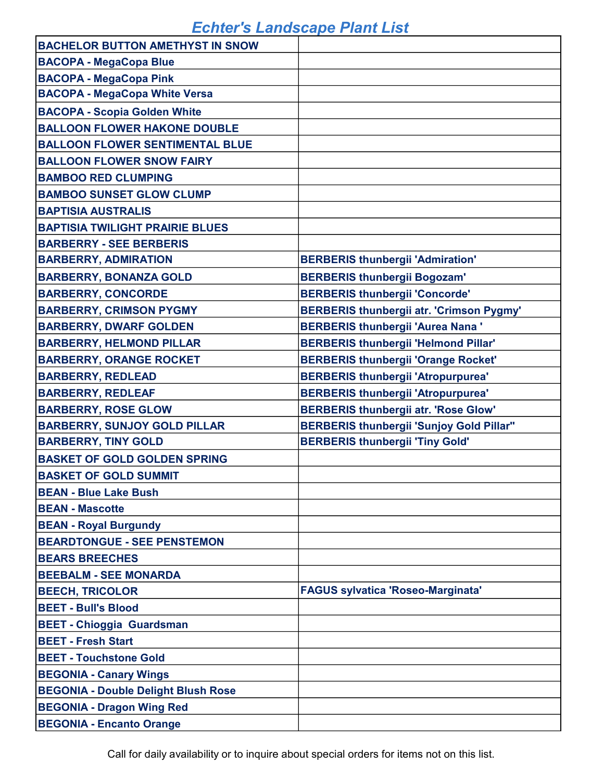| <b>BACHELOR BUTTON AMETHYST IN SNOW</b>    |                                                 |
|--------------------------------------------|-------------------------------------------------|
| <b>BACOPA - MegaCopa Blue</b>              |                                                 |
| <b>BACOPA - MegaCopa Pink</b>              |                                                 |
| <b>BACOPA - MegaCopa White Versa</b>       |                                                 |
| <b>BACOPA - Scopia Golden White</b>        |                                                 |
| <b>BALLOON FLOWER HAKONE DOUBLE</b>        |                                                 |
| <b>BALLOON FLOWER SENTIMENTAL BLUE</b>     |                                                 |
| <b>BALLOON FLOWER SNOW FAIRY</b>           |                                                 |
| <b>BAMBOO RED CLUMPING</b>                 |                                                 |
| <b>BAMBOO SUNSET GLOW CLUMP</b>            |                                                 |
| <b>BAPTISIA AUSTRALIS</b>                  |                                                 |
| <b>BAPTISIA TWILIGHT PRAIRIE BLUES</b>     |                                                 |
| <b>BARBERRY - SEE BERBERIS</b>             |                                                 |
| <b>BARBERRY, ADMIRATION</b>                | <b>BERBERIS thunbergii 'Admiration'</b>         |
| <b>BARBERRY, BONANZA GOLD</b>              | <b>BERBERIS thunbergii Bogozam'</b>             |
| <b>BARBERRY, CONCORDE</b>                  | <b>BERBERIS thunbergii 'Concorde'</b>           |
| <b>BARBERRY, CRIMSON PYGMY</b>             | <b>BERBERIS thunbergii atr. 'Crimson Pygmy'</b> |
| <b>BARBERRY, DWARF GOLDEN</b>              | <b>BERBERIS thunbergii 'Aurea Nana'</b>         |
| <b>BARBERRY, HELMOND PILLAR</b>            | <b>BERBERIS thunbergii 'Helmond Pillar'</b>     |
| <b>BARBERRY, ORANGE ROCKET</b>             | <b>BERBERIS thunbergii 'Orange Rocket'</b>      |
| <b>BARBERRY, REDLEAD</b>                   | <b>BERBERIS thunbergii 'Atropurpurea'</b>       |
| <b>BARBERRY, REDLEAF</b>                   | <b>BERBERIS thunbergii 'Atropurpurea'</b>       |
| <b>BARBERRY, ROSE GLOW</b>                 | <b>BERBERIS thunbergii atr. 'Rose Glow'</b>     |
| <b>BARBERRY, SUNJOY GOLD PILLAR</b>        | <b>BERBERIS thunbergii 'Sunjoy Gold Pillar"</b> |
| <b>BARBERRY, TINY GOLD</b>                 | <b>BERBERIS thunbergii 'Tiny Gold'</b>          |
| <b>BASKET OF GOLD GOLDEN SPRING</b>        |                                                 |
| <b>BASKET OF GOLD SUMMIT</b>               |                                                 |
| <b>BEAN - Blue Lake Bush</b>               |                                                 |
| <b>BEAN - Mascotte</b>                     |                                                 |
| <b>BEAN - Royal Burgundy</b>               |                                                 |
| <b>BEARDTONGUE - SEE PENSTEMON</b>         |                                                 |
| <b>BEARS BREECHES</b>                      |                                                 |
| <b>BEEBALM - SEE MONARDA</b>               |                                                 |
| <b>BEECH, TRICOLOR</b>                     | <b>FAGUS sylvatica 'Roseo-Marginata'</b>        |
| <b>BEET - Bull's Blood</b>                 |                                                 |
| <b>BEET - Chioggia Guardsman</b>           |                                                 |
| <b>BEET - Fresh Start</b>                  |                                                 |
| <b>BEET - Touchstone Gold</b>              |                                                 |
| <b>BEGONIA - Canary Wings</b>              |                                                 |
| <b>BEGONIA - Double Delight Blush Rose</b> |                                                 |
| <b>BEGONIA - Dragon Wing Red</b>           |                                                 |
| <b>BEGONIA - Encanto Orange</b>            |                                                 |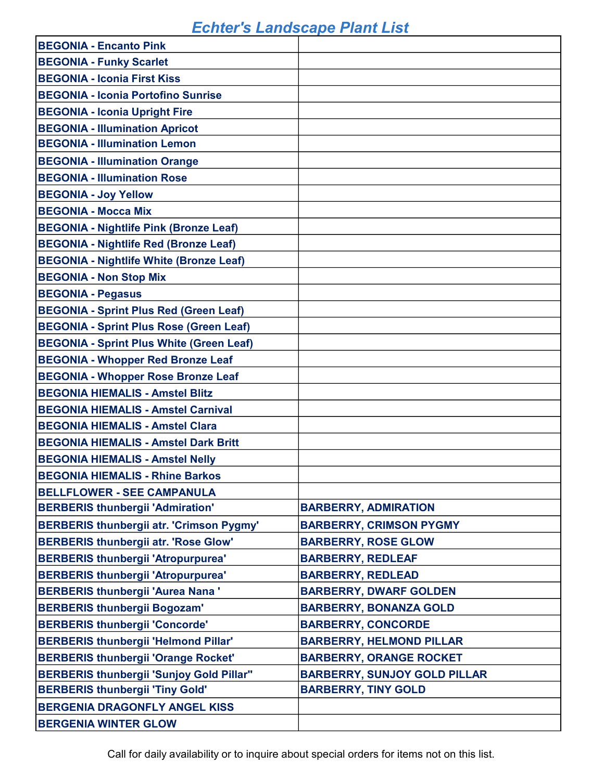| <b>BEGONIA - Encanto Pink</b>                   |                                     |
|-------------------------------------------------|-------------------------------------|
| <b>BEGONIA - Funky Scarlet</b>                  |                                     |
| <b>BEGONIA - Iconia First Kiss</b>              |                                     |
| <b>BEGONIA - Iconia Portofino Sunrise</b>       |                                     |
| <b>BEGONIA - Iconia Upright Fire</b>            |                                     |
| <b>BEGONIA - Illumination Apricot</b>           |                                     |
| <b>BEGONIA - Illumination Lemon</b>             |                                     |
| <b>BEGONIA - Illumination Orange</b>            |                                     |
| <b>BEGONIA - Illumination Rose</b>              |                                     |
| <b>BEGONIA - Joy Yellow</b>                     |                                     |
| <b>BEGONIA - Mocca Mix</b>                      |                                     |
| <b>BEGONIA - Nightlife Pink (Bronze Leaf)</b>   |                                     |
| <b>BEGONIA - Nightlife Red (Bronze Leaf)</b>    |                                     |
| <b>BEGONIA - Nightlife White (Bronze Leaf)</b>  |                                     |
| <b>BEGONIA - Non Stop Mix</b>                   |                                     |
| <b>BEGONIA - Pegasus</b>                        |                                     |
| <b>BEGONIA - Sprint Plus Red (Green Leaf)</b>   |                                     |
| <b>BEGONIA - Sprint Plus Rose (Green Leaf)</b>  |                                     |
| <b>BEGONIA - Sprint Plus White (Green Leaf)</b> |                                     |
| <b>BEGONIA - Whopper Red Bronze Leaf</b>        |                                     |
| <b>BEGONIA - Whopper Rose Bronze Leaf</b>       |                                     |
| <b>BEGONIA HIEMALIS - Amstel Blitz</b>          |                                     |
| <b>BEGONIA HIEMALIS - Amstel Carnival</b>       |                                     |
| <b>BEGONIA HIEMALIS - Amstel Clara</b>          |                                     |
| <b>BEGONIA HIEMALIS - Amstel Dark Britt</b>     |                                     |
| <b>BEGONIA HIEMALIS - Amstel Nelly</b>          |                                     |
| <b>BEGONIA HIEMALIS - Rhine Barkos</b>          |                                     |
| <b>BELLFLOWER - SEE CAMPANULA</b>               |                                     |
| <b>BERBERIS thunbergii 'Admiration'</b>         | <b>BARBERRY, ADMIRATION</b>         |
| <b>BERBERIS thunbergii atr. 'Crimson Pygmy'</b> | <b>BARBERRY, CRIMSON PYGMY</b>      |
| <b>BERBERIS thunbergii atr. 'Rose Glow'</b>     | <b>BARBERRY, ROSE GLOW</b>          |
| <b>BERBERIS thunbergii 'Atropurpurea'</b>       | <b>BARBERRY, REDLEAF</b>            |
| <b>BERBERIS thunbergii 'Atropurpurea'</b>       | <b>BARBERRY, REDLEAD</b>            |
| <b>BERBERIS thunbergii 'Aurea Nana'</b>         | <b>BARBERRY, DWARF GOLDEN</b>       |
| <b>BERBERIS thunbergii Bogozam'</b>             | <b>BARBERRY, BONANZA GOLD</b>       |
| <b>BERBERIS thunbergii 'Concorde'</b>           | <b>BARBERRY, CONCORDE</b>           |
| <b>BERBERIS thunbergii 'Helmond Pillar'</b>     | <b>BARBERRY, HELMOND PILLAR</b>     |
| <b>BERBERIS thunbergii 'Orange Rocket'</b>      | <b>BARBERRY, ORANGE ROCKET</b>      |
| <b>BERBERIS thunbergii 'Sunjoy Gold Pillar"</b> | <b>BARBERRY, SUNJOY GOLD PILLAR</b> |
| <b>BERBERIS thunbergii 'Tiny Gold'</b>          | <b>BARBERRY, TINY GOLD</b>          |
| BERGENIA DRAGONFLY ANGEL KISS                   |                                     |
| <b>BERGENIA WINTER GLOW</b>                     |                                     |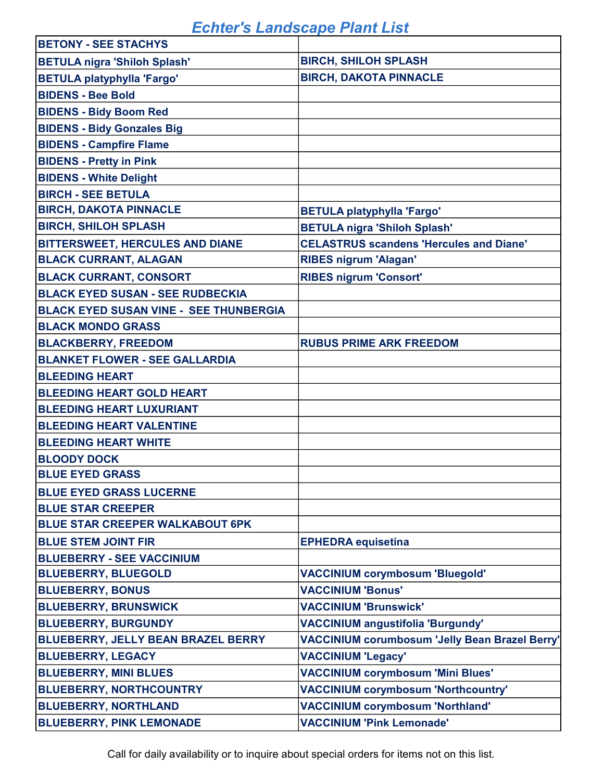| <b>BETONY - SEE STACHYS</b>                   |                                                |
|-----------------------------------------------|------------------------------------------------|
| <b>BETULA nigra 'Shiloh Splash'</b>           | <b>BIRCH, SHILOH SPLASH</b>                    |
| <b>BETULA platyphylla 'Fargo'</b>             | <b>BIRCH, DAKOTA PINNACLE</b>                  |
| <b>BIDENS - Bee Bold</b>                      |                                                |
| <b>BIDENS - Bidy Boom Red</b>                 |                                                |
| <b>BIDENS - Bidy Gonzales Big</b>             |                                                |
| <b>BIDENS - Campfire Flame</b>                |                                                |
| <b>BIDENS - Pretty in Pink</b>                |                                                |
| <b>BIDENS - White Delight</b>                 |                                                |
| <b>BIRCH - SEE BETULA</b>                     |                                                |
| <b>BIRCH, DAKOTA PINNACLE</b>                 | <b>BETULA platyphylla 'Fargo'</b>              |
| <b>BIRCH, SHILOH SPLASH</b>                   | <b>BETULA nigra 'Shiloh Splash'</b>            |
| <b>BITTERSWEET, HERCULES AND DIANE</b>        | <b>CELASTRUS scandens 'Hercules and Diane'</b> |
| <b>BLACK CURRANT, ALAGAN</b>                  | <b>RIBES nigrum 'Alagan'</b>                   |
| <b>BLACK CURRANT, CONSORT</b>                 | <b>RIBES nigrum 'Consort'</b>                  |
| <b>BLACK EYED SUSAN - SEE RUDBECKIA</b>       |                                                |
| <b>BLACK EYED SUSAN VINE - SEE THUNBERGIA</b> |                                                |
| <b>BLACK MONDO GRASS</b>                      |                                                |
| <b>BLACKBERRY, FREEDOM</b>                    | <b>RUBUS PRIME ARK FREEDOM</b>                 |
| <b>BLANKET FLOWER - SEE GALLARDIA</b>         |                                                |
| <b>BLEEDING HEART</b>                         |                                                |
| <b>BLEEDING HEART GOLD HEART</b>              |                                                |
| <b>BLEEDING HEART LUXURIANT</b>               |                                                |
| <b>BLEEDING HEART VALENTINE</b>               |                                                |
| <b>BLEEDING HEART WHITE</b>                   |                                                |
| <b>BLOODY DOCK</b>                            |                                                |
| <b>BLUE EYED GRASS</b>                        |                                                |
| <b>BLUE EYED GRASS LUCERNE</b>                |                                                |
| <b>BLUE STAR CREEPER</b>                      |                                                |
| <b>BLUE STAR CREEPER WALKABOUT 6PK</b>        |                                                |
| <b>BLUE STEM JOINT FIR</b>                    | <b>EPHEDRA</b> equisetina                      |
| <b>BLUEBERRY - SEE VACCINIUM</b>              |                                                |
| <b>BLUEBERRY, BLUEGOLD</b>                    | <b>VACCINIUM corymbosum 'Bluegold'</b>         |
| <b>BLUEBERRY, BONUS</b>                       | <b>VACCINIUM 'Bonus'</b>                       |
| <b>BLUEBERRY, BRUNSWICK</b>                   | <b>VACCINIUM 'Brunswick'</b>                   |
| <b>BLUEBERRY, BURGUNDY</b>                    | <b>VACCINIUM angustifolia 'Burgundy'</b>       |
| BLUEBERRY, JELLY BEAN BRAZEL BERRY            | VACCINIUM corumbosum 'Jelly Bean Brazel Berry' |
| <b>BLUEBERRY, LEGACY</b>                      | <b>VACCINIUM 'Legacy'</b>                      |
| <b>BLUEBERRY, MINI BLUES</b>                  | <b>VACCINIUM corymbosum 'Mini Blues'</b>       |
| <b>BLUEBERRY, NORTHCOUNTRY</b>                | <b>VACCINIUM corymbosum 'Northcountry'</b>     |
| <b>BLUEBERRY, NORTHLAND</b>                   | <b>VACCINIUM corymbosum 'Northland'</b>        |
| <b>BLUEBERRY, PINK LEMONADE</b>               | <b>VACCINIUM 'Pink Lemonade'</b>               |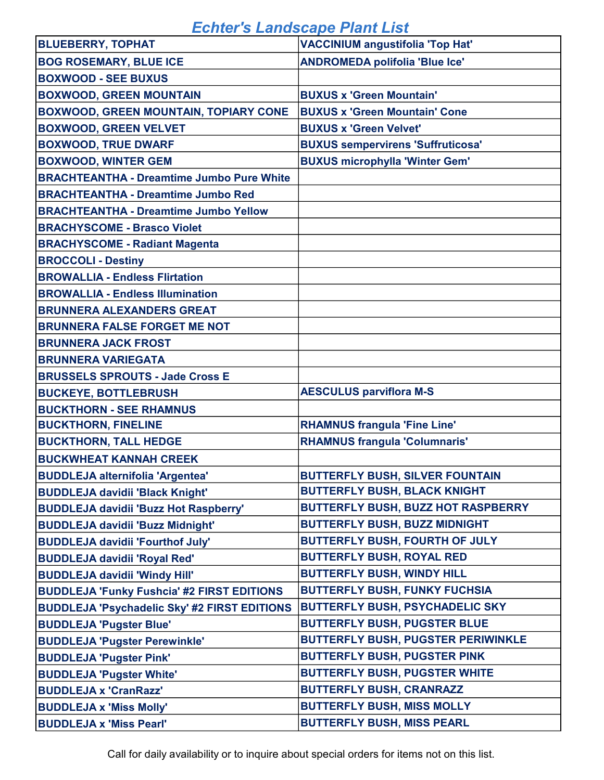| <b>BLUEBERRY, TOPHAT</b>                            | <b>VACCINIUM angustifolia 'Top Hat'</b>   |
|-----------------------------------------------------|-------------------------------------------|
| <b>BOG ROSEMARY, BLUE ICE</b>                       | <b>ANDROMEDA polifolia 'Blue Ice'</b>     |
| <b>BOXWOOD - SEE BUXUS</b>                          |                                           |
| <b>BOXWOOD, GREEN MOUNTAIN</b>                      | <b>BUXUS x 'Green Mountain'</b>           |
| <b>BOXWOOD, GREEN MOUNTAIN, TOPIARY CONE</b>        | <b>BUXUS x 'Green Mountain' Cone</b>      |
| <b>BOXWOOD, GREEN VELVET</b>                        | <b>BUXUS x 'Green Velvet'</b>             |
| <b>BOXWOOD, TRUE DWARF</b>                          | <b>BUXUS sempervirens 'Suffruticosa'</b>  |
| <b>BOXWOOD, WINTER GEM</b>                          | <b>BUXUS microphylla 'Winter Gem'</b>     |
| <b>BRACHTEANTHA - Dreamtime Jumbo Pure White</b>    |                                           |
| <b>BRACHTEANTHA - Dreamtime Jumbo Red</b>           |                                           |
| <b>BRACHTEANTHA - Dreamtime Jumbo Yellow</b>        |                                           |
| <b>BRACHYSCOME - Brasco Violet</b>                  |                                           |
| <b>BRACHYSCOME - Radiant Magenta</b>                |                                           |
| <b>BROCCOLI - Destiny</b>                           |                                           |
| <b>BROWALLIA - Endless Flirtation</b>               |                                           |
| <b>BROWALLIA - Endless Illumination</b>             |                                           |
| <b>BRUNNERA ALEXANDERS GREAT</b>                    |                                           |
| <b>BRUNNERA FALSE FORGET ME NOT</b>                 |                                           |
| <b>BRUNNERA JACK FROST</b>                          |                                           |
| <b>BRUNNERA VARIEGATA</b>                           |                                           |
| <b>BRUSSELS SPROUTS - Jade Cross E</b>              |                                           |
| <b>BUCKEYE, BOTTLEBRUSH</b>                         | <b>AESCULUS parviflora M-S</b>            |
| <b>BUCKTHORN - SEE RHAMNUS</b>                      |                                           |
| <b>BUCKTHORN, FINELINE</b>                          | <b>RHAMNUS frangula 'Fine Line'</b>       |
| <b>BUCKTHORN, TALL HEDGE</b>                        | <b>RHAMNUS frangula 'Columnaris'</b>      |
| <b>BUCKWHEAT KANNAH CREEK</b>                       |                                           |
| <b>BUDDLEJA alternifolia 'Argentea'</b>             | <b>BUTTERFLY BUSH, SILVER FOUNTAIN</b>    |
| <b>BUDDLEJA davidii 'Black Knight'</b>              | <b>BUTTERFLY BUSH, BLACK KNIGHT</b>       |
| <b>BUDDLEJA davidii 'Buzz Hot Raspberry'</b>        | <b>BUTTERFLY BUSH, BUZZ HOT RASPBERRY</b> |
| <b>BUDDLEJA davidii 'Buzz Midnight'</b>             | <b>BUTTERFLY BUSH, BUZZ MIDNIGHT</b>      |
| <b>BUDDLEJA davidii 'Fourthof July'</b>             | <b>BUTTERFLY BUSH, FOURTH OF JULY</b>     |
| <b>BUDDLEJA davidii 'Royal Red'</b>                 | <b>BUTTERFLY BUSH, ROYAL RED</b>          |
| <b>BUDDLEJA davidii 'Windy Hill'</b>                | <b>BUTTERFLY BUSH, WINDY HILL</b>         |
| <b>BUDDLEJA 'Funky Fushcia' #2 FIRST EDITIONS</b>   | <b>BUTTERFLY BUSH, FUNKY FUCHSIA</b>      |
| <b>BUDDLEJA 'Psychadelic Sky' #2 FIRST EDITIONS</b> | <b>BUTTERFLY BUSH, PSYCHADELIC SKY</b>    |
| <b>BUDDLEJA 'Pugster Blue'</b>                      | <b>BUTTERFLY BUSH, PUGSTER BLUE</b>       |
| <b>BUDDLEJA 'Pugster Perewinkle'</b>                | <b>BUTTERFLY BUSH, PUGSTER PERIWINKLE</b> |
| <b>BUDDLEJA 'Pugster Pink'</b>                      | <b>BUTTERFLY BUSH, PUGSTER PINK</b>       |
| <b>BUDDLEJA 'Pugster White'</b>                     | <b>BUTTERFLY BUSH, PUGSTER WHITE</b>      |
| <b>BUDDLEJA x 'CranRazz'</b>                        | <b>BUTTERFLY BUSH, CRANRAZZ</b>           |
| <b>BUDDLEJA x 'Miss Molly'</b>                      | <b>BUTTERFLY BUSH, MISS MOLLY</b>         |
| <b>BUDDLEJA x 'Miss Pearl'</b>                      | <b>BUTTERFLY BUSH, MISS PEARL</b>         |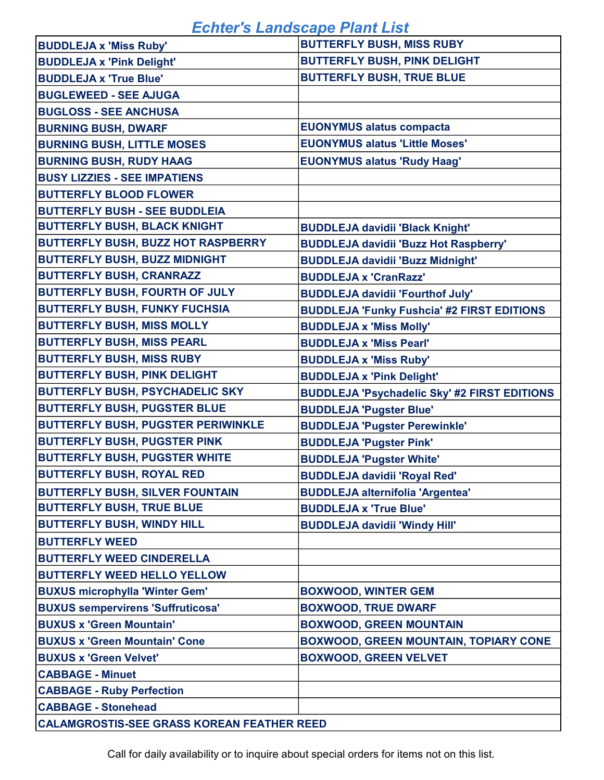| <b>BUDDLEJA x 'Miss Ruby'</b>                     | <b>BUTTERFLY BUSH, MISS RUBY</b>                    |
|---------------------------------------------------|-----------------------------------------------------|
| <b>BUDDLEJA x 'Pink Delight'</b>                  | <b>BUTTERFLY BUSH, PINK DELIGHT</b>                 |
| <b>BUDDLEJA x 'True Blue'</b>                     | <b>BUTTERFLY BUSH, TRUE BLUE</b>                    |
| <b>BUGLEWEED - SEE AJUGA</b>                      |                                                     |
| <b>BUGLOSS - SEE ANCHUSA</b>                      |                                                     |
| <b>BURNING BUSH, DWARF</b>                        | <b>EUONYMUS alatus compacta</b>                     |
| <b>BURNING BUSH, LITTLE MOSES</b>                 | <b>EUONYMUS alatus 'Little Moses'</b>               |
| <b>BURNING BUSH, RUDY HAAG</b>                    | <b>EUONYMUS alatus 'Rudy Haag'</b>                  |
| <b>BUSY LIZZIES - SEE IMPATIENS</b>               |                                                     |
| <b>BUTTERFLY BLOOD FLOWER</b>                     |                                                     |
| <b>BUTTERFLY BUSH - SEE BUDDLEIA</b>              |                                                     |
| <b>BUTTERFLY BUSH, BLACK KNIGHT</b>               | <b>BUDDLEJA davidii 'Black Knight'</b>              |
| <b>BUTTERFLY BUSH, BUZZ HOT RASPBERRY</b>         | <b>BUDDLEJA davidii 'Buzz Hot Raspberry'</b>        |
| <b>BUTTERFLY BUSH, BUZZ MIDNIGHT</b>              | <b>BUDDLEJA davidii 'Buzz Midnight'</b>             |
| <b>BUTTERFLY BUSH, CRANRAZZ</b>                   | <b>BUDDLEJA x 'CranRazz'</b>                        |
| <b>BUTTERFLY BUSH, FOURTH OF JULY</b>             | <b>BUDDLEJA davidii 'Fourthof July'</b>             |
| <b>BUTTERFLY BUSH, FUNKY FUCHSIA</b>              | <b>BUDDLEJA 'Funky Fushcia' #2 FIRST EDITIONS</b>   |
| <b>BUTTERFLY BUSH, MISS MOLLY</b>                 | <b>BUDDLEJA x 'Miss Molly'</b>                      |
| <b>BUTTERFLY BUSH, MISS PEARL</b>                 | <b>BUDDLEJA x 'Miss Pearl'</b>                      |
| <b>BUTTERFLY BUSH, MISS RUBY</b>                  | <b>BUDDLEJA x 'Miss Ruby'</b>                       |
| <b>BUTTERFLY BUSH, PINK DELIGHT</b>               | <b>BUDDLEJA x 'Pink Delight'</b>                    |
| <b>BUTTERFLY BUSH, PSYCHADELIC SKY</b>            | <b>BUDDLEJA 'Psychadelic Sky' #2 FIRST EDITIONS</b> |
| <b>BUTTERFLY BUSH, PUGSTER BLUE</b>               | <b>BUDDLEJA 'Pugster Blue'</b>                      |
| <b>BUTTERFLY BUSH, PUGSTER PERIWINKLE</b>         | <b>BUDDLEJA 'Pugster Perewinkle'</b>                |
| <b>BUTTERFLY BUSH, PUGSTER PINK</b>               | <b>BUDDLEJA 'Pugster Pink'</b>                      |
| <b>BUTTERFLY BUSH, PUGSTER WHITE</b>              | <b>BUDDLEJA 'Pugster White'</b>                     |
| <b>BUTTERFLY BUSH, ROYAL RED</b>                  | <b>BUDDLEJA davidii 'Royal Red'</b>                 |
| <b>BUTTERFLY BUSH, SILVER FOUNTAIN</b>            | <b>BUDDLEJA alternifolia 'Argentea'</b>             |
| <b>BUTTERFLY BUSH, TRUE BLUE</b>                  | <b>BUDDLEJA x 'True Blue'</b>                       |
| <b>BUTTERFLY BUSH, WINDY HILL</b>                 | <b>BUDDLEJA davidii 'Windy Hill'</b>                |
| <b>BUTTERFLY WEED</b>                             |                                                     |
| <b>BUTTERFLY WEED CINDERELLA</b>                  |                                                     |
| <b>BUTTERFLY WEED HELLO YELLOW</b>                |                                                     |
| <b>BUXUS microphylla 'Winter Gem'</b>             | <b>BOXWOOD, WINTER GEM</b>                          |
| <b>BUXUS sempervirens 'Suffruticosa'</b>          | <b>BOXWOOD, TRUE DWARF</b>                          |
| <b>BUXUS x 'Green Mountain'</b>                   | <b>BOXWOOD, GREEN MOUNTAIN</b>                      |
| <b>BUXUS x 'Green Mountain' Cone</b>              | <b>BOXWOOD, GREEN MOUNTAIN, TOPIARY CONE</b>        |
| <b>BUXUS x 'Green Velvet'</b>                     | <b>BOXWOOD, GREEN VELVET</b>                        |
| <b>CABBAGE - Minuet</b>                           |                                                     |
| <b>CABBAGE - Ruby Perfection</b>                  |                                                     |
| <b>CABBAGE - Stonehead</b>                        |                                                     |
| <b>CALAMGROSTIS-SEE GRASS KOREAN FEATHER REED</b> |                                                     |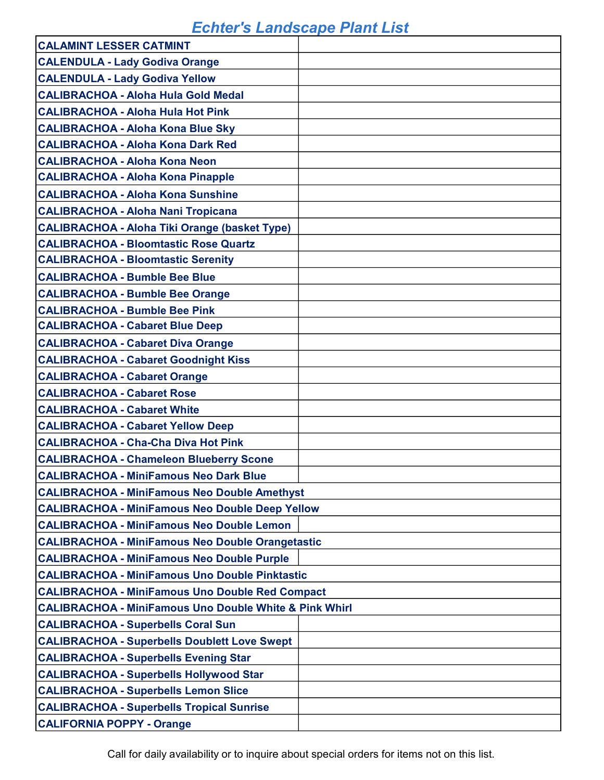| <b>CALAMINT LESSER CATMINT</b>                                    |  |  |
|-------------------------------------------------------------------|--|--|
| <b>CALENDULA - Lady Godiva Orange</b>                             |  |  |
| <b>CALENDULA - Lady Godiva Yellow</b>                             |  |  |
| <b>CALIBRACHOA - Aloha Hula Gold Medal</b>                        |  |  |
| <b>CALIBRACHOA - Aloha Hula Hot Pink</b>                          |  |  |
| <b>CALIBRACHOA - Aloha Kona Blue Sky</b>                          |  |  |
| <b>CALIBRACHOA - Aloha Kona Dark Red</b>                          |  |  |
| <b>CALIBRACHOA - Aloha Kona Neon</b>                              |  |  |
| <b>CALIBRACHOA - Aloha Kona Pinapple</b>                          |  |  |
| <b>CALIBRACHOA - Aloha Kona Sunshine</b>                          |  |  |
| <b>CALIBRACHOA - Aloha Nani Tropicana</b>                         |  |  |
| <b>CALIBRACHOA - Aloha Tiki Orange (basket Type)</b>              |  |  |
| <b>CALIBRACHOA - Bloomtastic Rose Quartz</b>                      |  |  |
| <b>CALIBRACHOA - Bloomtastic Serenity</b>                         |  |  |
| <b>CALIBRACHOA - Bumble Bee Blue</b>                              |  |  |
| <b>CALIBRACHOA - Bumble Bee Orange</b>                            |  |  |
| <b>CALIBRACHOA - Bumble Bee Pink</b>                              |  |  |
| <b>CALIBRACHOA - Cabaret Blue Deep</b>                            |  |  |
| <b>CALIBRACHOA - Cabaret Diva Orange</b>                          |  |  |
| <b>CALIBRACHOA - Cabaret Goodnight Kiss</b>                       |  |  |
| <b>CALIBRACHOA - Cabaret Orange</b>                               |  |  |
| <b>CALIBRACHOA - Cabaret Rose</b>                                 |  |  |
| <b>CALIBRACHOA - Cabaret White</b>                                |  |  |
| <b>CALIBRACHOA - Cabaret Yellow Deep</b>                          |  |  |
| <b>CALIBRACHOA - Cha-Cha Diva Hot Pink</b>                        |  |  |
| <b>CALIBRACHOA - Chameleon Blueberry Scone</b>                    |  |  |
| <b>CALIBRACHOA - MiniFamous Neo Dark Blue</b>                     |  |  |
| <b>CALIBRACHOA - MiniFamous Neo Double Amethyst</b>               |  |  |
| <b>CALIBRACHOA - MiniFamous Neo Double Deep Yellow</b>            |  |  |
| <b>CALIBRACHOA - MiniFamous Neo Double Lemon</b>                  |  |  |
| <b>CALIBRACHOA - MiniFamous Neo Double Orangetastic</b>           |  |  |
| <b>CALIBRACHOA - MiniFamous Neo Double Purple</b>                 |  |  |
| <b>CALIBRACHOA - MiniFamous Uno Double Pinktastic</b>             |  |  |
| <b>CALIBRACHOA - MiniFamous Uno Double Red Compact</b>            |  |  |
| <b>CALIBRACHOA - MiniFamous Uno Double White &amp; Pink Whirl</b> |  |  |
| <b>CALIBRACHOA - Superbells Coral Sun</b>                         |  |  |
| <b>CALIBRACHOA - Superbells Doublett Love Swept</b>               |  |  |
| <b>CALIBRACHOA - Superbells Evening Star</b>                      |  |  |
| <b>CALIBRACHOA - Superbells Hollywood Star</b>                    |  |  |
| <b>CALIBRACHOA - Superbells Lemon Slice</b>                       |  |  |
| <b>CALIBRACHOA - Superbells Tropical Sunrise</b>                  |  |  |
| <b>CALIFORNIA POPPY - Orange</b>                                  |  |  |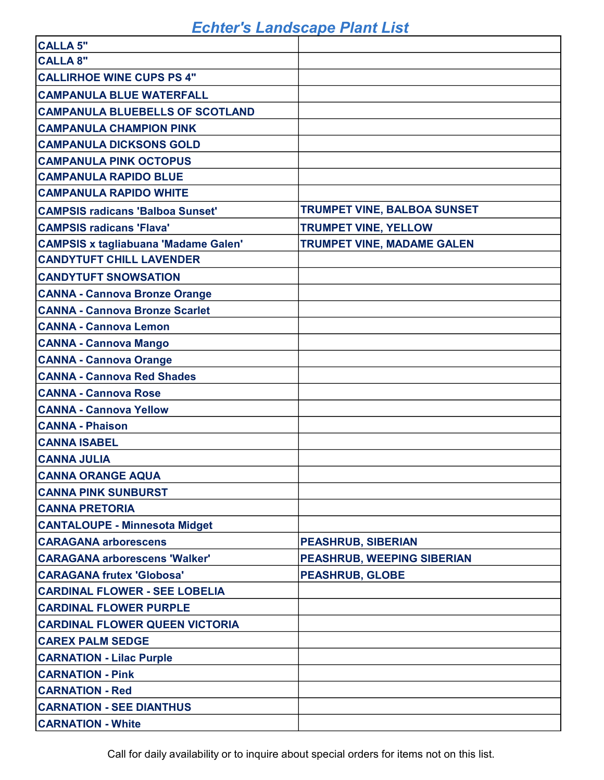| <b>CALLA 5"</b>                             |                                    |
|---------------------------------------------|------------------------------------|
| <b>CALLA 8"</b>                             |                                    |
| <b>CALLIRHOE WINE CUPS PS 4"</b>            |                                    |
| <b>CAMPANULA BLUE WATERFALL</b>             |                                    |
| <b>CAMPANULA BLUEBELLS OF SCOTLAND</b>      |                                    |
| <b>CAMPANULA CHAMPION PINK</b>              |                                    |
| <b>CAMPANULA DICKSONS GOLD</b>              |                                    |
| <b>CAMPANULA PINK OCTOPUS</b>               |                                    |
| <b>CAMPANULA RAPIDO BLUE</b>                |                                    |
| <b>CAMPANULA RAPIDO WHITE</b>               |                                    |
| <b>CAMPSIS radicans 'Balboa Sunset'</b>     | <b>TRUMPET VINE, BALBOA SUNSET</b> |
| <b>CAMPSIS radicans 'Flava'</b>             | <b>TRUMPET VINE, YELLOW</b>        |
| <b>CAMPSIS x tagliabuana 'Madame Galen'</b> | <b>TRUMPET VINE, MADAME GALEN</b>  |
| <b>CANDYTUFT CHILL LAVENDER</b>             |                                    |
| <b>CANDYTUFT SNOWSATION</b>                 |                                    |
| <b>CANNA - Cannova Bronze Orange</b>        |                                    |
| <b>CANNA - Cannova Bronze Scarlet</b>       |                                    |
| <b>CANNA - Cannova Lemon</b>                |                                    |
| <b>CANNA - Cannova Mango</b>                |                                    |
| <b>CANNA - Cannova Orange</b>               |                                    |
| <b>CANNA - Cannova Red Shades</b>           |                                    |
| <b>CANNA - Cannova Rose</b>                 |                                    |
| <b>CANNA - Cannova Yellow</b>               |                                    |
| <b>CANNA - Phaison</b>                      |                                    |
| <b>CANNA ISABEL</b>                         |                                    |
| <b>CANNA JULIA</b>                          |                                    |
| <b>CANNA ORANGE AQUA</b>                    |                                    |
| <b>CANNA PINK SUNBURST</b>                  |                                    |
| <b>CANNA PRETORIA</b>                       |                                    |
| <b>CANTALOUPE - Minnesota Midget</b>        |                                    |
| <b>CARAGANA arborescens</b>                 | <b>PEASHRUB, SIBERIAN</b>          |
| <b>CARAGANA arborescens 'Walker'</b>        | <b>PEASHRUB, WEEPING SIBERIAN</b>  |
| <b>CARAGANA frutex 'Globosa'</b>            | <b>PEASHRUB, GLOBE</b>             |
| <b>CARDINAL FLOWER - SEE LOBELIA</b>        |                                    |
| <b>CARDINAL FLOWER PURPLE</b>               |                                    |
| <b>CARDINAL FLOWER QUEEN VICTORIA</b>       |                                    |
| <b>CAREX PALM SEDGE</b>                     |                                    |
| <b>CARNATION - Lilac Purple</b>             |                                    |
| <b>CARNATION - Pink</b>                     |                                    |
| <b>CARNATION - Red</b>                      |                                    |
| <b>CARNATION - SEE DIANTHUS</b>             |                                    |
| <b>CARNATION - White</b>                    |                                    |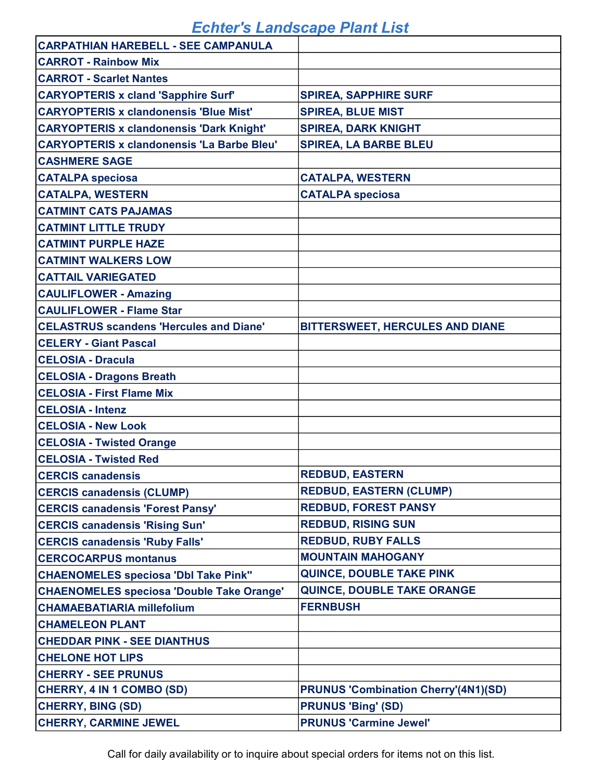| <b>CARPATHIAN HAREBELL - SEE CAMPANULA</b>        |                                             |
|---------------------------------------------------|---------------------------------------------|
| <b>CARROT - Rainbow Mix</b>                       |                                             |
| <b>CARROT - Scarlet Nantes</b>                    |                                             |
| <b>CARYOPTERIS x cland 'Sapphire Surf'</b>        | <b>SPIREA, SAPPHIRE SURF</b>                |
| <b>CARYOPTERIS x clandonensis 'Blue Mist'</b>     | <b>SPIREA, BLUE MIST</b>                    |
| <b>CARYOPTERIS x clandonensis 'Dark Knight'</b>   | <b>SPIREA, DARK KNIGHT</b>                  |
| <b>CARYOPTERIS x clandonensis 'La Barbe Bleu'</b> | <b>SPIREA, LA BARBE BLEU</b>                |
| <b>CASHMERE SAGE</b>                              |                                             |
| <b>CATALPA speciosa</b>                           | <b>CATALPA, WESTERN</b>                     |
| <b>CATALPA, WESTERN</b>                           | <b>CATALPA speciosa</b>                     |
| <b>CATMINT CATS PAJAMAS</b>                       |                                             |
| <b>CATMINT LITTLE TRUDY</b>                       |                                             |
| <b>CATMINT PURPLE HAZE</b>                        |                                             |
| <b>CATMINT WALKERS LOW</b>                        |                                             |
| <b>CATTAIL VARIEGATED</b>                         |                                             |
| <b>CAULIFLOWER - Amazing</b>                      |                                             |
| <b>CAULIFLOWER - Flame Star</b>                   |                                             |
| <b>CELASTRUS scandens 'Hercules and Diane'</b>    | BITTERSWEET, HERCULES AND DIANE             |
| <b>CELERY - Giant Pascal</b>                      |                                             |
| <b>CELOSIA - Dracula</b>                          |                                             |
| <b>CELOSIA - Dragons Breath</b>                   |                                             |
| <b>CELOSIA - First Flame Mix</b>                  |                                             |
| <b>CELOSIA - Intenz</b>                           |                                             |
| <b>CELOSIA - New Look</b>                         |                                             |
| <b>CELOSIA - Twisted Orange</b>                   |                                             |
| <b>CELOSIA - Twisted Red</b>                      |                                             |
| <b>CERCIS canadensis</b>                          | <b>REDBUD, EASTERN</b>                      |
| <b>CERCIS canadensis (CLUMP)</b>                  | <b>REDBUD, EASTERN (CLUMP)</b>              |
| <b>CERCIS canadensis 'Forest Pansy'</b>           | <b>REDBUD, FOREST PANSY</b>                 |
| <b>CERCIS canadensis 'Rising Sun'</b>             | <b>REDBUD, RISING SUN</b>                   |
| <b>CERCIS canadensis 'Ruby Falls'</b>             | <b>REDBUD, RUBY FALLS</b>                   |
| <b>CERCOCARPUS montanus</b>                       | <b>MOUNTAIN MAHOGANY</b>                    |
| <b>CHAENOMELES speciosa 'Dbl Take Pink"</b>       | <b>QUINCE, DOUBLE TAKE PINK</b>             |
| <b>CHAENOMELES speciosa 'Double Take Orange'</b>  | <b>QUINCE, DOUBLE TAKE ORANGE</b>           |
| <b>CHAMAEBATIARIA millefolium</b>                 | <b>FERNBUSH</b>                             |
| <b>CHAMELEON PLANT</b>                            |                                             |
| <b>CHEDDAR PINK - SEE DIANTHUS</b>                |                                             |
| <b>CHELONE HOT LIPS</b>                           |                                             |
| <b>CHERRY - SEE PRUNUS</b>                        |                                             |
| CHERRY, 4 IN 1 COMBO (SD)                         | <b>PRUNUS 'Combination Cherry'(4N1)(SD)</b> |
| <b>CHERRY, BING (SD)</b>                          | <b>PRUNUS 'Bing' (SD)</b>                   |
| <b>CHERRY, CARMINE JEWEL</b>                      | <b>PRUNUS 'Carmine Jewel'</b>               |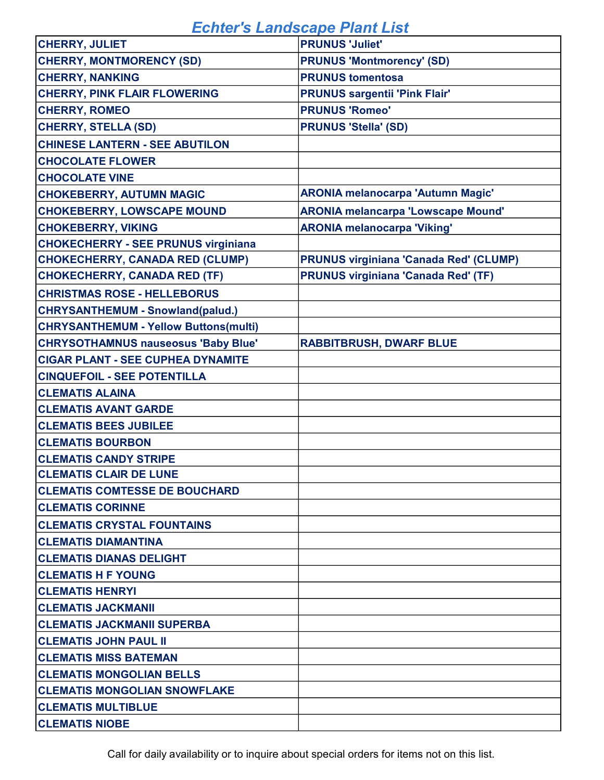| <b>CHERRY, JULIET</b>                        | <b>PRUNUS 'Juliet'</b>                        |
|----------------------------------------------|-----------------------------------------------|
| <b>CHERRY, MONTMORENCY (SD)</b>              | <b>PRUNUS 'Montmorency' (SD)</b>              |
| <b>CHERRY, NANKING</b>                       | <b>PRUNUS tomentosa</b>                       |
| <b>CHERRY, PINK FLAIR FLOWERING</b>          | <b>PRUNUS sargentii 'Pink Flair'</b>          |
| <b>CHERRY, ROMEO</b>                         | <b>PRUNUS 'Romeo'</b>                         |
| <b>CHERRY, STELLA (SD)</b>                   | <b>PRUNUS 'Stella' (SD)</b>                   |
| <b>CHINESE LANTERN - SEE ABUTILON</b>        |                                               |
| <b>CHOCOLATE FLOWER</b>                      |                                               |
| <b>CHOCOLATE VINE</b>                        |                                               |
| <b>CHOKEBERRY, AUTUMN MAGIC</b>              | <b>ARONIA melanocarpa 'Autumn Magic'</b>      |
| <b>CHOKEBERRY, LOWSCAPE MOUND</b>            | <b>ARONIA melancarpa 'Lowscape Mound'</b>     |
| <b>CHOKEBERRY, VIKING</b>                    | <b>ARONIA melanocarpa 'Viking'</b>            |
| <b>CHOKECHERRY - SEE PRUNUS virginiana</b>   |                                               |
| <b>CHOKECHERRY, CANADA RED (CLUMP)</b>       | <b>PRUNUS virginiana 'Canada Red' (CLUMP)</b> |
| <b>CHOKECHERRY, CANADA RED (TF)</b>          | <b>PRUNUS virginiana 'Canada Red' (TF)</b>    |
| <b>CHRISTMAS ROSE - HELLEBORUS</b>           |                                               |
| <b>CHRYSANTHEMUM - Snowland(palud.)</b>      |                                               |
| <b>CHRYSANTHEMUM - Yellow Buttons(multi)</b> |                                               |
| <b>CHRYSOTHAMNUS nauseosus 'Baby Blue'</b>   | <b>RABBITBRUSH, DWARF BLUE</b>                |
| <b>CIGAR PLANT - SEE CUPHEA DYNAMITE</b>     |                                               |
| <b>CINQUEFOIL - SEE POTENTILLA</b>           |                                               |
| <b>CLEMATIS ALAINA</b>                       |                                               |
| <b>CLEMATIS AVANT GARDE</b>                  |                                               |
| <b>CLEMATIS BEES JUBILEE</b>                 |                                               |
| <b>CLEMATIS BOURBON</b>                      |                                               |
| <b>CLEMATIS CANDY STRIPE</b>                 |                                               |
| <b>CLEMATIS CLAIR DE LUNE</b>                |                                               |
| <b>CLEMATIS COMTESSE DE BOUCHARD</b>         |                                               |
| <b>CLEMATIS CORINNE</b>                      |                                               |
| <b>CLEMATIS CRYSTAL FOUNTAINS</b>            |                                               |
| <b>CLEMATIS DIAMANTINA</b>                   |                                               |
| <b>CLEMATIS DIANAS DELIGHT</b>               |                                               |
| <b>CLEMATIS H F YOUNG</b>                    |                                               |
| <b>CLEMATIS HENRYI</b>                       |                                               |
| <b>CLEMATIS JACKMANII</b>                    |                                               |
| <b>CLEMATIS JACKMANII SUPERBA</b>            |                                               |
| <b>CLEMATIS JOHN PAUL II</b>                 |                                               |
| <b>CLEMATIS MISS BATEMAN</b>                 |                                               |
| <b>CLEMATIS MONGOLIAN BELLS</b>              |                                               |
| <b>CLEMATIS MONGOLIAN SNOWFLAKE</b>          |                                               |
| <b>CLEMATIS MULTIBLUE</b>                    |                                               |
| <b>CLEMATIS NIOBE</b>                        |                                               |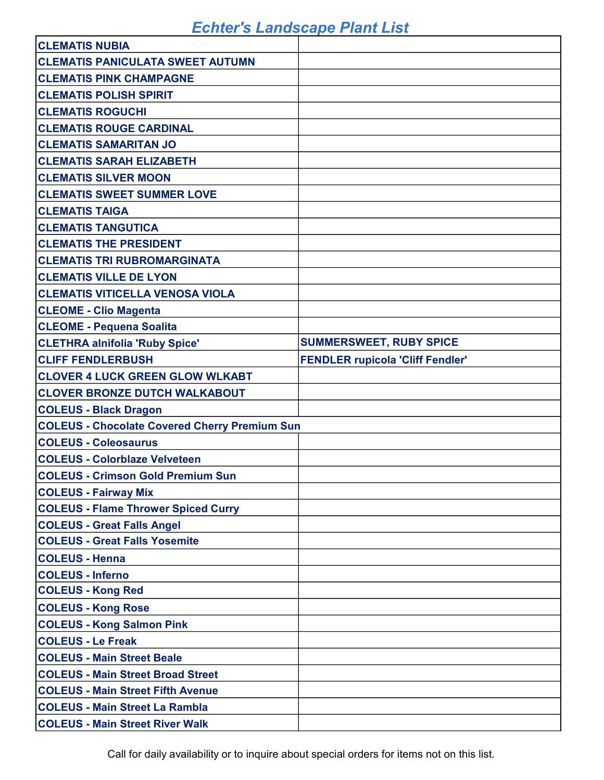| <b>CLEMATIS NUBIA</b>                                |                                         |
|------------------------------------------------------|-----------------------------------------|
| <b>CLEMATIS PANICULATA SWEET AUTUMN</b>              |                                         |
| <b>CLEMATIS PINK CHAMPAGNE</b>                       |                                         |
| <b>CLEMATIS POLISH SPIRIT</b>                        |                                         |
| <b>CLEMATIS ROGUCHI</b>                              |                                         |
| <b>CLEMATIS ROUGE CARDINAL</b>                       |                                         |
| <b>CLEMATIS SAMARITAN JO</b>                         |                                         |
| <b>CLEMATIS SARAH ELIZABETH</b>                      |                                         |
| <b>CLEMATIS SILVER MOON</b>                          |                                         |
| <b>CLEMATIS SWEET SUMMER LOVE</b>                    |                                         |
| <b>CLEMATIS TAIGA</b>                                |                                         |
| <b>CLEMATIS TANGUTICA</b>                            |                                         |
| <b>CLEMATIS THE PRESIDENT</b>                        |                                         |
| <b>CLEMATIS TRI RUBROMARGINATA</b>                   |                                         |
| <b>CLEMATIS VILLE DE LYON</b>                        |                                         |
| <b>CLEMATIS VITICELLA VENOSA VIOLA</b>               |                                         |
| <b>CLEOME - Clio Magenta</b>                         |                                         |
| <b>CLEOME - Pequena Soalita</b>                      |                                         |
| <b>CLETHRA alnifolia 'Ruby Spice'</b>                | <b>SUMMERSWEET, RUBY SPICE</b>          |
| <b>CLIFF FENDLERBUSH</b>                             | <b>FENDLER rupicola 'Cliff Fendler'</b> |
| <b>CLOVER 4 LUCK GREEN GLOW WLKABT</b>               |                                         |
|                                                      |                                         |
| <b>CLOVER BRONZE DUTCH WALKABOUT</b>                 |                                         |
| <b>COLEUS - Black Dragon</b>                         |                                         |
| <b>COLEUS - Chocolate Covered Cherry Premium Sun</b> |                                         |
| <b>COLEUS - Coleosaurus</b>                          |                                         |
| <b>COLEUS - Colorblaze Velveteen</b>                 |                                         |
| <b>COLEUS - Crimson Gold Premium Sun</b>             |                                         |
| <b>COLEUS - Fairway Mix</b>                          |                                         |
| <b>COLEUS - Flame Thrower Spiced Curry</b>           |                                         |
| <b>COLEUS - Great Falls Angel</b>                    |                                         |
| <b>COLEUS - Great Falls Yosemite</b>                 |                                         |
| <b>COLEUS - Henna</b>                                |                                         |
| <b>COLEUS - Inferno</b>                              |                                         |
| <b>COLEUS - Kong Red</b>                             |                                         |
| <b>COLEUS - Kong Rose</b>                            |                                         |
| <b>COLEUS - Kong Salmon Pink</b>                     |                                         |
| <b>COLEUS - Le Freak</b>                             |                                         |
| <b>COLEUS - Main Street Beale</b>                    |                                         |
| <b>COLEUS - Main Street Broad Street</b>             |                                         |
| <b>COLEUS - Main Street Fifth Avenue</b>             |                                         |
| <b>COLEUS - Main Street La Rambla</b>                |                                         |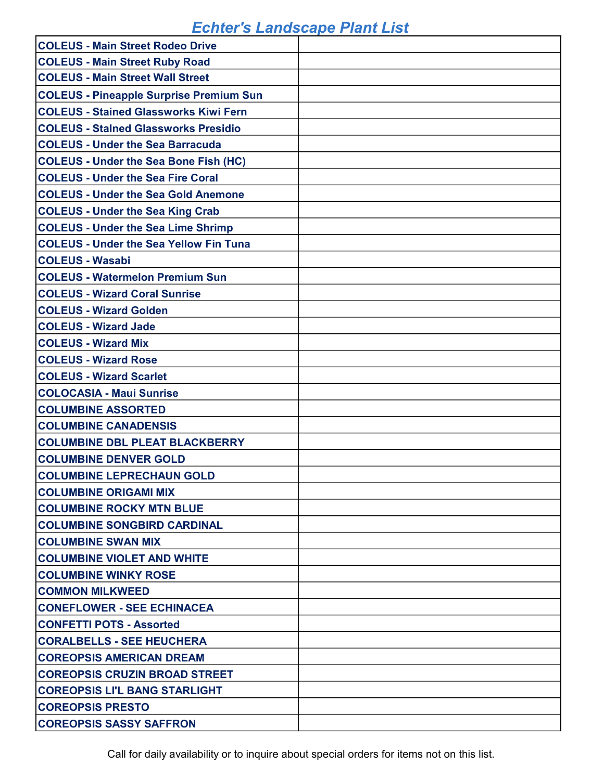| <b>COLEUS - Main Street Rodeo Drive</b>        |  |
|------------------------------------------------|--|
| <b>COLEUS - Main Street Ruby Road</b>          |  |
| <b>COLEUS - Main Street Wall Street</b>        |  |
| <b>COLEUS - Pineapple Surprise Premium Sun</b> |  |
| <b>COLEUS - Stained Glassworks Kiwi Fern</b>   |  |
| <b>COLEUS - Stalned Glassworks Presidio</b>    |  |
| <b>COLEUS - Under the Sea Barracuda</b>        |  |
| <b>COLEUS - Under the Sea Bone Fish (HC)</b>   |  |
| <b>COLEUS - Under the Sea Fire Coral</b>       |  |
| <b>COLEUS - Under the Sea Gold Anemone</b>     |  |
| <b>COLEUS - Under the Sea King Crab</b>        |  |
| <b>COLEUS - Under the Sea Lime Shrimp</b>      |  |
| <b>COLEUS - Under the Sea Yellow Fin Tuna</b>  |  |
| <b>COLEUS - Wasabi</b>                         |  |
| <b>COLEUS - Watermelon Premium Sun</b>         |  |
| <b>COLEUS - Wizard Coral Sunrise</b>           |  |
| <b>COLEUS - Wizard Golden</b>                  |  |
| <b>COLEUS - Wizard Jade</b>                    |  |
| <b>COLEUS - Wizard Mix</b>                     |  |
| <b>COLEUS - Wizard Rose</b>                    |  |
| <b>COLEUS - Wizard Scarlet</b>                 |  |
| <b>COLOCASIA - Maui Sunrise</b>                |  |
| <b>COLUMBINE ASSORTED</b>                      |  |
| <b>COLUMBINE CANADENSIS</b>                    |  |
| <b>COLUMBINE DBL PLEAT BLACKBERRY</b>          |  |
| <b>COLUMBINE DENVER GOLD</b>                   |  |
| <b>COLUMBINE LEPRECHAUN GOLD</b>               |  |
| <b>COLUMBINE ORIGAMI MIX</b>                   |  |
| <b>COLUMBINE ROCKY MTN BLUE</b>                |  |
| <b>COLUMBINE SONGBIRD CARDINAL</b>             |  |
| <b>COLUMBINE SWAN MIX</b>                      |  |
| <b>COLUMBINE VIOLET AND WHITE</b>              |  |
| <b>COLUMBINE WINKY ROSE</b>                    |  |
| <b>COMMON MILKWEED</b>                         |  |
| <b>CONEFLOWER - SEE ECHINACEA</b>              |  |
| <b>CONFETTI POTS - Assorted</b>                |  |
| <b>CORALBELLS - SEE HEUCHERA</b>               |  |
| <b>COREOPSIS AMERICAN DREAM</b>                |  |
| <b>COREOPSIS CRUZIN BROAD STREET</b>           |  |
| <b>COREOPSIS LI'L BANG STARLIGHT</b>           |  |
| <b>COREOPSIS PRESTO</b>                        |  |
| <b>COREOPSIS SASSY SAFFRON</b>                 |  |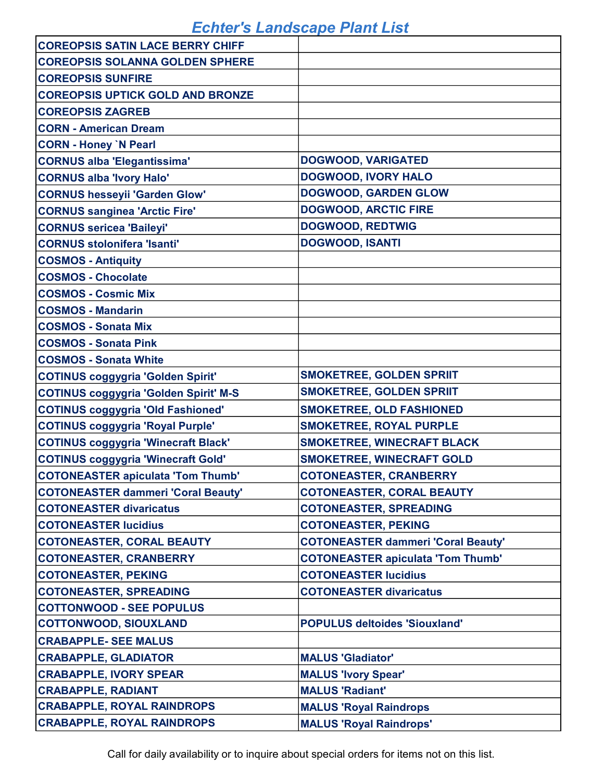| <b>COREOPSIS SATIN LACE BERRY CHIFF</b>      |                                           |
|----------------------------------------------|-------------------------------------------|
| <b>COREOPSIS SOLANNA GOLDEN SPHERE</b>       |                                           |
| <b>COREOPSIS SUNFIRE</b>                     |                                           |
| <b>COREOPSIS UPTICK GOLD AND BRONZE</b>      |                                           |
| <b>COREOPSIS ZAGREB</b>                      |                                           |
| <b>CORN - American Dream</b>                 |                                           |
| <b>CORN - Honey `N Pearl</b>                 |                                           |
| <b>CORNUS alba 'Elegantissima'</b>           | <b>DOGWOOD, VARIGATED</b>                 |
| <b>CORNUS alba 'Ivory Halo'</b>              | <b>DOGWOOD, IVORY HALO</b>                |
| <b>CORNUS hesseyii 'Garden Glow'</b>         | <b>DOGWOOD, GARDEN GLOW</b>               |
| <b>CORNUS sanginea 'Arctic Fire'</b>         | <b>DOGWOOD, ARCTIC FIRE</b>               |
| <b>CORNUS sericea 'Baileyi'</b>              | <b>DOGWOOD, REDTWIG</b>                   |
| <b>CORNUS stolonifera 'Isanti'</b>           | <b>DOGWOOD, ISANTI</b>                    |
| <b>COSMOS - Antiquity</b>                    |                                           |
| <b>COSMOS - Chocolate</b>                    |                                           |
| <b>COSMOS - Cosmic Mix</b>                   |                                           |
| <b>COSMOS - Mandarin</b>                     |                                           |
| <b>COSMOS - Sonata Mix</b>                   |                                           |
| <b>COSMOS - Sonata Pink</b>                  |                                           |
| <b>COSMOS - Sonata White</b>                 |                                           |
| <b>COTINUS coggygria 'Golden Spirit'</b>     | <b>SMOKETREE, GOLDEN SPRIIT</b>           |
| <b>COTINUS coggygria 'Golden Spirit' M-S</b> | <b>SMOKETREE, GOLDEN SPRIIT</b>           |
| <b>COTINUS coggygria 'Old Fashioned'</b>     | <b>SMOKETREE, OLD FASHIONED</b>           |
| <b>COTINUS coggygria 'Royal Purple'</b>      | <b>SMOKETREE, ROYAL PURPLE</b>            |
| <b>COTINUS coggygria 'Winecraft Black'</b>   | <b>SMOKETREE, WINECRAFT BLACK</b>         |
| <b>COTINUS coggygria 'Winecraft Gold'</b>    | <b>SMOKETREE, WINECRAFT GOLD</b>          |
| <b>COTONEASTER apiculata 'Tom Thumb'</b>     | <b>COTONEASTER, CRANBERRY</b>             |
| <b>COTONEASTER dammeri 'Coral Beauty'</b>    | <b>COTONEASTER, CORAL BEAUTY</b>          |
| <b>COTONEASTER divaricatus</b>               | <b>COTONEASTER, SPREADING</b>             |
| <b>COTONEASTER lucidius</b>                  | <b>COTONEASTER, PEKING</b>                |
| <b>COTONEASTER, CORAL BEAUTY</b>             | <b>COTONEASTER dammeri 'Coral Beauty'</b> |
| <b>COTONEASTER, CRANBERRY</b>                | <b>COTONEASTER apiculata 'Tom Thumb'</b>  |
| <b>COTONEASTER, PEKING</b>                   | <b>COTONEASTER lucidius</b>               |
| <b>COTONEASTER, SPREADING</b>                | <b>COTONEASTER divaricatus</b>            |
| <b>COTTONWOOD - SEE POPULUS</b>              |                                           |
| <b>COTTONWOOD, SIOUXLAND</b>                 | <b>POPULUS deltoides 'Siouxland'</b>      |
| <b>CRABAPPLE- SEE MALUS</b>                  |                                           |
| <b>CRABAPPLE, GLADIATOR</b>                  | <b>MALUS 'Gladiator'</b>                  |
| <b>CRABAPPLE, IVORY SPEAR</b>                | <b>MALUS 'Ivory Spear'</b>                |
| <b>CRABAPPLE, RADIANT</b>                    | <b>MALUS 'Radiant'</b>                    |
| <b>CRABAPPLE, ROYAL RAINDROPS</b>            | <b>MALUS 'Royal Raindrops'</b>            |
| <b>CRABAPPLE, ROYAL RAINDROPS</b>            | <b>MALUS 'Royal Raindrops'</b>            |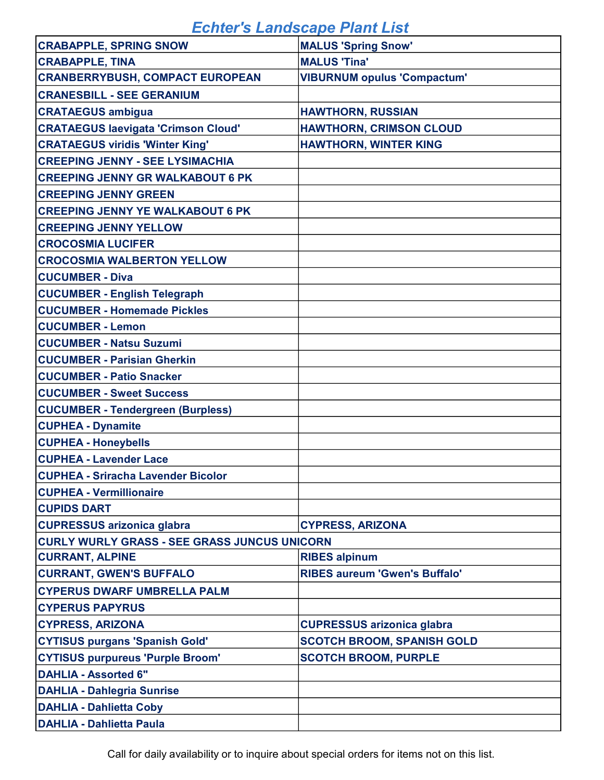| <b>CRABAPPLE, SPRING SNOW</b>                       | <b>MALUS 'Spring Snow'</b>           |
|-----------------------------------------------------|--------------------------------------|
| <b>CRABAPPLE, TINA</b>                              | <b>MALUS 'Tina'</b>                  |
| <b>CRANBERRYBUSH, COMPACT EUROPEAN</b>              | <b>VIBURNUM opulus 'Compactum'</b>   |
| <b>CRANESBILL - SEE GERANIUM</b>                    |                                      |
| <b>CRATAEGUS ambigua</b>                            | <b>HAWTHORN, RUSSIAN</b>             |
| <b>CRATAEGUS laevigata 'Crimson Cloud'</b>          | <b>HAWTHORN, CRIMSON CLOUD</b>       |
| <b>CRATAEGUS viridis 'Winter King'</b>              | <b>HAWTHORN, WINTER KING</b>         |
| <b>CREEPING JENNY - SEE LYSIMACHIA</b>              |                                      |
| <b>CREEPING JENNY GR WALKABOUT 6 PK</b>             |                                      |
| <b>CREEPING JENNY GREEN</b>                         |                                      |
| <b>CREEPING JENNY YE WALKABOUT 6 PK</b>             |                                      |
| <b>CREEPING JENNY YELLOW</b>                        |                                      |
| <b>CROCOSMIA LUCIFER</b>                            |                                      |
| <b>CROCOSMIA WALBERTON YELLOW</b>                   |                                      |
| <b>CUCUMBER - Diva</b>                              |                                      |
| <b>CUCUMBER - English Telegraph</b>                 |                                      |
| <b>CUCUMBER - Homemade Pickles</b>                  |                                      |
| <b>CUCUMBER - Lemon</b>                             |                                      |
| <b>CUCUMBER - Natsu Suzumi</b>                      |                                      |
| <b>CUCUMBER - Parisian Gherkin</b>                  |                                      |
| <b>CUCUMBER - Patio Snacker</b>                     |                                      |
| <b>CUCUMBER - Sweet Success</b>                     |                                      |
| <b>CUCUMBER - Tendergreen (Burpless)</b>            |                                      |
| <b>CUPHEA - Dynamite</b>                            |                                      |
| <b>CUPHEA - Honeybells</b>                          |                                      |
| <b>CUPHEA - Lavender Lace</b>                       |                                      |
| <b>CUPHEA - Sriracha Lavender Bicolor</b>           |                                      |
| <b>CUPHEA - Vermillionaire</b>                      |                                      |
| <b>CUPIDS DART</b>                                  |                                      |
| <b>CUPRESSUS arizonica glabra</b>                   | <b>CYPRESS, ARIZONA</b>              |
| <b>CURLY WURLY GRASS - SEE GRASS JUNCUS UNICORN</b> |                                      |
| <b>CURRANT, ALPINE</b>                              | <b>RIBES alpinum</b>                 |
| <b>CURRANT, GWEN'S BUFFALO</b>                      | <b>RIBES aureum 'Gwen's Buffalo'</b> |
| <b>CYPERUS DWARF UMBRELLA PALM</b>                  |                                      |
| <b>CYPERUS PAPYRUS</b>                              |                                      |
| <b>CYPRESS, ARIZONA</b>                             | <b>CUPRESSUS arizonica glabra</b>    |
| <b>CYTISUS purgans 'Spanish Gold'</b>               | <b>SCOTCH BROOM, SPANISH GOLD</b>    |
| <b>CYTISUS purpureus 'Purple Broom'</b>             | <b>SCOTCH BROOM, PURPLE</b>          |
| <b>DAHLIA - Assorted 6"</b>                         |                                      |
| <b>DAHLIA - Dahlegria Sunrise</b>                   |                                      |
| <b>DAHLIA - Dahlietta Coby</b>                      |                                      |
| <b>DAHLIA - Dahlietta Paula</b>                     |                                      |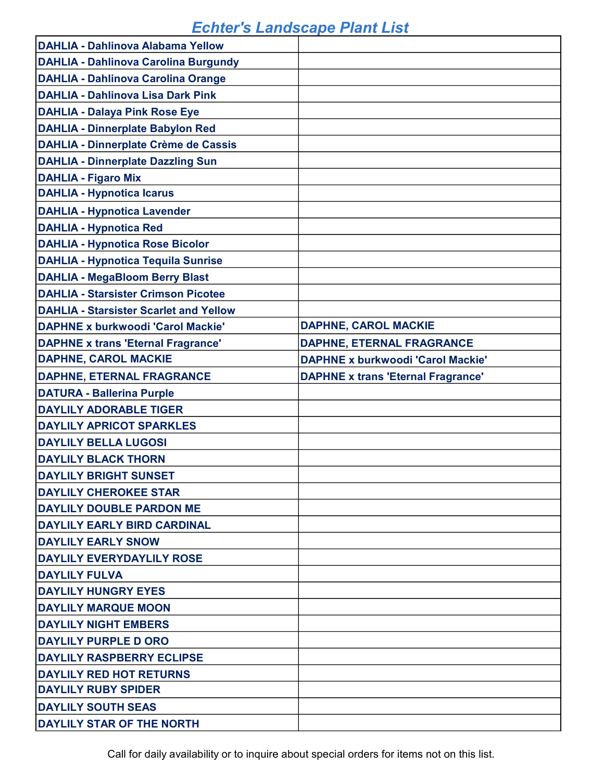| <b>DAHLIA - Dahlinova Alabama Yellow</b>      |                                           |
|-----------------------------------------------|-------------------------------------------|
| <b>DAHLIA - Dahlinova Carolina Burgundy</b>   |                                           |
| <b>DAHLIA - Dahlinova Carolina Orange</b>     |                                           |
| <b>DAHLIA - Dahlinova Lisa Dark Pink</b>      |                                           |
| <b>DAHLIA - Dalaya Pink Rose Eye</b>          |                                           |
| <b>DAHLIA - Dinnerplate Babylon Red</b>       |                                           |
| <b>DAHLIA - Dinnerplate Crème de Cassis</b>   |                                           |
| <b>DAHLIA - Dinnerplate Dazzling Sun</b>      |                                           |
| <b>DAHLIA - Figaro Mix</b>                    |                                           |
| <b>DAHLIA - Hypnotica Icarus</b>              |                                           |
| <b>DAHLIA - Hypnotica Lavender</b>            |                                           |
| <b>DAHLIA - Hypnotica Red</b>                 |                                           |
| <b>DAHLIA - Hypnotica Rose Bicolor</b>        |                                           |
| <b>DAHLIA - Hypnotica Tequila Sunrise</b>     |                                           |
| <b>DAHLIA - MegaBloom Berry Blast</b>         |                                           |
| <b>DAHLIA - Starsister Crimson Picotee</b>    |                                           |
| <b>DAHLIA - Starsister Scarlet and Yellow</b> |                                           |
| <b>DAPHNE x burkwoodi 'Carol Mackie'</b>      | <b>DAPHNE, CAROL MACKIE</b>               |
| <b>DAPHNE x trans 'Eternal Fragrance'</b>     | <b>DAPHNE, ETERNAL FRAGRANCE</b>          |
| <b>DAPHNE, CAROL MACKIE</b>                   | <b>DAPHNE x burkwoodi 'Carol Mackie'</b>  |
| <b>DAPHNE, ETERNAL FRAGRANCE</b>              | <b>DAPHNE x trans 'Eternal Fragrance'</b> |
| <b>DATURA - Ballerina Purple</b>              |                                           |
| <b>DAYLILY ADORABLE TIGER</b>                 |                                           |
| <b>DAYLILY APRICOT SPARKLES</b>               |                                           |
| <b>DAYLILY BELLA LUGOSI</b>                   |                                           |
| <b>DAYLILY BLACK THORN</b>                    |                                           |
| <b>DAYLILY BRIGHT SUNSET</b>                  |                                           |
| <b>DAYLILY CHEROKEE STAR</b>                  |                                           |
| <b>DAYLILY DOUBLE PARDON ME</b>               |                                           |
| <b>DAYLILY EARLY BIRD CARDINAL</b>            |                                           |
| <b>DAYLILY EARLY SNOW</b>                     |                                           |
| <b>DAYLILY EVERYDAYLILY ROSE</b>              |                                           |
| <b>DAYLILY FULVA</b>                          |                                           |
| <b>DAYLILY HUNGRY EYES</b>                    |                                           |
| <b>DAYLILY MARQUE MOON</b>                    |                                           |
| <b>DAYLILY NIGHT EMBERS</b>                   |                                           |
|                                               |                                           |
| <b>DAYLILY PURPLE D ORO</b>                   |                                           |
| <b>DAYLILY RASPBERRY ECLIPSE</b>              |                                           |
| <b>DAYLILY RED HOT RETURNS</b>                |                                           |
| <b>DAYLILY RUBY SPIDER</b>                    |                                           |
| <b>DAYLILY SOUTH SEAS</b>                     |                                           |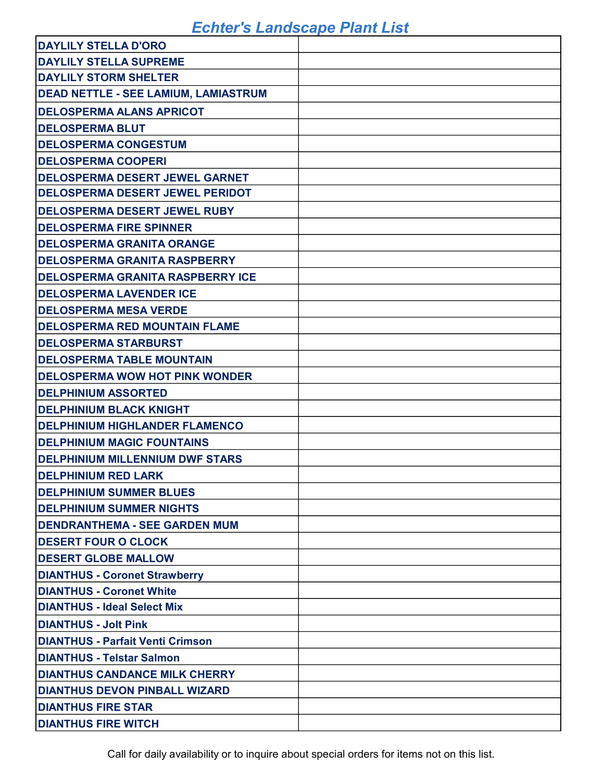| <b>DAYLILY STELLA D'ORO</b>                 |  |
|---------------------------------------------|--|
| <b>DAYLILY STELLA SUPREME</b>               |  |
| <b>DAYLILY STORM SHELTER</b>                |  |
| <b>DEAD NETTLE - SEE LAMIUM, LAMIASTRUM</b> |  |
| <b>DELOSPERMA ALANS APRICOT</b>             |  |
| <b>DELOSPERMA BLUT</b>                      |  |
| <b>DELOSPERMA CONGESTUM</b>                 |  |
| <b>DELOSPERMA COOPERI</b>                   |  |
| <b>DELOSPERMA DESERT JEWEL GARNET</b>       |  |
| <b>DELOSPERMA DESERT JEWEL PERIDOT</b>      |  |
| <b>DELOSPERMA DESERT JEWEL RUBY</b>         |  |
| <b>DELOSPERMA FIRE SPINNER</b>              |  |
| <b>DELOSPERMA GRANITA ORANGE</b>            |  |
| <b>DELOSPERMA GRANITA RASPBERRY</b>         |  |
| <b>DELOSPERMA GRANITA RASPBERRY ICE</b>     |  |
| <b>DELOSPERMA LAVENDER ICE</b>              |  |
| <b>DELOSPERMA MESA VERDE</b>                |  |
| <b>DELOSPERMA RED MOUNTAIN FLAME</b>        |  |
| <b>DELOSPERMA STARBURST</b>                 |  |
| <b>DELOSPERMA TABLE MOUNTAIN</b>            |  |
| <b>DELOSPERMA WOW HOT PINK WONDER</b>       |  |
| <b>DELPHINIUM ASSORTED</b>                  |  |
| <b>DELPHINIUM BLACK KNIGHT</b>              |  |
| <b>DELPHINIUM HIGHLANDER FLAMENCO</b>       |  |
| <b>DELPHINIUM MAGIC FOUNTAINS</b>           |  |
| <b>DELPHINIUM MILLENNIUM DWF STARS</b>      |  |
| <b>DELPHINIUM RED LARK</b>                  |  |
| <b>DELPHINIUM SUMMER BLUES</b>              |  |
| <b>DELPHINIUM SUMMER NIGHTS</b>             |  |
| <b>DENDRANTHEMA - SEE GARDEN MUM</b>        |  |
| <b>DESERT FOUR O CLOCK</b>                  |  |
| <b>DESERT GLOBE MALLOW</b>                  |  |
| <b>DIANTHUS - Coronet Strawberry</b>        |  |
| <b>DIANTHUS - Coronet White</b>             |  |
| <b>DIANTHUS - Ideal Select Mix</b>          |  |
| <b>DIANTHUS - Jolt Pink</b>                 |  |
| <b>DIANTHUS - Parfait Venti Crimson</b>     |  |
| <b>DIANTHUS - Telstar Salmon</b>            |  |
| <b>DIANTHUS CANDANCE MILK CHERRY</b>        |  |
| <b>DIANTHUS DEVON PINBALL WIZARD</b>        |  |
| <b>DIANTHUS FIRE STAR</b>                   |  |
| <b>DIANTHUS FIRE WITCH</b>                  |  |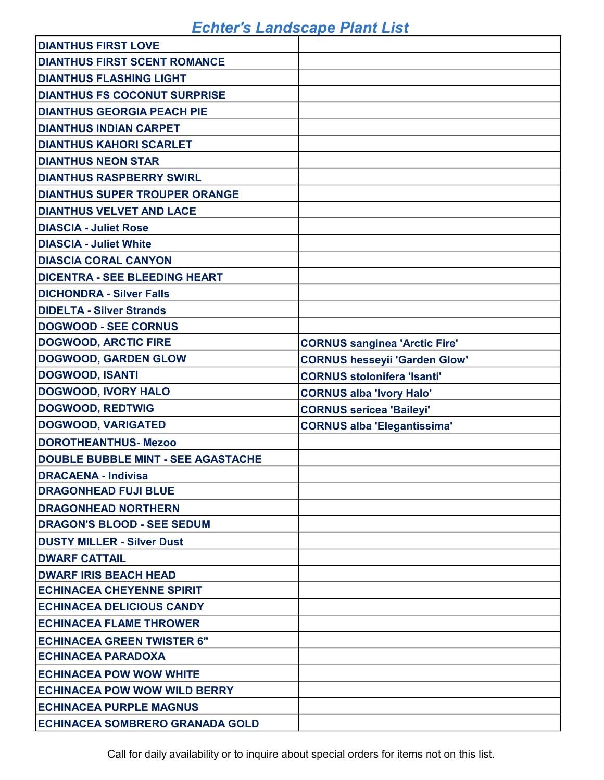| <b>DIANTHUS FIRST LOVE</b>                |                                      |
|-------------------------------------------|--------------------------------------|
| <b>DIANTHUS FIRST SCENT ROMANCE</b>       |                                      |
| <b>DIANTHUS FLASHING LIGHT</b>            |                                      |
| <b>DIANTHUS FS COCONUT SURPRISE</b>       |                                      |
| <b>DIANTHUS GEORGIA PEACH PIE</b>         |                                      |
| <b>DIANTHUS INDIAN CARPET</b>             |                                      |
| <b>DIANTHUS KAHORI SCARLET</b>            |                                      |
| <b>DIANTHUS NEON STAR</b>                 |                                      |
| <b>DIANTHUS RASPBERRY SWIRL</b>           |                                      |
| <b>DIANTHUS SUPER TROUPER ORANGE</b>      |                                      |
| <b>DIANTHUS VELVET AND LACE</b>           |                                      |
| <b>DIASCIA - Juliet Rose</b>              |                                      |
| <b>DIASCIA - Juliet White</b>             |                                      |
| <b>DIASCIA CORAL CANYON</b>               |                                      |
| <b>DICENTRA - SEE BLEEDING HEART</b>      |                                      |
| <b>DICHONDRA - Silver Falls</b>           |                                      |
| <b>DIDELTA - Silver Strands</b>           |                                      |
| <b>DOGWOOD - SEE CORNUS</b>               |                                      |
| <b>DOGWOOD, ARCTIC FIRE</b>               | <b>CORNUS sanginea 'Arctic Fire'</b> |
| <b>DOGWOOD, GARDEN GLOW</b>               | <b>CORNUS hesseyii 'Garden Glow'</b> |
| <b>DOGWOOD, ISANTI</b>                    | <b>CORNUS stolonifera 'Isanti'</b>   |
| <b>DOGWOOD, IVORY HALO</b>                | <b>CORNUS alba 'Ivory Halo'</b>      |
| <b>DOGWOOD, REDTWIG</b>                   | <b>CORNUS sericea 'Baileyi'</b>      |
| <b>DOGWOOD, VARIGATED</b>                 | <b>CORNUS alba 'Elegantissima'</b>   |
| <b>DOROTHEANTHUS-Mezoo</b>                |                                      |
| <b>DOUBLE BUBBLE MINT - SEE AGASTACHE</b> |                                      |
| <b>DRACAENA - Indivisa</b>                |                                      |
| <b>DRAGONHEAD FUJI BLUE</b>               |                                      |
| <b>DRAGONHEAD NORTHERN</b>                |                                      |
| <b>DRAGON'S BLOOD - SEE SEDUM</b>         |                                      |
| <b>DUSTY MILLER - Silver Dust</b>         |                                      |
| <b>DWARF CATTAIL</b>                      |                                      |
| <b>DWARF IRIS BEACH HEAD</b>              |                                      |
| <b>ECHINACEA CHEYENNE SPIRIT</b>          |                                      |
| <b>ECHINACEA DELICIOUS CANDY</b>          |                                      |
| <b>IECHINACEA FLAME THROWER</b>           |                                      |
| <b>ECHINACEA GREEN TWISTER 6"</b>         |                                      |
|                                           |                                      |
| <b>IECHINACEA PARADOXA</b>                |                                      |
| <b>ECHINACEA POW WOW WHITE</b>            |                                      |
| <b>ECHINACEA POW WOW WILD BERRY</b>       |                                      |
| <b>ECHINACEA PURPLE MAGNUS</b>            |                                      |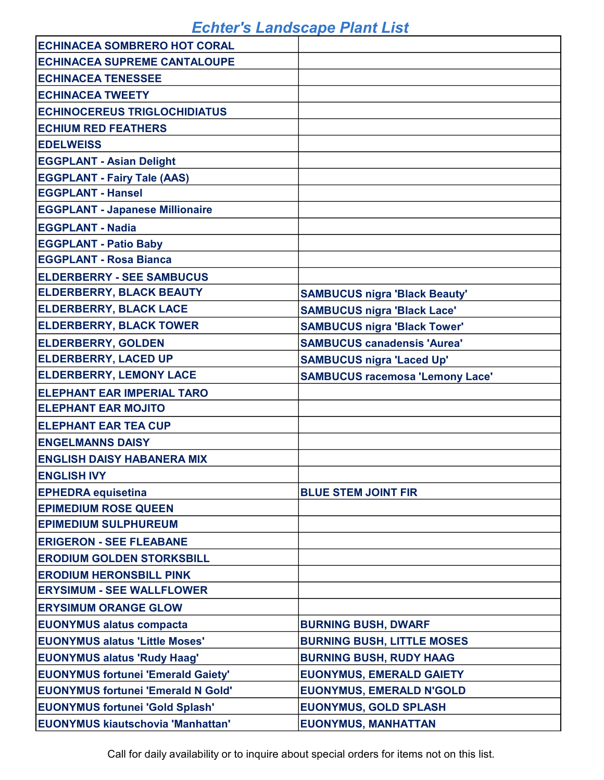| <b>ECHINACEA SOMBRERO HOT CORAL</b>       |                                        |
|-------------------------------------------|----------------------------------------|
| <b>ECHINACEA SUPREME CANTALOUPE</b>       |                                        |
| <b>ECHINACEA TENESSEE</b>                 |                                        |
| <b>ECHINACEA TWEETY</b>                   |                                        |
| <b>ECHINOCEREUS TRIGLOCHIDIATUS</b>       |                                        |
| <b>ECHIUM RED FEATHERS</b>                |                                        |
| <b>EDELWEISS</b>                          |                                        |
| <b>EGGPLANT - Asian Delight</b>           |                                        |
| <b>EGGPLANT - Fairy Tale (AAS)</b>        |                                        |
| <b>EGGPLANT - Hansel</b>                  |                                        |
| <b>EGGPLANT - Japanese Millionaire</b>    |                                        |
| <b>EGGPLANT - Nadia</b>                   |                                        |
| <b>EGGPLANT - Patio Baby</b>              |                                        |
| <b>EGGPLANT - Rosa Bianca</b>             |                                        |
| <b>ELDERBERRY - SEE SAMBUCUS</b>          |                                        |
| <b>ELDERBERRY, BLACK BEAUTY</b>           | <b>SAMBUCUS nigra 'Black Beauty'</b>   |
| <b>ELDERBERRY, BLACK LACE</b>             | <b>SAMBUCUS nigra 'Black Lace'</b>     |
| <b>ELDERBERRY, BLACK TOWER</b>            | <b>SAMBUCUS nigra 'Black Tower'</b>    |
| <b>ELDERBERRY, GOLDEN</b>                 | <b>SAMBUCUS canadensis 'Aurea'</b>     |
| <b>ELDERBERRY, LACED UP</b>               | <b>SAMBUCUS nigra 'Laced Up'</b>       |
| <b>ELDERBERRY, LEMONY LACE</b>            | <b>SAMBUCUS racemosa 'Lemony Lace'</b> |
| <b>ELEPHANT EAR IMPERIAL TARO</b>         |                                        |
| <b>ELEPHANT EAR MOJITO</b>                |                                        |
| <b>ELEPHANT EAR TEA CUP</b>               |                                        |
| <b>ENGELMANNS DAISY</b>                   |                                        |
| <b>ENGLISH DAISY HABANERA MIX</b>         |                                        |
| <b>ENGLISH IVY</b>                        |                                        |
| <b>EPHEDRA equisetina</b>                 | <b>BLUE STEM JOINT FIR</b>             |
| <b>EPIMEDIUM ROSE QUEEN</b>               |                                        |
| <b>EPIMEDIUM SULPHUREUM</b>               |                                        |
| <b>ERIGERON - SEE FLEABANE</b>            |                                        |
| <b>ERODIUM GOLDEN STORKSBILL</b>          |                                        |
| <b>ERODIUM HERONSBILL PINK</b>            |                                        |
| <b>ERYSIMUM - SEE WALLFLOWER</b>          |                                        |
| <b>ERYSIMUM ORANGE GLOW</b>               |                                        |
| <b>EUONYMUS alatus compacta</b>           | <b>BURNING BUSH, DWARF</b>             |
| <b>EUONYMUS alatus 'Little Moses'</b>     | <b>BURNING BUSH, LITTLE MOSES</b>      |
| <b>EUONYMUS alatus 'Rudy Haag'</b>        | <b>BURNING BUSH, RUDY HAAG</b>         |
| <b>EUONYMUS fortunei 'Emerald Gaiety'</b> | <b>EUONYMUS, EMERALD GAIETY</b>        |
| <b>EUONYMUS fortunei 'Emerald N Gold'</b> | <b>EUONYMUS, EMERALD N'GOLD</b>        |
| <b>EUONYMUS fortunei 'Gold Splash'</b>    | <b>EUONYMUS, GOLD SPLASH</b>           |
| <b>EUONYMUS kiautschovia 'Manhattan'</b>  | <b>EUONYMUS, MANHATTAN</b>             |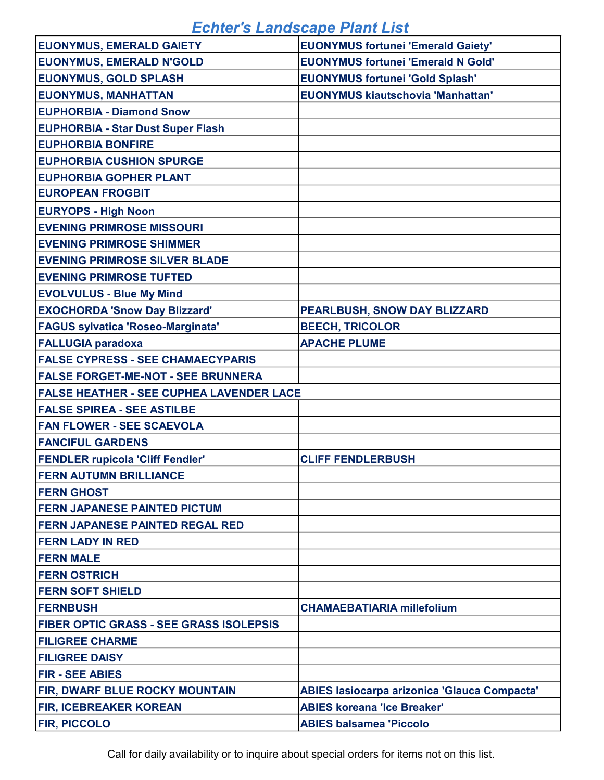| <b>EUONYMUS, EMERALD GAIETY</b>                 | <b>EUONYMUS fortunei 'Emerald Gaiety'</b>    |
|-------------------------------------------------|----------------------------------------------|
| <b>EUONYMUS, EMERALD N'GOLD</b>                 | <b>EUONYMUS fortunei 'Emerald N Gold'</b>    |
| <b>EUONYMUS, GOLD SPLASH</b>                    | <b>EUONYMUS fortunei 'Gold Splash'</b>       |
| <b>EUONYMUS, MANHATTAN</b>                      | <b>EUONYMUS kiautschovia 'Manhattan'</b>     |
| <b>EUPHORBIA - Diamond Snow</b>                 |                                              |
| <b>EUPHORBIA - Star Dust Super Flash</b>        |                                              |
| <b>EUPHORBIA BONFIRE</b>                        |                                              |
| <b>EUPHORBIA CUSHION SPURGE</b>                 |                                              |
| <b>EUPHORBIA GOPHER PLANT</b>                   |                                              |
| <b>EUROPEAN FROGBIT</b>                         |                                              |
| <b>EURYOPS - High Noon</b>                      |                                              |
| <b>EVENING PRIMROSE MISSOURI</b>                |                                              |
| <b>EVENING PRIMROSE SHIMMER</b>                 |                                              |
| <b>EVENING PRIMROSE SILVER BLADE</b>            |                                              |
| <b>EVENING PRIMROSE TUFTED</b>                  |                                              |
| <b>EVOLVULUS - Blue My Mind</b>                 |                                              |
| <b>EXOCHORDA 'Snow Day Blizzard'</b>            | PEARLBUSH, SNOW DAY BLIZZARD                 |
| <b>FAGUS sylvatica 'Roseo-Marginata'</b>        | <b>BEECH, TRICOLOR</b>                       |
| <b>FALLUGIA paradoxa</b>                        | <b>APACHE PLUME</b>                          |
| <b>FALSE CYPRESS - SEE CHAMAECYPARIS</b>        |                                              |
| <b>FALSE FORGET-ME-NOT - SEE BRUNNERA</b>       |                                              |
| <b>FALSE HEATHER - SEE CUPHEA LAVENDER LACE</b> |                                              |
| <b>FALSE SPIREA - SEE ASTILBE</b>               |                                              |
| <b>FAN FLOWER - SEE SCAEVOLA</b>                |                                              |
| <b>FANCIFUL GARDENS</b>                         |                                              |
| <b>FENDLER rupicola 'Cliff Fendler'</b>         | <b>CLIFF FENDLERBUSH</b>                     |
| <b>FERN AUTUMN BRILLIANCE</b>                   |                                              |
| <b>FERN GHOST</b>                               |                                              |
| <b>FERN JAPANESE PAINTED PICTUM</b>             |                                              |
| <b>FERN JAPANESE PAINTED REGAL RED</b>          |                                              |
| <b>FERN LADY IN RED</b>                         |                                              |
| <b>FERN MALE</b>                                |                                              |
| <b>FERN OSTRICH</b>                             |                                              |
| <b>FERN SOFT SHIELD</b>                         |                                              |
| <b>FERNBUSH</b>                                 | <b>CHAMAEBATIARIA millefolium</b>            |
| <b>FIBER OPTIC GRASS - SEE GRASS ISOLEPSIS</b>  |                                              |
| <b>FILIGREE CHARME</b>                          |                                              |
| <b>FILIGREE DAISY</b>                           |                                              |
| <b>FIR - SEE ABIES</b>                          |                                              |
| <b>FIR, DWARF BLUE ROCKY MOUNTAIN</b>           | ABIES lasiocarpa arizonica 'Glauca Compacta' |
| <b>FIR, ICEBREAKER KOREAN</b>                   | <b>ABIES koreana 'Ice Breaker'</b>           |
| <b>FIR, PICCOLO</b>                             | <b>ABIES balsamea 'Piccolo</b>               |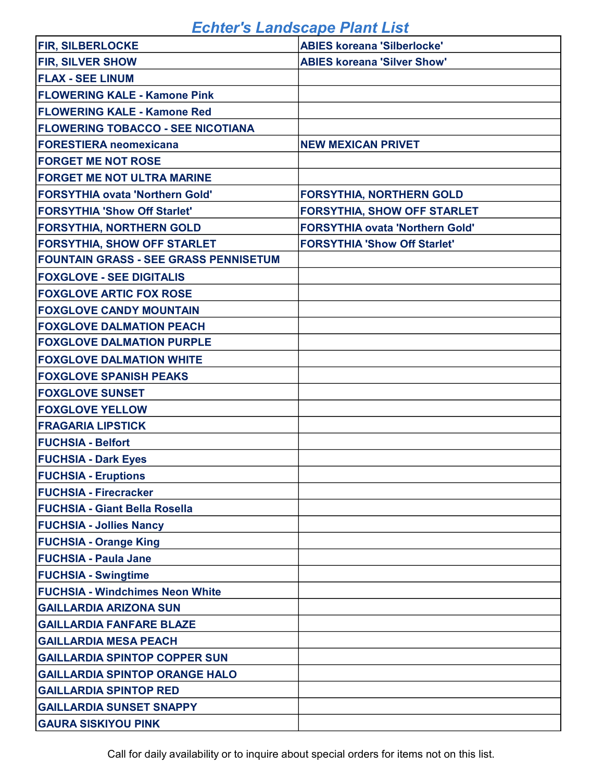| <b>FIR, SILBERLOCKE</b>                      | <b>ABIES koreana 'Silberlocke'</b>     |
|----------------------------------------------|----------------------------------------|
| <b>FIR, SILVER SHOW</b>                      | <b>ABIES koreana 'Silver Show'</b>     |
| <b>FLAX - SEE LINUM</b>                      |                                        |
| <b>FLOWERING KALE - Kamone Pink</b>          |                                        |
| <b>FLOWERING KALE - Kamone Red</b>           |                                        |
| <b>FLOWERING TOBACCO - SEE NICOTIANA</b>     |                                        |
| <b>FORESTIERA neomexicana</b>                | <b>NEW MEXICAN PRIVET</b>              |
| <b>FORGET ME NOT ROSE</b>                    |                                        |
| <b>FORGET ME NOT ULTRA MARINE</b>            |                                        |
| <b>FORSYTHIA ovata 'Northern Gold'</b>       | <b>FORSYTHIA, NORTHERN GOLD</b>        |
| <b>FORSYTHIA 'Show Off Starlet'</b>          | <b>FORSYTHIA, SHOW OFF STARLET</b>     |
| <b>FORSYTHIA, NORTHERN GOLD</b>              | <b>FORSYTHIA ovata 'Northern Gold'</b> |
| <b>FORSYTHIA, SHOW OFF STARLET</b>           | <b>FORSYTHIA 'Show Off Starlet'</b>    |
| <b>FOUNTAIN GRASS - SEE GRASS PENNISETUM</b> |                                        |
| <b>FOXGLOVE - SEE DIGITALIS</b>              |                                        |
| <b>FOXGLOVE ARTIC FOX ROSE</b>               |                                        |
| <b>FOXGLOVE CANDY MOUNTAIN</b>               |                                        |
| <b>FOXGLOVE DALMATION PEACH</b>              |                                        |
| <b>FOXGLOVE DALMATION PURPLE</b>             |                                        |
| <b>FOXGLOVE DALMATION WHITE</b>              |                                        |
| <b>FOXGLOVE SPANISH PEAKS</b>                |                                        |
| <b>FOXGLOVE SUNSET</b>                       |                                        |
| <b>FOXGLOVE YELLOW</b>                       |                                        |
| <b>FRAGARIA LIPSTICK</b>                     |                                        |
| <b>FUCHSIA - Belfort</b>                     |                                        |
| <b>FUCHSIA - Dark Eyes</b>                   |                                        |
| <b>FUCHSIA - Eruptions</b>                   |                                        |
| <b>FUCHSIA - Firecracker</b>                 |                                        |
| <b>FUCHSIA - Giant Bella Rosella</b>         |                                        |
| <b>FUCHSIA - Jollies Nancy</b>               |                                        |
| <b>FUCHSIA - Orange King</b>                 |                                        |
| <b>FUCHSIA - Paula Jane</b>                  |                                        |
| <b>FUCHSIA - Swingtime</b>                   |                                        |
| <b>FUCHSIA - Windchimes Neon White</b>       |                                        |
| <b>GAILLARDIA ARIZONA SUN</b>                |                                        |
| <b>GAILLARDIA FANFARE BLAZE</b>              |                                        |
| <b>GAILLARDIA MESA PEACH</b>                 |                                        |
| <b>GAILLARDIA SPINTOP COPPER SUN</b>         |                                        |
| <b>GAILLARDIA SPINTOP ORANGE HALO</b>        |                                        |
| <b>GAILLARDIA SPINTOP RED</b>                |                                        |
| <b>GAILLARDIA SUNSET SNAPPY</b>              |                                        |
| <b>GAURA SISKIYOU PINK</b>                   |                                        |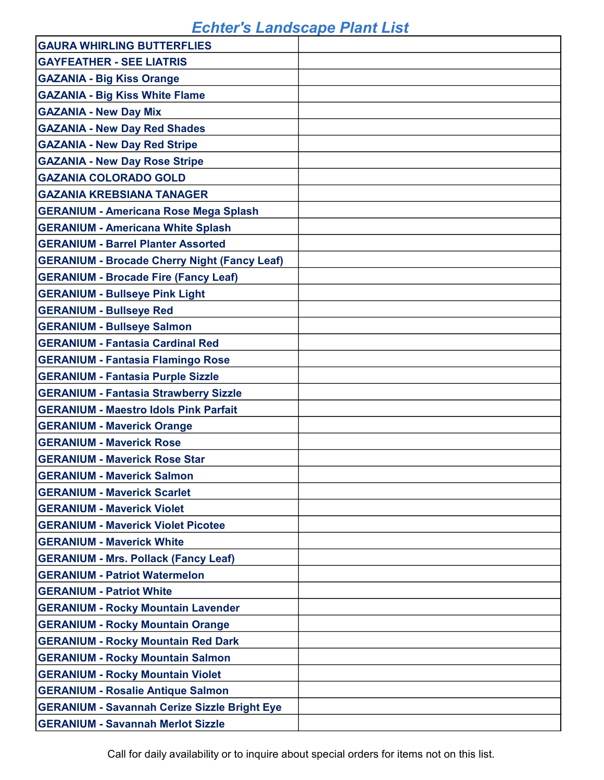| <b>GAURA WHIRLING BUTTERFLIES</b>                   |  |
|-----------------------------------------------------|--|
| <b>GAYFEATHER - SEE LIATRIS</b>                     |  |
| <b>GAZANIA - Big Kiss Orange</b>                    |  |
| <b>GAZANIA - Big Kiss White Flame</b>               |  |
| <b>GAZANIA - New Day Mix</b>                        |  |
| <b>GAZANIA - New Day Red Shades</b>                 |  |
| <b>GAZANIA - New Day Red Stripe</b>                 |  |
| <b>GAZANIA - New Day Rose Stripe</b>                |  |
| <b>GAZANIA COLORADO GOLD</b>                        |  |
| <b>GAZANIA KREBSIANA TANAGER</b>                    |  |
| <b>GERANIUM - Americana Rose Mega Splash</b>        |  |
| <b>GERANIUM - Americana White Splash</b>            |  |
| <b>GERANIUM - Barrel Planter Assorted</b>           |  |
| <b>GERANIUM - Brocade Cherry Night (Fancy Leaf)</b> |  |
| <b>GERANIUM - Brocade Fire (Fancy Leaf)</b>         |  |
| <b>GERANIUM - Bullseye Pink Light</b>               |  |
| <b>GERANIUM - Bullseye Red</b>                      |  |
| <b>GERANIUM - Bullseye Salmon</b>                   |  |
| <b>GERANIUM - Fantasia Cardinal Red</b>             |  |
| <b>GERANIUM - Fantasia Flamingo Rose</b>            |  |
| <b>GERANIUM - Fantasia Purple Sizzle</b>            |  |
| <b>GERANIUM - Fantasia Strawberry Sizzle</b>        |  |
| <b>GERANIUM - Maestro Idols Pink Parfait</b>        |  |
| <b>GERANIUM - Maverick Orange</b>                   |  |
| <b>GERANIUM - Maverick Rose</b>                     |  |
| <b>GERANIUM - Maverick Rose Star</b>                |  |
| <b>GERANIUM - Maverick Salmon</b>                   |  |
| <b>GERANIUM - Maverick Scarlet</b>                  |  |
| <b>GERANIUM - Maverick Violet</b>                   |  |
| <b>GERANIUM - Maverick Violet Picotee</b>           |  |
| <b>GERANIUM - Maverick White</b>                    |  |
| <b>GERANIUM - Mrs. Pollack (Fancy Leaf)</b>         |  |
| <b>GERANIUM - Patriot Watermelon</b>                |  |
| <b>GERANIUM - Patriot White</b>                     |  |
| <b>GERANIUM - Rocky Mountain Lavender</b>           |  |
| <b>GERANIUM - Rocky Mountain Orange</b>             |  |
| <b>GERANIUM - Rocky Mountain Red Dark</b>           |  |
| <b>GERANIUM - Rocky Mountain Salmon</b>             |  |
| <b>GERANIUM - Rocky Mountain Violet</b>             |  |
| <b>GERANIUM - Rosalie Antique Salmon</b>            |  |
| <b>GERANIUM - Savannah Cerize Sizzle Bright Eye</b> |  |
| <b>GERANIUM - Savannah Merlot Sizzle</b>            |  |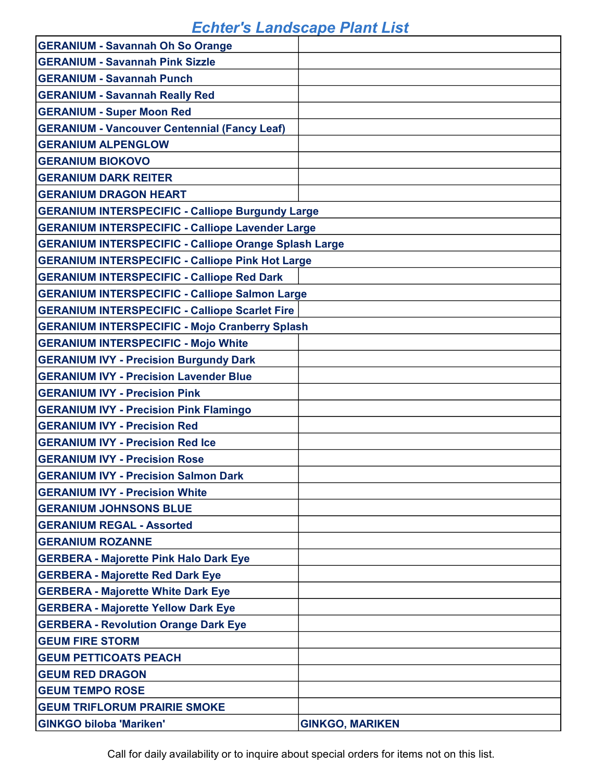| <b>GERANIUM - Savannah Oh So Orange</b>                      |                        |
|--------------------------------------------------------------|------------------------|
| <b>GERANIUM - Savannah Pink Sizzle</b>                       |                        |
| <b>GERANIUM - Savannah Punch</b>                             |                        |
| <b>GERANIUM - Savannah Really Red</b>                        |                        |
| <b>GERANIUM - Super Moon Red</b>                             |                        |
| <b>GERANIUM - Vancouver Centennial (Fancy Leaf)</b>          |                        |
| <b>GERANIUM ALPENGLOW</b>                                    |                        |
| <b>GERANIUM BIOKOVO</b>                                      |                        |
| <b>GERANIUM DARK REITER</b>                                  |                        |
| <b>GERANIUM DRAGON HEART</b>                                 |                        |
| <b>GERANIUM INTERSPECIFIC - Calliope Burgundy Large</b>      |                        |
| <b>GERANIUM INTERSPECIFIC - Calliope Lavender Large</b>      |                        |
| <b>GERANIUM INTERSPECIFIC - Calliope Orange Splash Large</b> |                        |
| <b>GERANIUM INTERSPECIFIC - Calliope Pink Hot Large</b>      |                        |
| <b>GERANIUM INTERSPECIFIC - Calliope Red Dark</b>            |                        |
| <b>GERANIUM INTERSPECIFIC - Calliope Salmon Large</b>        |                        |
| <b>GERANIUM INTERSPECIFIC - Calliope Scarlet Fire</b>        |                        |
| <b>GERANIUM INTERSPECIFIC - Mojo Cranberry Splash</b>        |                        |
| <b>GERANIUM INTERSPECIFIC - Mojo White</b>                   |                        |
| <b>GERANIUM IVY - Precision Burgundy Dark</b>                |                        |
| <b>GERANIUM IVY - Precision Lavender Blue</b>                |                        |
| <b>GERANIUM IVY - Precision Pink</b>                         |                        |
| <b>GERANIUM IVY - Precision Pink Flamingo</b>                |                        |
| <b>GERANIUM IVY - Precision Red</b>                          |                        |
| <b>GERANIUM IVY - Precision Red Ice</b>                      |                        |
| <b>GERANIUM IVY - Precision Rose</b>                         |                        |
| <b>GERANIUM IVY - Precision Salmon Dark</b>                  |                        |
| <b>GERANIUM IVY - Precision White</b>                        |                        |
| <b>GERANIUM JOHNSONS BLUE</b>                                |                        |
| <b>GERANIUM REGAL - Assorted</b>                             |                        |
| <b>GERANIUM ROZANNE</b>                                      |                        |
| <b>GERBERA - Majorette Pink Halo Dark Eye</b>                |                        |
| <b>GERBERA - Majorette Red Dark Eye</b>                      |                        |
| <b>GERBERA - Majorette White Dark Eye</b>                    |                        |
| <b>GERBERA - Majorette Yellow Dark Eye</b>                   |                        |
| <b>GERBERA - Revolution Orange Dark Eye</b>                  |                        |
| <b>GEUM FIRE STORM</b>                                       |                        |
| <b>GEUM PETTICOATS PEACH</b>                                 |                        |
| <b>GEUM RED DRAGON</b>                                       |                        |
| <b>GEUM TEMPO ROSE</b>                                       |                        |
| <b>GEUM TRIFLORUM PRAIRIE SMOKE</b>                          |                        |
| <b>GINKGO biloba 'Mariken'</b>                               | <b>GINKGO, MARIKEN</b> |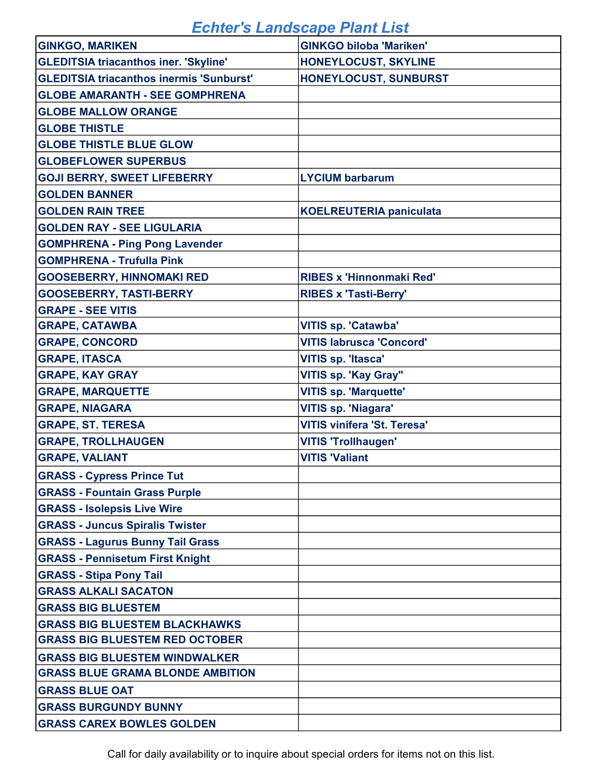| <b>GINKGO, MARIKEN</b>                          | <b>GINKGO biloba 'Mariken'</b>     |
|-------------------------------------------------|------------------------------------|
| <b>GLEDITSIA triacanthos iner. 'Skyline'</b>    | HONEYLOCUST, SKYLINE               |
| <b>GLEDITSIA triacanthos inermis 'Sunburst'</b> | HONEYLOCUST, SUNBURST              |
| <b>GLOBE AMARANTH - SEE GOMPHRENA</b>           |                                    |
| <b>GLOBE MALLOW ORANGE</b>                      |                                    |
| <b>GLOBE THISTLE</b>                            |                                    |
| <b>GLOBE THISTLE BLUE GLOW</b>                  |                                    |
| <b>GLOBEFLOWER SUPERBUS</b>                     |                                    |
| <b>GOJI BERRY, SWEET LIFEBERRY</b>              | <b>LYCIUM barbarum</b>             |
| <b>GOLDEN BANNER</b>                            |                                    |
| <b>GOLDEN RAIN TREE</b>                         | <b>KOELREUTERIA paniculata</b>     |
| <b>GOLDEN RAY - SEE LIGULARIA</b>               |                                    |
| <b>GOMPHRENA - Ping Pong Lavender</b>           |                                    |
| <b>GOMPHRENA - Trufulla Pink</b>                |                                    |
| <b>GOOSEBERRY, HINNOMAKI RED</b>                | <b>RIBES x 'Hinnonmaki Red'</b>    |
| <b>GOOSEBERRY, TASTI-BERRY</b>                  | <b>RIBES x 'Tasti-Berry'</b>       |
| <b>GRAPE - SEE VITIS</b>                        |                                    |
| <b>GRAPE, CATAWBA</b>                           | <b>VITIS sp. 'Catawba'</b>         |
| <b>GRAPE, CONCORD</b>                           | <b>VITIS labrusca 'Concord'</b>    |
| <b>GRAPE, ITASCA</b>                            | <b>VITIS sp. 'Itasca'</b>          |
| <b>GRAPE, KAY GRAY</b>                          | VITIS sp. 'Kay Gray"               |
| <b>GRAPE, MARQUETTE</b>                         | <b>VITIS sp. 'Marquette'</b>       |
| <b>GRAPE, NIAGARA</b>                           | <b>VITIS sp. 'Niagara'</b>         |
| <b>GRAPE, ST. TERESA</b>                        | <b>VITIS vinifera 'St. Teresa'</b> |
| <b>GRAPE, TROLLHAUGEN</b>                       | <b>VITIS 'Trollhaugen'</b>         |
| <b>GRAPE, VALIANT</b>                           | <b>VITIS 'Valiant</b>              |
| <b>GRASS - Cypress Prince Tut</b>               |                                    |
| <b>GRASS - Fountain Grass Purple</b>            |                                    |
| <b>GRASS - Isolepsis Live Wire</b>              |                                    |
| <b>GRASS - Juncus Spiralis Twister</b>          |                                    |
| <b>GRASS - Lagurus Bunny Tail Grass</b>         |                                    |
| <b>GRASS - Pennisetum First Knight</b>          |                                    |
| <b>GRASS - Stipa Pony Tail</b>                  |                                    |
| <b>GRASS ALKALI SACATON</b>                     |                                    |
| <b>GRASS BIG BLUESTEM</b>                       |                                    |
| <b>GRASS BIG BLUESTEM BLACKHAWKS</b>            |                                    |
| <b>GRASS BIG BLUESTEM RED OCTOBER</b>           |                                    |
| <b>GRASS BIG BLUESTEM WINDWALKER</b>            |                                    |
| <b>GRASS BLUE GRAMA BLONDE AMBITION</b>         |                                    |
| <b>GRASS BLUE OAT</b>                           |                                    |
| <b>GRASS BURGUNDY BUNNY</b>                     |                                    |
| <b>GRASS CAREX BOWLES GOLDEN</b>                |                                    |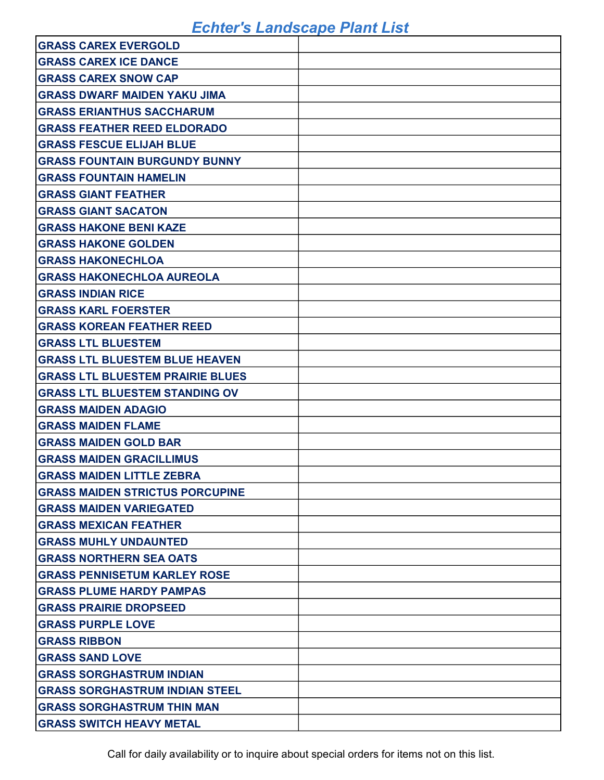| <b>GRASS CAREX EVERGOLD</b>             |  |
|-----------------------------------------|--|
| <b>GRASS CAREX ICE DANCE</b>            |  |
| <b>GRASS CAREX SNOW CAP</b>             |  |
| <b>GRASS DWARF MAIDEN YAKU JIMA</b>     |  |
| <b>GRASS ERIANTHUS SACCHARUM</b>        |  |
| <b>GRASS FEATHER REED ELDORADO</b>      |  |
| <b>GRASS FESCUE ELIJAH BLUE</b>         |  |
| <b>GRASS FOUNTAIN BURGUNDY BUNNY</b>    |  |
| <b>GRASS FOUNTAIN HAMELIN</b>           |  |
| <b>GRASS GIANT FEATHER</b>              |  |
| <b>GRASS GIANT SACATON</b>              |  |
| <b>GRASS HAKONE BENI KAZE</b>           |  |
| <b>GRASS HAKONE GOLDEN</b>              |  |
| <b>GRASS HAKONECHLOA</b>                |  |
| <b>GRASS HAKONECHLOA AUREOLA</b>        |  |
| <b>GRASS INDIAN RICE</b>                |  |
| <b>GRASS KARL FOERSTER</b>              |  |
| <b>GRASS KOREAN FEATHER REED</b>        |  |
| <b>GRASS LTL BLUESTEM</b>               |  |
| <b>GRASS LTL BLUESTEM BLUE HEAVEN</b>   |  |
| <b>GRASS LTL BLUESTEM PRAIRIE BLUES</b> |  |
| <b>GRASS LTL BLUESTEM STANDING OV</b>   |  |
| <b>GRASS MAIDEN ADAGIO</b>              |  |
| <b>GRASS MAIDEN FLAME</b>               |  |
| <b>GRASS MAIDEN GOLD BAR</b>            |  |
| <b>GRASS MAIDEN GRACILLIMUS</b>         |  |
| <b>GRASS MAIDEN LITTLE ZEBRA</b>        |  |
| <b>GRASS MAIDEN STRICTUS PORCUPINE</b>  |  |
| <b>GRASS MAIDEN VARIEGATED</b>          |  |
| <b>GRASS MEXICAN FEATHER</b>            |  |
| <b>GRASS MUHLY UNDAUNTED</b>            |  |
| <b>GRASS NORTHERN SEA OATS</b>          |  |
| <b>GRASS PENNISETUM KARLEY ROSE</b>     |  |
| <b>GRASS PLUME HARDY PAMPAS</b>         |  |
| <b>GRASS PRAIRIE DROPSEED</b>           |  |
| <b>GRASS PURPLE LOVE</b>                |  |
| <b>GRASS RIBBON</b>                     |  |
| <b>GRASS SAND LOVE</b>                  |  |
| <b>GRASS SORGHASTRUM INDIAN</b>         |  |
| <b>GRASS SORGHASTRUM INDIAN STEEL</b>   |  |
| <b>GRASS SORGHASTRUM THIN MAN</b>       |  |
| <b>GRASS SWITCH HEAVY METAL</b>         |  |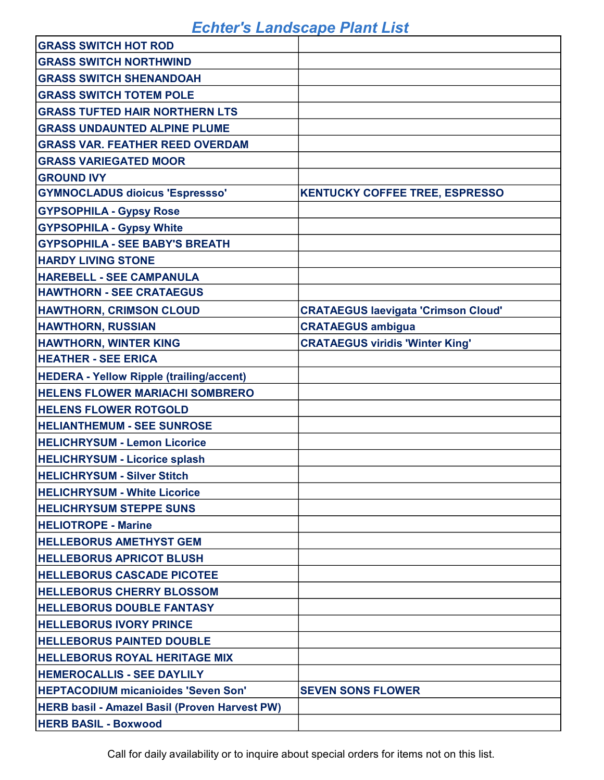| <b>GRASS SWITCH HOT ROD</b>                          |                                            |
|------------------------------------------------------|--------------------------------------------|
| <b>GRASS SWITCH NORTHWIND</b>                        |                                            |
| <b>GRASS SWITCH SHENANDOAH</b>                       |                                            |
| <b>GRASS SWITCH TOTEM POLE</b>                       |                                            |
| <b>GRASS TUFTED HAIR NORTHERN LTS</b>                |                                            |
| <b>GRASS UNDAUNTED ALPINE PLUME</b>                  |                                            |
| <b>GRASS VAR. FEATHER REED OVERDAM</b>               |                                            |
| <b>GRASS VARIEGATED MOOR</b>                         |                                            |
| <b>GROUND IVY</b>                                    |                                            |
| <b>GYMNOCLADUS dioicus 'Espressso'</b>               | <b>KENTUCKY COFFEE TREE, ESPRESSO</b>      |
| <b>GYPSOPHILA - Gypsy Rose</b>                       |                                            |
| <b>GYPSOPHILA - Gypsy White</b>                      |                                            |
| <b>GYPSOPHILA - SEE BABY'S BREATH</b>                |                                            |
| <b>HARDY LIVING STONE</b>                            |                                            |
| <b>HAREBELL - SEE CAMPANULA</b>                      |                                            |
| <b>HAWTHORN - SEE CRATAEGUS</b>                      |                                            |
| <b>HAWTHORN, CRIMSON CLOUD</b>                       | <b>CRATAEGUS laevigata 'Crimson Cloud'</b> |
| <b>HAWTHORN, RUSSIAN</b>                             | <b>CRATAEGUS ambigua</b>                   |
| <b>HAWTHORN, WINTER KING</b>                         | <b>CRATAEGUS viridis 'Winter King'</b>     |
| <b>HEATHER - SEE ERICA</b>                           |                                            |
| <b>HEDERA - Yellow Ripple (trailing/accent)</b>      |                                            |
| <b>HELENS FLOWER MARIACHI SOMBRERO</b>               |                                            |
| <b>HELENS FLOWER ROTGOLD</b>                         |                                            |
| <b>HELIANTHEMUM - SEE SUNROSE</b>                    |                                            |
| <b>HELICHRYSUM - Lemon Licorice</b>                  |                                            |
| <b>HELICHRYSUM - Licorice splash</b>                 |                                            |
| <b>HELICHRYSUM - Silver Stitch</b>                   |                                            |
| <b>HELICHRYSUM - White Licorice</b>                  |                                            |
| <b>HELICHRYSUM STEPPE SUNS</b>                       |                                            |
| <b>HELIOTROPE - Marine</b>                           |                                            |
| <b>HELLEBORUS AMETHYST GEM</b>                       |                                            |
| <b>HELLEBORUS APRICOT BLUSH</b>                      |                                            |
| <b>HELLEBORUS CASCADE PICOTEE</b>                    |                                            |
| <b>HELLEBORUS CHERRY BLOSSOM</b>                     |                                            |
| <b>HELLEBORUS DOUBLE FANTASY</b>                     |                                            |
| <b>HELLEBORUS IVORY PRINCE</b>                       |                                            |
| <b>HELLEBORUS PAINTED DOUBLE</b>                     |                                            |
| <b>HELLEBORUS ROYAL HERITAGE MIX</b>                 |                                            |
| <b>HEMEROCALLIS - SEE DAYLILY</b>                    |                                            |
| <b>HEPTACODIUM micanioides 'Seven Son'</b>           | <b>SEVEN SONS FLOWER</b>                   |
| <b>HERB basil - Amazel Basil (Proven Harvest PW)</b> |                                            |
| <b>HERB BASIL - Boxwood</b>                          |                                            |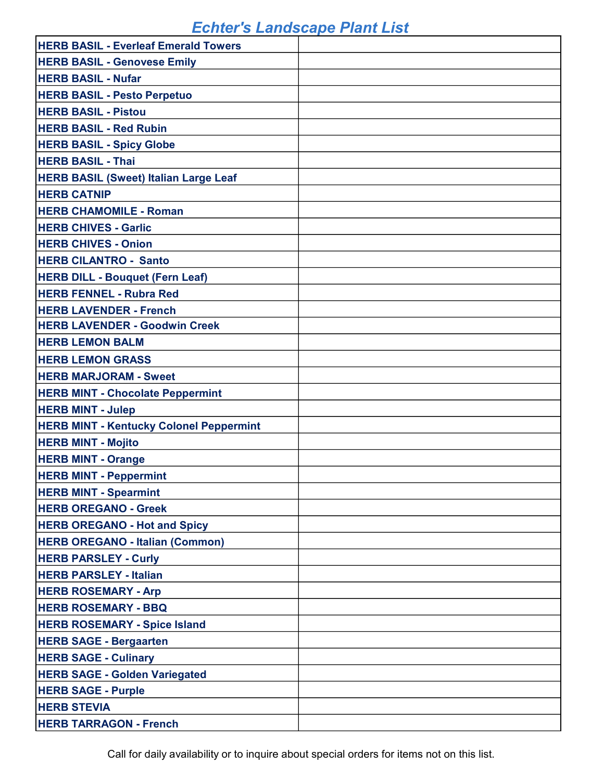| <b>HERB BASIL - Everleaf Emerald Towers</b>    |  |
|------------------------------------------------|--|
| <b>HERB BASIL - Genovese Emily</b>             |  |
| <b>HERB BASIL - Nufar</b>                      |  |
| <b>HERB BASIL - Pesto Perpetuo</b>             |  |
| <b>HERB BASIL - Pistou</b>                     |  |
| <b>HERB BASIL - Red Rubin</b>                  |  |
| <b>HERB BASIL - Spicy Globe</b>                |  |
| <b>HERB BASIL - Thai</b>                       |  |
| <b>HERB BASIL (Sweet) Italian Large Leaf</b>   |  |
| <b>HERB CATNIP</b>                             |  |
| <b>HERB CHAMOMILE - Roman</b>                  |  |
| <b>HERB CHIVES - Garlic</b>                    |  |
| <b>HERB CHIVES - Onion</b>                     |  |
| <b>HERB CILANTRO - Santo</b>                   |  |
| <b>HERB DILL - Bouquet (Fern Leaf)</b>         |  |
| <b>HERB FENNEL - Rubra Red</b>                 |  |
| <b>HERB LAVENDER - French</b>                  |  |
| <b>HERB LAVENDER - Goodwin Creek</b>           |  |
| <b>HERB LEMON BALM</b>                         |  |
| <b>HERB LEMON GRASS</b>                        |  |
| <b>HERB MARJORAM - Sweet</b>                   |  |
| <b>HERB MINT - Chocolate Peppermint</b>        |  |
| <b>HERB MINT - Julep</b>                       |  |
| <b>HERB MINT - Kentucky Colonel Peppermint</b> |  |
| <b>HERB MINT - Mojito</b>                      |  |
| <b>HERB MINT - Orange</b>                      |  |
| <b>HERB MINT - Peppermint</b>                  |  |
| <b>HERB MINT - Spearmint</b>                   |  |
| <b>HERB OREGANO - Greek</b>                    |  |
| <b>HERB OREGANO - Hot and Spicy</b>            |  |
| <b>HERB OREGANO - Italian (Common)</b>         |  |
| <b>HERB PARSLEY - Curly</b>                    |  |
| <b>HERB PARSLEY - Italian</b>                  |  |
| <b>HERB ROSEMARY - Arp</b>                     |  |
| <b>HERB ROSEMARY - BBQ</b>                     |  |
| <b>HERB ROSEMARY - Spice Island</b>            |  |
| <b>HERB SAGE - Bergaarten</b>                  |  |
| <b>HERB SAGE - Culinary</b>                    |  |
| <b>HERB SAGE - Golden Variegated</b>           |  |
| <b>HERB SAGE - Purple</b>                      |  |
| <b>HERB STEVIA</b>                             |  |
| <b>HERB TARRAGON - French</b>                  |  |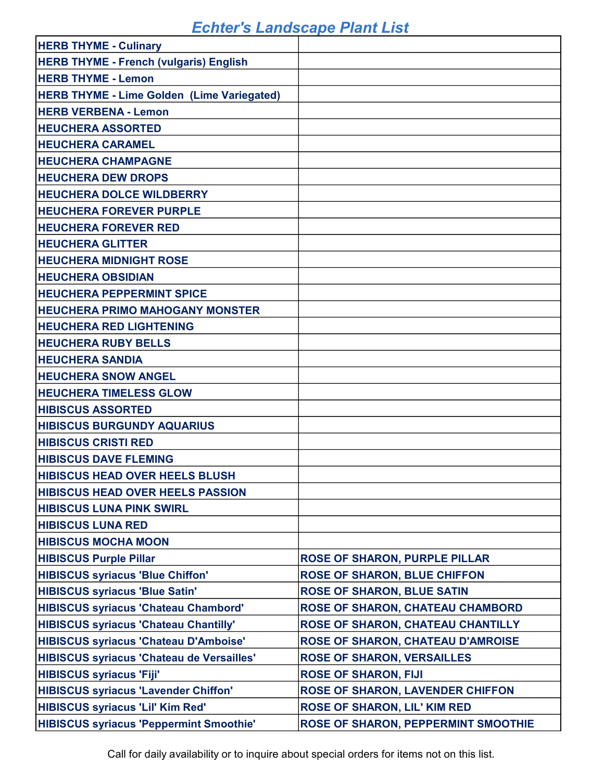| <b>HERB THYME - Culinary</b>                      |                                            |
|---------------------------------------------------|--------------------------------------------|
| <b>HERB THYME - French (vulgaris) English</b>     |                                            |
| <b>HERB THYME - Lemon</b>                         |                                            |
| <b>HERB THYME - Lime Golden (Lime Variegated)</b> |                                            |
| <b>HERB VERBENA - Lemon</b>                       |                                            |
| <b>HEUCHERA ASSORTED</b>                          |                                            |
| <b>HEUCHERA CARAMEL</b>                           |                                            |
| <b>HEUCHERA CHAMPAGNE</b>                         |                                            |
| <b>HEUCHERA DEW DROPS</b>                         |                                            |
| <b>HEUCHERA DOLCE WILDBERRY</b>                   |                                            |
| <b>HEUCHERA FOREVER PURPLE</b>                    |                                            |
| <b>HEUCHERA FOREVER RED</b>                       |                                            |
| <b>HEUCHERA GLITTER</b>                           |                                            |
| <b>HEUCHERA MIDNIGHT ROSE</b>                     |                                            |
| <b>HEUCHERA OBSIDIAN</b>                          |                                            |
| <b>HEUCHERA PEPPERMINT SPICE</b>                  |                                            |
| <b>HEUCHERA PRIMO MAHOGANY MONSTER</b>            |                                            |
| <b>HEUCHERA RED LIGHTENING</b>                    |                                            |
| <b>HEUCHERA RUBY BELLS</b>                        |                                            |
| <b>HEUCHERA SANDIA</b>                            |                                            |
| <b>HEUCHERA SNOW ANGEL</b>                        |                                            |
| <b>HEUCHERA TIMELESS GLOW</b>                     |                                            |
| <b>HIBISCUS ASSORTED</b>                          |                                            |
| <b>HIBISCUS BURGUNDY AQUARIUS</b>                 |                                            |
| <b>HIBISCUS CRISTI RED</b>                        |                                            |
| <b>HIBISCUS DAVE FLEMING</b>                      |                                            |
| <b>HIBISCUS HEAD OVER HEELS BLUSH</b>             |                                            |
| <b>HIBISCUS HEAD OVER HEELS PASSION</b>           |                                            |
| <b>HIBISCUS LUNA PINK SWIRL</b>                   |                                            |
| <b>HIBISCUS LUNA RED</b>                          |                                            |
| <b>HIBISCUS MOCHA MOON</b>                        |                                            |
| <b>HIBISCUS Purple Pillar</b>                     | <b>ROSE OF SHARON, PURPLE PILLAR</b>       |
| <b>HIBISCUS syriacus 'Blue Chiffon'</b>           | <b>ROSE OF SHARON, BLUE CHIFFON</b>        |
| <b>HIBISCUS syriacus 'Blue Satin'</b>             | <b>ROSE OF SHARON, BLUE SATIN</b>          |
| <b>HIBISCUS syriacus 'Chateau Chambord'</b>       | <b>ROSE OF SHARON, CHATEAU CHAMBORD</b>    |
| <b>HIBISCUS syriacus 'Chateau Chantilly'</b>      | <b>ROSE OF SHARON, CHATEAU CHANTILLY</b>   |
| <b>HIBISCUS syriacus 'Chateau D'Amboise'</b>      | <b>ROSE OF SHARON, CHATEAU D'AMROISE</b>   |
| <b>HIBISCUS syriacus 'Chateau de Versailles'</b>  | <b>ROSE OF SHARON, VERSAILLES</b>          |
| <b>HIBISCUS syriacus 'Fiji'</b>                   | <b>ROSE OF SHARON, FIJI</b>                |
| <b>HIBISCUS syriacus 'Lavender Chiffon'</b>       | <b>ROSE OF SHARON, LAVENDER CHIFFON</b>    |
| <b>HIBISCUS syriacus 'Lil' Kim Red'</b>           | <b>ROSE OF SHARON, LIL' KIM RED</b>        |
| <b>HIBISCUS syriacus 'Peppermint Smoothie'</b>    | <b>ROSE OF SHARON, PEPPERMINT SMOOTHIE</b> |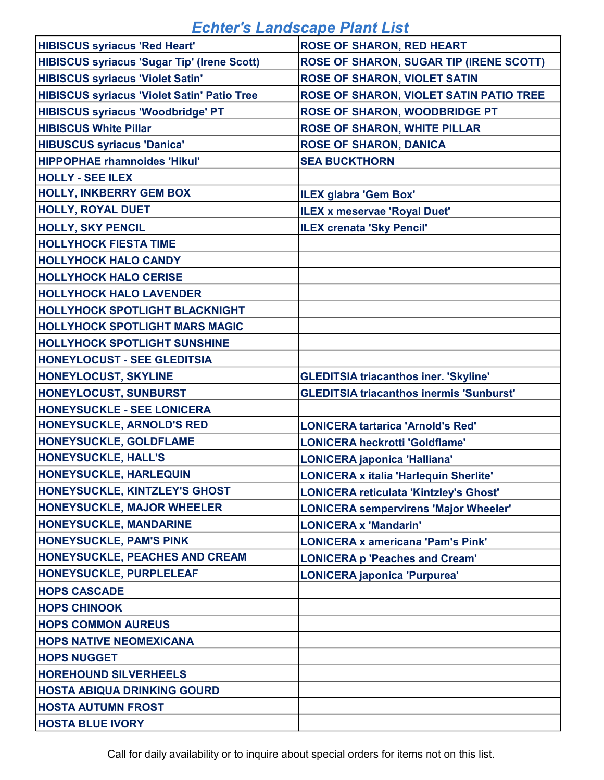| <b>HIBISCUS syriacus 'Red Heart'</b>               | <b>ROSE OF SHARON, RED HEART</b>                |
|----------------------------------------------------|-------------------------------------------------|
| <b>HIBISCUS syriacus 'Sugar Tip' (Irene Scott)</b> | ROSE OF SHARON, SUGAR TIP (IRENE SCOTT)         |
| <b>HIBISCUS syriacus 'Violet Satin'</b>            | <b>ROSE OF SHARON, VIOLET SATIN</b>             |
| <b>HIBISCUS syriacus 'Violet Satin' Patio Tree</b> | ROSE OF SHARON, VIOLET SATIN PATIO TREE         |
| <b>HIBISCUS syriacus 'Woodbridge' PT</b>           | ROSE OF SHARON, WOODBRIDGE PT                   |
| <b>HIBISCUS White Pillar</b>                       | <b>ROSE OF SHARON, WHITE PILLAR</b>             |
| <b>HIBUSCUS syriacus 'Danica'</b>                  | <b>ROSE OF SHARON, DANICA</b>                   |
| <b>HIPPOPHAE rhamnoides 'Hikul'</b>                | <b>SEA BUCKTHORN</b>                            |
| <b>HOLLY - SEE ILEX</b>                            |                                                 |
| <b>HOLLY, INKBERRY GEM BOX</b>                     | <b>ILEX glabra 'Gem Box'</b>                    |
| <b>HOLLY, ROYAL DUET</b>                           | <b>ILEX x meservae 'Royal Duet'</b>             |
| <b>HOLLY, SKY PENCIL</b>                           | <b>ILEX crenata 'Sky Pencil'</b>                |
| <b>HOLLYHOCK FIESTA TIME</b>                       |                                                 |
| <b>HOLLYHOCK HALO CANDY</b>                        |                                                 |
| <b>HOLLYHOCK HALO CERISE</b>                       |                                                 |
| <b>HOLLYHOCK HALO LAVENDER</b>                     |                                                 |
| <b>HOLLYHOCK SPOTLIGHT BLACKNIGHT</b>              |                                                 |
| <b>HOLLYHOCK SPOTLIGHT MARS MAGIC</b>              |                                                 |
| <b>HOLLYHOCK SPOTLIGHT SUNSHINE</b>                |                                                 |
| <b>HONEYLOCUST - SEE GLEDITSIA</b>                 |                                                 |
| <b>HONEYLOCUST, SKYLINE</b>                        | <b>GLEDITSIA triacanthos iner. 'Skyline'</b>    |
| <b>HONEYLOCUST, SUNBURST</b>                       | <b>GLEDITSIA triacanthos inermis 'Sunburst'</b> |
| <b>HONEYSUCKLE - SEE LONICERA</b>                  |                                                 |
| <b>HONEYSUCKLE, ARNOLD'S RED</b>                   | <b>LONICERA tartarica 'Arnold's Red'</b>        |
| <b>HONEYSUCKLE, GOLDFLAME</b>                      | <b>LONICERA heckrotti 'Goldflame'</b>           |
| <b>HONEYSUCKLE, HALL'S</b>                         | <b>LONICERA japonica 'Halliana'</b>             |
| <b>HONEYSUCKLE, HARLEQUIN</b>                      | <b>LONICERA x italia 'Harlequin Sherlite'</b>   |
| <b>HONEYSUCKLE, KINTZLEY'S GHOST</b>               | <b>LONICERA reticulata 'Kintzley's Ghost'</b>   |
| <b>HONEYSUCKLE, MAJOR WHEELER</b>                  | <b>LONICERA sempervirens 'Major Wheeler'</b>    |
| <b>HONEYSUCKLE, MANDARINE</b>                      | <b>LONICERA x 'Mandarin'</b>                    |
| <b>HONEYSUCKLE, PAM'S PINK</b>                     | <b>LONICERA x americana 'Pam's Pink'</b>        |
| <b>HONEYSUCKLE, PEACHES AND CREAM</b>              | <b>LONICERA p 'Peaches and Cream'</b>           |
| <b>HONEYSUCKLE, PURPLELEAF</b>                     | <b>LONICERA japonica 'Purpurea'</b>             |
| <b>HOPS CASCADE</b>                                |                                                 |
| <b>HOPS CHINOOK</b>                                |                                                 |
| <b>HOPS COMMON AUREUS</b>                          |                                                 |
| <b>HOPS NATIVE NEOMEXICANA</b>                     |                                                 |
| <b>HOPS NUGGET</b>                                 |                                                 |
| <b>HOREHOUND SILVERHEELS</b>                       |                                                 |
| <b>HOSTA ABIQUA DRINKING GOURD</b>                 |                                                 |
| <b>HOSTA AUTUMN FROST</b>                          |                                                 |
|                                                    |                                                 |
| <b>HOSTA BLUE IVORY</b>                            |                                                 |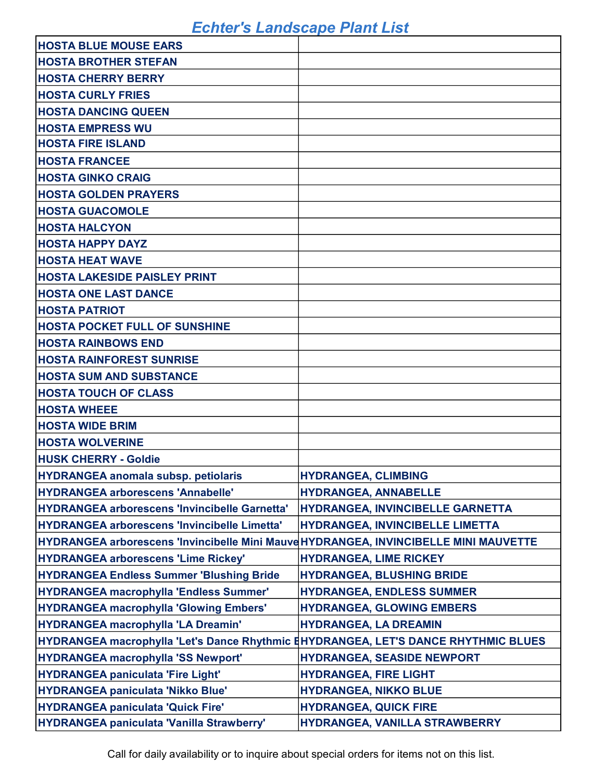| <b>HOSTA BLUE MOUSE EARS</b>                                                         |                                   |
|--------------------------------------------------------------------------------------|-----------------------------------|
| <b>HOSTA BROTHER STEFAN</b>                                                          |                                   |
| <b>HOSTA CHERRY BERRY</b>                                                            |                                   |
| <b>HOSTA CURLY FRIES</b>                                                             |                                   |
| <b>HOSTA DANCING QUEEN</b>                                                           |                                   |
| <b>HOSTA EMPRESS WU</b>                                                              |                                   |
| <b>HOSTA FIRE ISLAND</b>                                                             |                                   |
| <b>HOSTA FRANCEE</b>                                                                 |                                   |
| <b>HOSTA GINKO CRAIG</b>                                                             |                                   |
| <b>HOSTA GOLDEN PRAYERS</b>                                                          |                                   |
| <b>HOSTA GUACOMOLE</b>                                                               |                                   |
| <b>HOSTA HALCYON</b>                                                                 |                                   |
| <b>HOSTA HAPPY DAYZ</b>                                                              |                                   |
| <b>HOSTA HEAT WAVE</b>                                                               |                                   |
| <b>HOSTA LAKESIDE PAISLEY PRINT</b>                                                  |                                   |
| <b>HOSTA ONE LAST DANCE</b>                                                          |                                   |
| <b>HOSTA PATRIOT</b>                                                                 |                                   |
| <b>HOSTA POCKET FULL OF SUNSHINE</b>                                                 |                                   |
| <b>HOSTA RAINBOWS END</b>                                                            |                                   |
| <b>HOSTA RAINFOREST SUNRISE</b>                                                      |                                   |
| <b>HOSTA SUM AND SUBSTANCE</b>                                                       |                                   |
| <b>HOSTA TOUCH OF CLASS</b>                                                          |                                   |
| <b>HOSTA WHEEE</b>                                                                   |                                   |
| <b>HOSTA WIDE BRIM</b>                                                               |                                   |
| <b>HOSTA WOLVERINE</b>                                                               |                                   |
| <b>HUSK CHERRY - Goldie</b>                                                          |                                   |
| <b>HYDRANGEA anomala subsp. petiolaris</b>                                           | <b>HYDRANGEA, CLIMBING</b>        |
| <b>HYDRANGEA arborescens 'Annabelle'</b>                                             | <b>HYDRANGEA, ANNABELLE</b>       |
| HYDRANGEA arborescens 'Invincibelle Garnetta'                                        | HYDRANGEA, INVINCIBELLE GARNETTA  |
| HYDRANGEA arborescens 'Invincibelle Limetta'                                         | HYDRANGEA, INVINCIBELLE LIMETTA   |
| HYDRANGEA arborescens 'Invincibelle Mini Mauve HYDRANGEA, INVINCIBELLE MINI MAUVETTE |                                   |
| <b>HYDRANGEA arborescens 'Lime Rickey'</b>                                           | <b>HYDRANGEA, LIME RICKEY</b>     |
| <b>HYDRANGEA Endless Summer 'Blushing Bride</b>                                      | <b>HYDRANGEA, BLUSHING BRIDE</b>  |
| HYDRANGEA macrophylla 'Endless Summer'                                               | <b>HYDRANGEA, ENDLESS SUMMER</b>  |
| HYDRANGEA macrophylla 'Glowing Embers'                                               | <b>HYDRANGEA, GLOWING EMBERS</b>  |
| HYDRANGEA macrophylla 'LA Dreamin'                                                   | <b>HYDRANGEA, LA DREAMIN</b>      |
| HYDRANGEA macrophylla 'Let's Dance Rhythmic EHYDRANGEA, LET'S DANCE RHYTHMIC BLUES   |                                   |
| <b>HYDRANGEA macrophylla 'SS Newport'</b>                                            | <b>HYDRANGEA, SEASIDE NEWPORT</b> |
| HYDRANGEA paniculata 'Fire Light'                                                    | <b>HYDRANGEA, FIRE LIGHT</b>      |
| HYDRANGEA paniculata 'Nikko Blue'                                                    | <b>HYDRANGEA, NIKKO BLUE</b>      |
| HYDRANGEA paniculata 'Quick Fire'                                                    | <b>HYDRANGEA, QUICK FIRE</b>      |
| HYDRANGEA paniculata 'Vanilla Strawberry'                                            | HYDRANGEA, VANILLA STRAWBERRY     |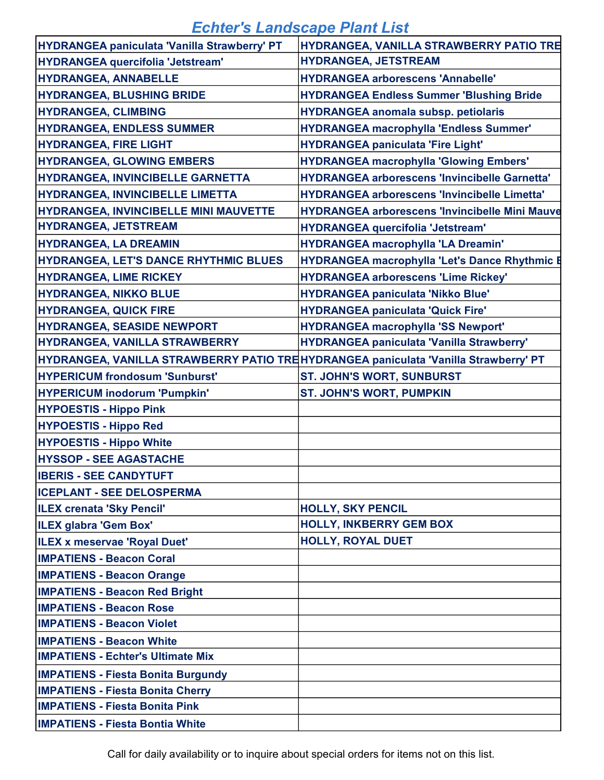| HYDRANGEA paniculata 'Vanilla Strawberry' PT                                        | HYDRANGEA, VANILLA STRAWBERRY PATIO TRE               |
|-------------------------------------------------------------------------------------|-------------------------------------------------------|
| <b>HYDRANGEA quercifolia 'Jetstream'</b>                                            | <b>HYDRANGEA, JETSTREAM</b>                           |
| <b>HYDRANGEA, ANNABELLE</b>                                                         | <b>HYDRANGEA arborescens 'Annabelle'</b>              |
| <b>HYDRANGEA, BLUSHING BRIDE</b>                                                    | <b>HYDRANGEA Endless Summer 'Blushing Bride</b>       |
| <b>HYDRANGEA, CLIMBING</b>                                                          | <b>HYDRANGEA anomala subsp. petiolaris</b>            |
| <b>HYDRANGEA, ENDLESS SUMMER</b>                                                    | <b>HYDRANGEA macrophylla 'Endless Summer'</b>         |
| <b>HYDRANGEA, FIRE LIGHT</b>                                                        | <b>HYDRANGEA paniculata 'Fire Light'</b>              |
| <b>HYDRANGEA, GLOWING EMBERS</b>                                                    | <b>HYDRANGEA macrophylla 'Glowing Embers'</b>         |
| HYDRANGEA, INVINCIBELLE GARNETTA                                                    | <b>HYDRANGEA arborescens 'Invincibelle Garnetta'</b>  |
| <b>HYDRANGEA, INVINCIBELLE LIMETTA</b>                                              | <b>HYDRANGEA arborescens 'Invincibelle Limetta'</b>   |
| <b>HYDRANGEA, INVINCIBELLE MINI MAUVETTE</b>                                        | <b>HYDRANGEA arborescens 'Invincibelle Mini Mauve</b> |
| <b>HYDRANGEA, JETSTREAM</b>                                                         | <b>HYDRANGEA quercifolia 'Jetstream'</b>              |
| <b>HYDRANGEA, LA DREAMIN</b>                                                        | <b>HYDRANGEA macrophylla 'LA Dreamin'</b>             |
| <b>HYDRANGEA, LET'S DANCE RHYTHMIC BLUES</b>                                        | <b>HYDRANGEA macrophylla 'Let's Dance Rhythmic E</b>  |
| <b>HYDRANGEA, LIME RICKEY</b>                                                       | <b>HYDRANGEA arborescens 'Lime Rickey'</b>            |
| <b>HYDRANGEA, NIKKO BLUE</b>                                                        | <b>HYDRANGEA paniculata 'Nikko Blue'</b>              |
| <b>HYDRANGEA, QUICK FIRE</b>                                                        | <b>HYDRANGEA paniculata 'Quick Fire'</b>              |
| <b>HYDRANGEA, SEASIDE NEWPORT</b>                                                   | <b>HYDRANGEA macrophylla 'SS Newport'</b>             |
| HYDRANGEA, VANILLA STRAWBERRY                                                       | HYDRANGEA paniculata 'Vanilla Strawberry'             |
| HYDRANGEA, VANILLA STRAWBERRY PATIO TREHYDRANGEA paniculata 'Vanilla Strawberry' PT |                                                       |
| <b>HYPERICUM frondosum 'Sunburst'</b>                                               | <b>ST. JOHN'S WORT, SUNBURST</b>                      |
| HYPERICUM inodorum 'Pumpkin'                                                        | <b>ST. JOHN'S WORT, PUMPKIN</b>                       |
| <b>HYPOESTIS - Hippo Pink</b>                                                       |                                                       |
| <b>HYPOESTIS - Hippo Red</b>                                                        |                                                       |
| <b>HYPOESTIS - Hippo White</b>                                                      |                                                       |
| <b>HYSSOP - SEE AGASTACHE</b>                                                       |                                                       |
| <b>IBERIS - SEE CANDYTUFT</b>                                                       |                                                       |
| <b>ICEPLANT - SEE DELOSPERMA</b>                                                    |                                                       |
| <b>ILEX crenata 'Sky Pencil'</b>                                                    | <b>HOLLY, SKY PENCIL</b>                              |
| ILEX glabra 'Gem Box'                                                               | <b>HOLLY, INKBERRY GEM BOX</b>                        |
| ILEX x meservae 'Royal Duet'                                                        | <b>HOLLY, ROYAL DUET</b>                              |
| <b>IMPATIENS - Beacon Coral</b>                                                     |                                                       |
| <b>IMPATIENS - Beacon Orange</b>                                                    |                                                       |
| <b>IMPATIENS - Beacon Red Bright</b>                                                |                                                       |
| <b>IMPATIENS - Beacon Rose</b>                                                      |                                                       |
| <b>IMPATIENS - Beacon Violet</b>                                                    |                                                       |
| <b>IMPATIENS - Beacon White</b>                                                     |                                                       |
| <b>IMPATIENS - Echter's Ultimate Mix</b>                                            |                                                       |
| <b>IMPATIENS - Fiesta Bonita Burgundy</b>                                           |                                                       |
| <b>IMPATIENS - Fiesta Bonita Cherry</b>                                             |                                                       |
|                                                                                     |                                                       |
| <b>IMPATIENS - Fiesta Bonita Pink</b>                                               |                                                       |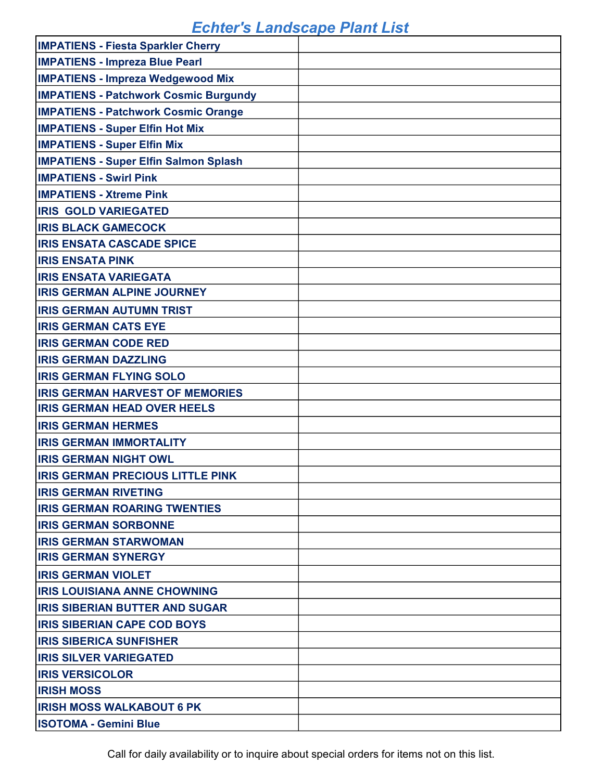| <b>IMPATIENS - Fiesta Sparkler Cherry</b>    |  |
|----------------------------------------------|--|
| <b>IMPATIENS - Impreza Blue Pearl</b>        |  |
| <b>IMPATIENS - Impreza Wedgewood Mix</b>     |  |
| <b>IMPATIENS - Patchwork Cosmic Burgundy</b> |  |
| <b>IMPATIENS - Patchwork Cosmic Orange</b>   |  |
| <b>IMPATIENS - Super Elfin Hot Mix</b>       |  |
| <b>IMPATIENS - Super Elfin Mix</b>           |  |
| <b>IMPATIENS - Super Elfin Salmon Splash</b> |  |
| <b>IMPATIENS - Swirl Pink</b>                |  |
| <b>IMPATIENS - Xtreme Pink</b>               |  |
| <b>IRIS GOLD VARIEGATED</b>                  |  |
| <b>IRIS BLACK GAMECOCK</b>                   |  |
| <b>IRIS ENSATA CASCADE SPICE</b>             |  |
| <b>IRIS ENSATA PINK</b>                      |  |
| <b>IRIS ENSATA VARIEGATA</b>                 |  |
| <b>IRIS GERMAN ALPINE JOURNEY</b>            |  |
| <b>IRIS GERMAN AUTUMN TRIST</b>              |  |
| <b>IRIS GERMAN CATS EYE</b>                  |  |
| <b>IRIS GERMAN CODE RED</b>                  |  |
| <b>IRIS GERMAN DAZZLING</b>                  |  |
| <b>IRIS GERMAN FLYING SOLO</b>               |  |
| <b>IRIS GERMAN HARVEST OF MEMORIES</b>       |  |
| <b>IRIS GERMAN HEAD OVER HEELS</b>           |  |
| <b>IRIS GERMAN HERMES</b>                    |  |
| <b>IRIS GERMAN IMMORTALITY</b>               |  |
| <b>IRIS GERMAN NIGHT OWL</b>                 |  |
| <b>IRIS GERMAN PRECIOUS LITTLE PINK</b>      |  |
| <b>IRIS GERMAN RIVETING</b>                  |  |
| <b>IRIS GERMAN ROARING TWENTIES</b>          |  |
| <b>IRIS GERMAN SORBONNE</b>                  |  |
| <b>IRIS GERMAN STARWOMAN</b>                 |  |
| <b>IRIS GERMAN SYNERGY</b>                   |  |
| <b>IRIS GERMAN VIOLET</b>                    |  |
| <b>IIRIS LOUISIANA ANNE CHOWNING</b>         |  |
| <b>IRIS SIBERIAN BUTTER AND SUGAR</b>        |  |
| <b>IRIS SIBERIAN CAPE COD BOYS</b>           |  |
| <b>IRIS SIBERICA SUNFISHER</b>               |  |
| <b>IRIS SILVER VARIEGATED</b>                |  |
| <b>IRIS VERSICOLOR</b>                       |  |
| <b>IRISH MOSS</b>                            |  |
| <b>IRISH MOSS WALKABOUT 6 PK</b>             |  |
| <b>ISOTOMA - Gemini Blue</b>                 |  |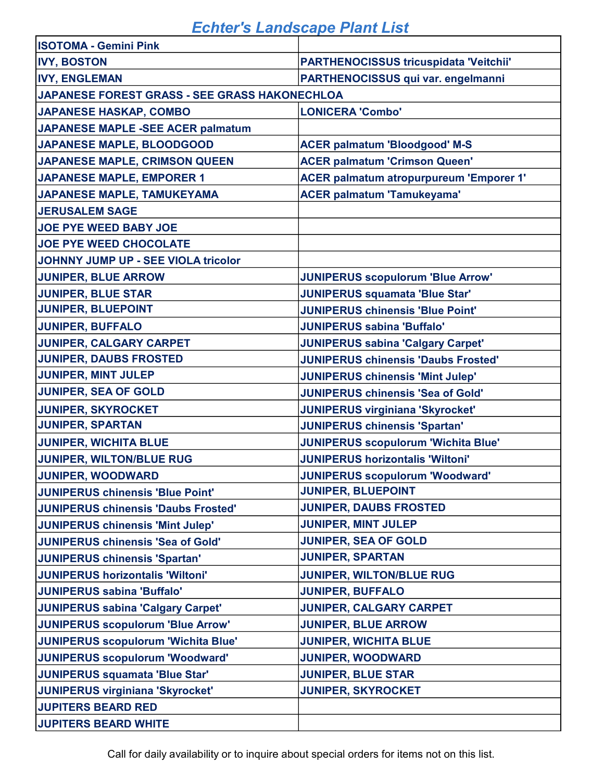| <b>ISOTOMA - Gemini Pink</b>                  |                                               |
|-----------------------------------------------|-----------------------------------------------|
| <b>IVY, BOSTON</b>                            | <b>PARTHENOCISSUS tricuspidata 'Veitchii'</b> |
| <b>IVY, ENGLEMAN</b>                          | PARTHENOCISSUS qui var. engelmanni            |
| JAPANESE FOREST GRASS - SEE GRASS HAKONECHLOA |                                               |
| <b>JAPANESE HASKAP, COMBO</b>                 | <b>LONICERA 'Combo'</b>                       |
| <b>JAPANESE MAPLE -SEE ACER palmatum</b>      |                                               |
| <b>JAPANESE MAPLE, BLOODGOOD</b>              | <b>ACER palmatum 'Bloodgood' M-S</b>          |
| <b>JAPANESE MAPLE, CRIMSON QUEEN</b>          | <b>ACER palmatum 'Crimson Queen'</b>          |
| <b>JAPANESE MAPLE, EMPORER 1</b>              | ACER palmatum atropurpureum 'Emporer 1'       |
| JAPANESE MAPLE, TAMUKEYAMA                    | <b>ACER palmatum 'Tamukeyama'</b>             |
| <b>JERUSALEM SAGE</b>                         |                                               |
| <b>JOE PYE WEED BABY JOE</b>                  |                                               |
| <b>JOE PYE WEED CHOCOLATE</b>                 |                                               |
| JOHNNY JUMP UP - SEE VIOLA tricolor           |                                               |
| <b>JUNIPER, BLUE ARROW</b>                    | <b>JUNIPERUS scopulorum 'Blue Arrow'</b>      |
| <b>JUNIPER, BLUE STAR</b>                     | <b>JUNIPERUS squamata 'Blue Star'</b>         |
| <b>JUNIPER, BLUEPOINT</b>                     | <b>JUNIPERUS chinensis 'Blue Point'</b>       |
| <b>JUNIPER, BUFFALO</b>                       | <b>JUNIPERUS sabina 'Buffalo'</b>             |
| <b>JUNIPER, CALGARY CARPET</b>                | <b>JUNIPERUS sabina 'Calgary Carpet'</b>      |
| <b>JUNIPER, DAUBS FROSTED</b>                 | <b>JUNIPERUS chinensis 'Daubs Frosted'</b>    |
| <b>JUNIPER, MINT JULEP</b>                    | <b>JUNIPERUS chinensis 'Mint Julep'</b>       |
| <b>JUNIPER, SEA OF GOLD</b>                   | <b>JUNIPERUS chinensis 'Sea of Gold'</b>      |
| <b>JUNIPER, SKYROCKET</b>                     | <b>JUNIPERUS virginiana 'Skyrocket'</b>       |
| <b>JUNIPER, SPARTAN</b>                       | <b>JUNIPERUS chinensis 'Spartan'</b>          |
| <b>JUNIPER, WICHITA BLUE</b>                  | <b>JUNIPERUS scopulorum 'Wichita Blue'</b>    |
| <b>JUNIPER, WILTON/BLUE RUG</b>               | <b>JUNIPERUS horizontalis 'Wiltoni'</b>       |
| <b>JUNIPER, WOODWARD</b>                      | <b>JUNIPERUS scopulorum 'Woodward'</b>        |
| <b>JUNIPERUS chinensis 'Blue Point'</b>       | <b>JUNIPER, BLUEPOINT</b>                     |
| <b>JUNIPERUS chinensis 'Daubs Frosted'</b>    | <b>JUNIPER, DAUBS FROSTED</b>                 |
| JUNIPERUS chinensis 'Mint Julep'              | <b>JUNIPER, MINT JULEP</b>                    |
| JUNIPERUS chinensis 'Sea of Gold'             | <b>JUNIPER, SEA OF GOLD</b>                   |
| <b>JUNIPERUS chinensis 'Spartan'</b>          | <b>JUNIPER, SPARTAN</b>                       |
| JUNIPERUS horizontalis 'Wiltoni'              | <b>JUNIPER, WILTON/BLUE RUG</b>               |
| JUNIPERUS sabina 'Buffalo'                    | <b>JUNIPER, BUFFALO</b>                       |
| <b>JUNIPERUS sabina 'Calgary Carpet'</b>      | JUNIPER, CALGARY CARPET                       |
| JUNIPERUS scopulorum 'Blue Arrow'             | <b>JUNIPER, BLUE ARROW</b>                    |
| JUNIPERUS scopulorum 'Wichita Blue'           | <b>JUNIPER, WICHITA BLUE</b>                  |
| JUNIPERUS scopulorum 'Woodward'               | <b>JUNIPER, WOODWARD</b>                      |
| JUNIPERUS squamata 'Blue Star'                | <b>JUNIPER, BLUE STAR</b>                     |
| JUNIPERUS virginiana 'Skyrocket'              | <b>JUNIPER, SKYROCKET</b>                     |
| <b>JUPITERS BEARD RED</b>                     |                                               |
| <b>JUPITERS BEARD WHITE</b>                   |                                               |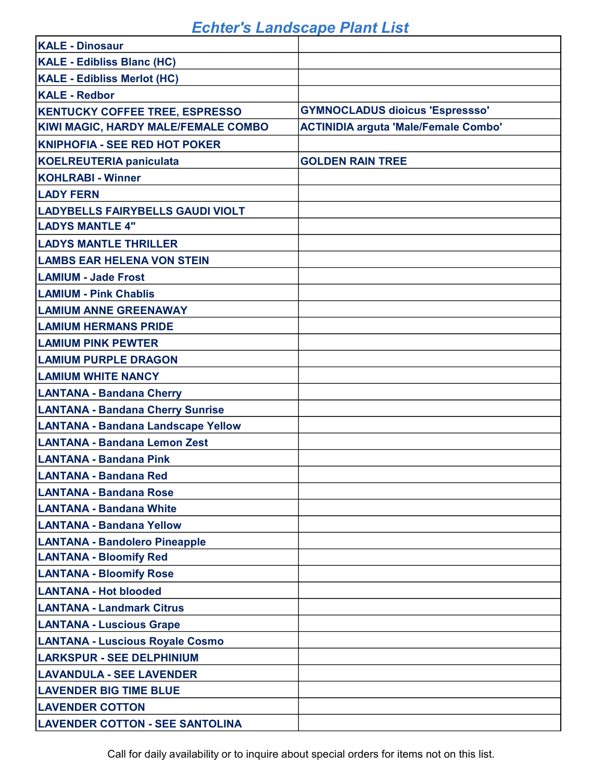| <b>KALE - Dinosaur</b>                    |                                             |
|-------------------------------------------|---------------------------------------------|
| <b>KALE - Edibliss Blanc (HC)</b>         |                                             |
| <b>KALE - Edibliss Merlot (HC)</b>        |                                             |
| <b>KALE - Redbor</b>                      |                                             |
| <b>KENTUCKY COFFEE TREE, ESPRESSO</b>     | <b>GYMNOCLADUS dioicus 'Espressso'</b>      |
| KIWI MAGIC, HARDY MALE/FEMALE COMBO       | <b>ACTINIDIA arguta 'Male/Female Combo'</b> |
| <b>KNIPHOFIA - SEE RED HOT POKER</b>      |                                             |
| <b>KOELREUTERIA paniculata</b>            | <b>GOLDEN RAIN TREE</b>                     |
| <b>KOHLRABI - Winner</b>                  |                                             |
| <b>LADY FERN</b>                          |                                             |
| <b>LADYBELLS FAIRYBELLS GAUDI VIOLT</b>   |                                             |
| <b>LADYS MANTLE 4"</b>                    |                                             |
| <b>LADYS MANTLE THRILLER</b>              |                                             |
| <b>LAMBS EAR HELENA VON STEIN</b>         |                                             |
| <b>LAMIUM - Jade Frost</b>                |                                             |
| <b>LAMIUM - Pink Chablis</b>              |                                             |
| <b>LAMIUM ANNE GREENAWAY</b>              |                                             |
| <b>LAMIUM HERMANS PRIDE</b>               |                                             |
| <b>LAMIUM PINK PEWTER</b>                 |                                             |
| <b>LAMIUM PURPLE DRAGON</b>               |                                             |
| <b>LAMIUM WHITE NANCY</b>                 |                                             |
| <b>LANTANA - Bandana Cherry</b>           |                                             |
| <b>LANTANA - Bandana Cherry Sunrise</b>   |                                             |
| <b>LANTANA - Bandana Landscape Yellow</b> |                                             |
| LANTANA - Bandana Lemon Zest              |                                             |
| <b>LANTANA - Bandana Pink</b>             |                                             |
| <b>LANTANA - Bandana Red</b>              |                                             |
| LANTANA - Bandana Rose                    |                                             |
| <b>LANTANA - Bandana White</b>            |                                             |
| <b>LANTANA - Bandana Yellow</b>           |                                             |
| <b>LANTANA - Bandolero Pineapple</b>      |                                             |
| <b>LANTANA - Bloomify Red</b>             |                                             |
| <b>LANTANA - Bloomify Rose</b>            |                                             |
| <b>LANTANA - Hot blooded</b>              |                                             |
| <b>LANTANA - Landmark Citrus</b>          |                                             |
| <b>LANTANA - Luscious Grape</b>           |                                             |
| <b>LANTANA - Luscious Royale Cosmo</b>    |                                             |
| <b>LARKSPUR - SEE DELPHINIUM</b>          |                                             |
| <b>LAVANDULA - SEE LAVENDER</b>           |                                             |
| <b>LAVENDER BIG TIME BLUE</b>             |                                             |
| <b>LAVENDER COTTON</b>                    |                                             |
| <b>LAVENDER COTTON - SEE SANTOLINA</b>    |                                             |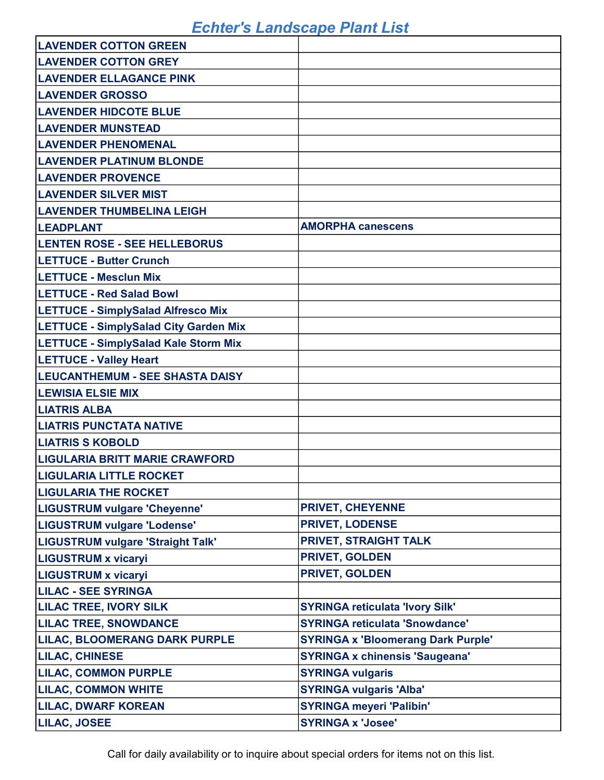| <b>LAVENDER COTTON GREEN</b>                 |                                           |
|----------------------------------------------|-------------------------------------------|
| <b>LAVENDER COTTON GREY</b>                  |                                           |
| <b>LAVENDER ELLAGANCE PINK</b>               |                                           |
| <b>LAVENDER GROSSO</b>                       |                                           |
| <b>LAVENDER HIDCOTE BLUE</b>                 |                                           |
| <b>LAVENDER MUNSTEAD</b>                     |                                           |
| <b>LAVENDER PHENOMENAL</b>                   |                                           |
| <b>LAVENDER PLATINUM BLONDE</b>              |                                           |
| <b>LAVENDER PROVENCE</b>                     |                                           |
| <b>LAVENDER SILVER MIST</b>                  |                                           |
| <b>LAVENDER THUMBELINA LEIGH</b>             |                                           |
| <b>LEADPLANT</b>                             | <b>AMORPHA canescens</b>                  |
| <b>LENTEN ROSE - SEE HELLEBORUS</b>          |                                           |
| <b>LETTUCE - Butter Crunch</b>               |                                           |
| <b>LETTUCE - Mesclun Mix</b>                 |                                           |
| <b>LETTUCE - Red Salad Bowl</b>              |                                           |
| <b>LETTUCE - SimplySalad Alfresco Mix</b>    |                                           |
| <b>LETTUCE - SimplySalad City Garden Mix</b> |                                           |
| <b>LETTUCE - SimplySalad Kale Storm Mix</b>  |                                           |
| <b>LETTUCE - Valley Heart</b>                |                                           |
| <b>LEUCANTHEMUM - SEE SHASTA DAISY</b>       |                                           |
| <b>LEWISIA ELSIE MIX</b>                     |                                           |
| <b>LIATRIS ALBA</b>                          |                                           |
| <b>LIATRIS PUNCTATA NATIVE</b>               |                                           |
| <b>LIATRIS S KOBOLD</b>                      |                                           |
| <b>LIGULARIA BRITT MARIE CRAWFORD</b>        |                                           |
| <b>LIGULARIA LITTLE ROCKET</b>               |                                           |
| <b>LIGULARIA THE ROCKET</b>                  |                                           |
| LIGUSTRUM vulgare 'Cheyenne'                 | <b>PRIVET, CHEYENNE</b>                   |
| LIGUSTRUM vulgare 'Lodense'                  | <b>PRIVET, LODENSE</b>                    |
| LIGUSTRUM vulgare 'Straight Talk'            | <b>PRIVET, STRAIGHT TALK</b>              |
| <b>LIGUSTRUM x vicaryi</b>                   | <b>PRIVET, GOLDEN</b>                     |
| <b>LIGUSTRUM x vicaryi</b>                   | PRIVET, GOLDEN                            |
| <b>LILAC - SEE SYRINGA</b>                   |                                           |
| <b>LILAC TREE, IVORY SILK</b>                | <b>SYRINGA reticulata 'Ivory Silk'</b>    |
| <b>LILAC TREE, SNOWDANCE</b>                 | <b>SYRINGA reticulata 'Snowdance'</b>     |
| <b>LILAC, BLOOMERANG DARK PURPLE</b>         | <b>SYRINGA x 'Bloomerang Dark Purple'</b> |
| <b>LILAC, CHINESE</b>                        | <b>SYRINGA x chinensis 'Saugeana'</b>     |
| <b>LILAC, COMMON PURPLE</b>                  | <b>SYRINGA vulgaris</b>                   |
| <b>LILAC, COMMON WHITE</b>                   | <b>SYRINGA vulgaris 'Alba'</b>            |
| <b>LILAC, DWARF KOREAN</b>                   | <b>SYRINGA meyeri 'Palibin'</b>           |
| <b>LILAC, JOSEE</b>                          | <b>SYRINGA x 'Josee'</b>                  |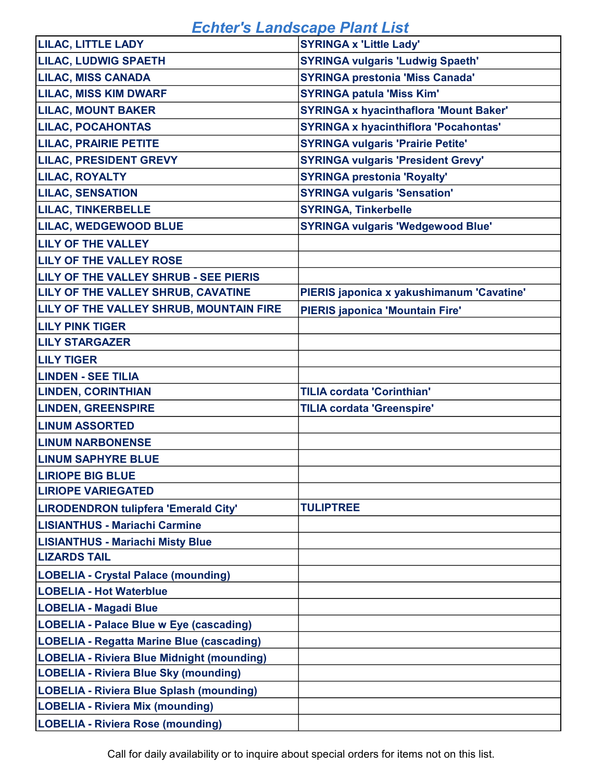| <b>LILAC, LITTLE LADY</b>                        | <b>SYRINGA x 'Little Lady'</b>                |
|--------------------------------------------------|-----------------------------------------------|
| <b>LILAC, LUDWIG SPAETH</b>                      | <b>SYRINGA vulgaris 'Ludwig Spaeth'</b>       |
| <b>LILAC, MISS CANADA</b>                        | <b>SYRINGA prestonia 'Miss Canada'</b>        |
| <b>LILAC, MISS KIM DWARF</b>                     | <b>SYRINGA patula 'Miss Kim'</b>              |
| <b>LILAC, MOUNT BAKER</b>                        | <b>SYRINGA x hyacinthaflora 'Mount Baker'</b> |
| <b>LILAC, POCAHONTAS</b>                         | <b>SYRINGA x hyacinthiflora 'Pocahontas'</b>  |
| <b>LILAC, PRAIRIE PETITE</b>                     | <b>SYRINGA vulgaris 'Prairie Petite'</b>      |
| <b>LILAC, PRESIDENT GREVY</b>                    | <b>SYRINGA vulgaris 'President Grevy'</b>     |
| LILAC, ROYALTY                                   | <b>SYRINGA prestonia 'Royalty'</b>            |
| <b>LILAC, SENSATION</b>                          | <b>SYRINGA vulgaris 'Sensation'</b>           |
| <b>LILAC, TINKERBELLE</b>                        | <b>SYRINGA, Tinkerbelle</b>                   |
| <b>LILAC, WEDGEWOOD BLUE</b>                     | <b>SYRINGA vulgaris 'Wedgewood Blue'</b>      |
| <b>LILY OF THE VALLEY</b>                        |                                               |
| LILY OF THE VALLEY ROSE                          |                                               |
| LILY OF THE VALLEY SHRUB - SEE PIERIS            |                                               |
| LILY OF THE VALLEY SHRUB, CAVATINE               | PIERIS japonica x yakushimanum 'Cavatine'     |
| LILY OF THE VALLEY SHRUB, MOUNTAIN FIRE          | <b>PIERIS japonica 'Mountain Fire'</b>        |
| <b>LILY PINK TIGER</b>                           |                                               |
| <b>LILY STARGAZER</b>                            |                                               |
| <b>LILY TIGER</b>                                |                                               |
| <b>LINDEN - SEE TILIA</b>                        |                                               |
| <b>LINDEN, CORINTHIAN</b>                        | <b>TILIA cordata 'Corinthian'</b>             |
| <b>LINDEN, GREENSPIRE</b>                        | <b>TILIA cordata 'Greenspire'</b>             |
| <b>LINUM ASSORTED</b>                            |                                               |
| <b>LINUM NARBONENSE</b>                          |                                               |
| <b>LINUM SAPHYRE BLUE</b>                        |                                               |
| <b>LIRIOPE BIG BLUE</b>                          |                                               |
| <b>LIRIOPE VARIEGATED</b>                        |                                               |
| LIRODENDRON tulipfera 'Emerald City'             | <b>TULIPTREE</b>                              |
| <b>LISIANTHUS - Mariachi Carmine</b>             |                                               |
| <b>LISIANTHUS - Mariachi Misty Blue</b>          |                                               |
| <b>LIZARDS TAIL</b>                              |                                               |
| <b>LOBELIA - Crystal Palace (mounding)</b>       |                                               |
| <b>LOBELIA - Hot Waterblue</b>                   |                                               |
| <b>LOBELIA - Magadi Blue</b>                     |                                               |
| LOBELIA - Palace Blue w Eye (cascading)          |                                               |
| <b>LOBELIA - Regatta Marine Blue (cascading)</b> |                                               |
| LOBELIA - Riviera Blue Midnight (mounding)       |                                               |
| <b>LOBELIA - Riviera Blue Sky (mounding)</b>     |                                               |
| LOBELIA - Riviera Blue Splash (mounding)         |                                               |
| <b>LOBELIA - Riviera Mix (mounding)</b>          |                                               |
| <b>LOBELIA - Riviera Rose (mounding)</b>         |                                               |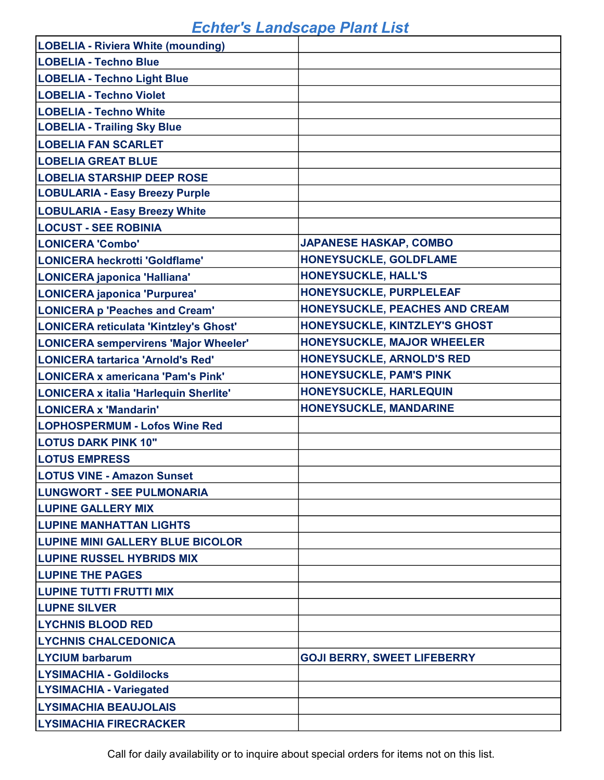| <b>LOBELIA - Riviera White (mounding)</b>    |                                    |
|----------------------------------------------|------------------------------------|
| LOBELIA - Techno Blue                        |                                    |
| <b>LOBELIA - Techno Light Blue</b>           |                                    |
| <b>LOBELIA - Techno Violet</b>               |                                    |
| <b>LOBELIA - Techno White</b>                |                                    |
| <b>LOBELIA - Trailing Sky Blue</b>           |                                    |
| <b>LOBELIA FAN SCARLET</b>                   |                                    |
| <b>LOBELIA GREAT BLUE</b>                    |                                    |
| <b>LOBELIA STARSHIP DEEP ROSE</b>            |                                    |
| <b>LOBULARIA - Easy Breezy Purple</b>        |                                    |
| <b>LOBULARIA - Easy Breezy White</b>         |                                    |
| <b>LOCUST - SEE ROBINIA</b>                  |                                    |
| LONICERA 'Combo'                             | <b>JAPANESE HASKAP, COMBO</b>      |
| LONICERA heckrotti 'Goldflame'               | HONEYSUCKLE, GOLDFLAME             |
| LONICERA japonica 'Halliana'                 | <b>HONEYSUCKLE, HALL'S</b>         |
| LONICERA japonica 'Purpurea'                 | HONEYSUCKLE, PURPLELEAF            |
| <b>LONICERA p 'Peaches and Cream'</b>        | HONEYSUCKLE, PEACHES AND CREAM     |
| LONICERA reticulata 'Kintzley's Ghost'       | HONEYSUCKLE, KINTZLEY'S GHOST      |
| <b>LONICERA sempervirens 'Major Wheeler'</b> | <b>HONEYSUCKLE, MAJOR WHEELER</b>  |
| <b>LONICERA tartarica 'Arnold's Red'</b>     | <b>HONEYSUCKLE, ARNOLD'S RED</b>   |
| LONICERA x americana 'Pam's Pink'            | <b>HONEYSUCKLE, PAM'S PINK</b>     |
| LONICERA x italia 'Harlequin Sherlite'       | HONEYSUCKLE, HARLEQUIN             |
| LONICERA x 'Mandarin'                        | <b>HONEYSUCKLE, MANDARINE</b>      |
| <b>LOPHOSPERMUM - Lofos Wine Red</b>         |                                    |
| <b>LOTUS DARK PINK 10"</b>                   |                                    |
| <b>LOTUS EMPRESS</b>                         |                                    |
| <b>LOTUS VINE - Amazon Sunset</b>            |                                    |
| <b>LUNGWORT - SEE PULMONARIA</b>             |                                    |
| <b>LUPINE GALLERY MIX</b>                    |                                    |
| <b>LUPINE MANHATTAN LIGHTS</b>               |                                    |
| <b>LUPINE MINI GALLERY BLUE BICOLOR</b>      |                                    |
| <b>LUPINE RUSSEL HYBRIDS MIX</b>             |                                    |
| <b>LUPINE THE PAGES</b>                      |                                    |
| <b>LUPINE TUTTI FRUTTI MIX</b>               |                                    |
| <b>LUPNE SILVER</b>                          |                                    |
| <b>LYCHNIS BLOOD RED</b>                     |                                    |
| <b>LYCHNIS CHALCEDONICA</b>                  |                                    |
| <b>LYCIUM barbarum</b>                       | <b>GOJI BERRY, SWEET LIFEBERRY</b> |
| <b>LYSIMACHIA - Goldilocks</b>               |                                    |
| <b>LYSIMACHIA - Variegated</b>               |                                    |
| <b>LYSIMACHIA BEAUJOLAIS</b>                 |                                    |
| <b>LYSIMACHIA FIRECRACKER</b>                |                                    |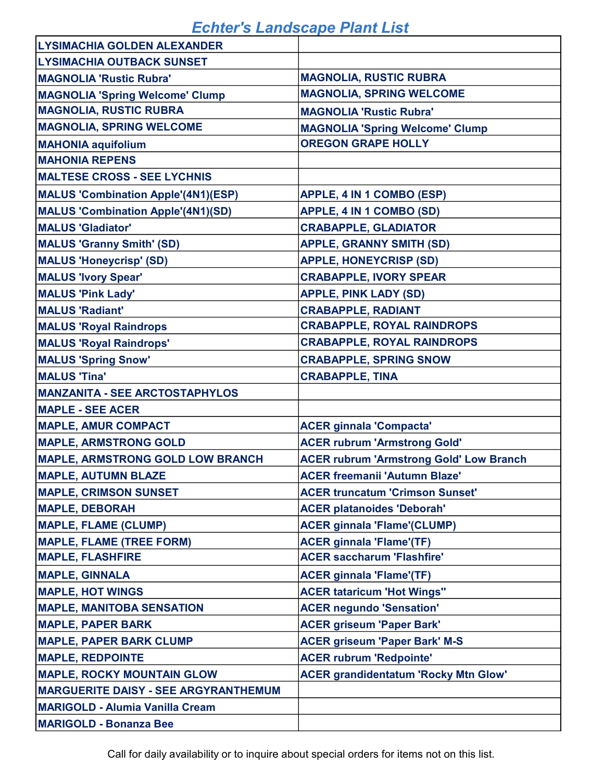| <b>LYSIMACHIA GOLDEN ALEXANDER</b>          |                                                |
|---------------------------------------------|------------------------------------------------|
| <b>LYSIMACHIA OUTBACK SUNSET</b>            |                                                |
| <b>MAGNOLIA 'Rustic Rubra'</b>              | <b>MAGNOLIA, RUSTIC RUBRA</b>                  |
| <b>MAGNOLIA 'Spring Welcome' Clump</b>      | <b>MAGNOLIA, SPRING WELCOME</b>                |
| <b>MAGNOLIA, RUSTIC RUBRA</b>               | <b>MAGNOLIA 'Rustic Rubra'</b>                 |
| <b>MAGNOLIA, SPRING WELCOME</b>             | <b>MAGNOLIA 'Spring Welcome' Clump</b>         |
| <b>MAHONIA aquifolium</b>                   | <b>OREGON GRAPE HOLLY</b>                      |
| <b>MAHONIA REPENS</b>                       |                                                |
| <b>MALTESE CROSS - SEE LYCHNIS</b>          |                                                |
| <b>MALUS 'Combination Apple'(4N1)(ESP)</b>  | APPLE, 4 IN 1 COMBO (ESP)                      |
| <b>MALUS 'Combination Apple'(4N1)(SD)</b>   | <b>APPLE, 4 IN 1 COMBO (SD)</b>                |
| <b>MALUS 'Gladiator'</b>                    | <b>CRABAPPLE, GLADIATOR</b>                    |
| <b>MALUS 'Granny Smith' (SD)</b>            | <b>APPLE, GRANNY SMITH (SD)</b>                |
| <b>MALUS 'Honeycrisp' (SD)</b>              | <b>APPLE, HONEYCRISP (SD)</b>                  |
| <b>MALUS 'Ivory Spear'</b>                  | <b>CRABAPPLE, IVORY SPEAR</b>                  |
| <b>MALUS 'Pink Lady'</b>                    | <b>APPLE, PINK LADY (SD)</b>                   |
| <b>MALUS 'Radiant'</b>                      | <b>CRABAPPLE, RADIANT</b>                      |
| <b>MALUS 'Royal Raindrops</b>               | <b>CRABAPPLE, ROYAL RAINDROPS</b>              |
| <b>MALUS 'Royal Raindrops'</b>              | <b>CRABAPPLE, ROYAL RAINDROPS</b>              |
| <b>MALUS 'Spring Snow'</b>                  | <b>CRABAPPLE, SPRING SNOW</b>                  |
| <b>MALUS 'Tina'</b>                         | <b>CRABAPPLE, TINA</b>                         |
| <b>MANZANITA - SEE ARCTOSTAPHYLOS</b>       |                                                |
| <b>MAPLE - SEE ACER</b>                     |                                                |
| <b>MAPLE, AMUR COMPACT</b>                  | <b>ACER ginnala 'Compacta'</b>                 |
| <b>MAPLE, ARMSTRONG GOLD</b>                | <b>ACER rubrum 'Armstrong Gold'</b>            |
| <b>MAPLE, ARMSTRONG GOLD LOW BRANCH</b>     | <b>ACER rubrum 'Armstrong Gold' Low Branch</b> |
| <b>MAPLE, AUTUMN BLAZE</b>                  | <b>ACER freemanii 'Autumn Blaze'</b>           |
| <b>MAPLE, CRIMSON SUNSET</b>                | <b>ACER truncatum 'Crimson Sunset'</b>         |
| <b>MAPLE, DEBORAH</b>                       | <b>ACER platanoides 'Deborah'</b>              |
| <b>MAPLE, FLAME (CLUMP)</b>                 | <b>ACER ginnala 'Flame'(CLUMP)</b>             |
| <b>MAPLE, FLAME (TREE FORM)</b>             | <b>ACER ginnala 'Flame'(TF)</b>                |
| <b>MAPLE, FLASHFIRE</b>                     | <b>ACER saccharum 'Flashfire'</b>              |
| <b>MAPLE, GINNALA</b>                       | <b>ACER ginnala 'Flame'(TF)</b>                |
| <b>MAPLE, HOT WINGS</b>                     | <b>ACER tataricum 'Hot Wings"</b>              |
| <b>MAPLE, MANITOBA SENSATION</b>            | <b>ACER negundo 'Sensation'</b>                |
| <b>MAPLE, PAPER BARK</b>                    | <b>ACER griseum 'Paper Bark'</b>               |
| <b>MAPLE, PAPER BARK CLUMP</b>              | <b>ACER griseum 'Paper Bark' M-S</b>           |
| <b>MAPLE, REDPOINTE</b>                     | <b>ACER rubrum 'Redpointe'</b>                 |
| <b>MAPLE, ROCKY MOUNTAIN GLOW</b>           | <b>ACER grandidentatum 'Rocky Mtn Glow'</b>    |
| <b>MARGUERITE DAISY - SEE ARGYRANTHEMUM</b> |                                                |
| <b>MARIGOLD - Alumia Vanilla Cream</b>      |                                                |
| <b>MARIGOLD - Bonanza Bee</b>               |                                                |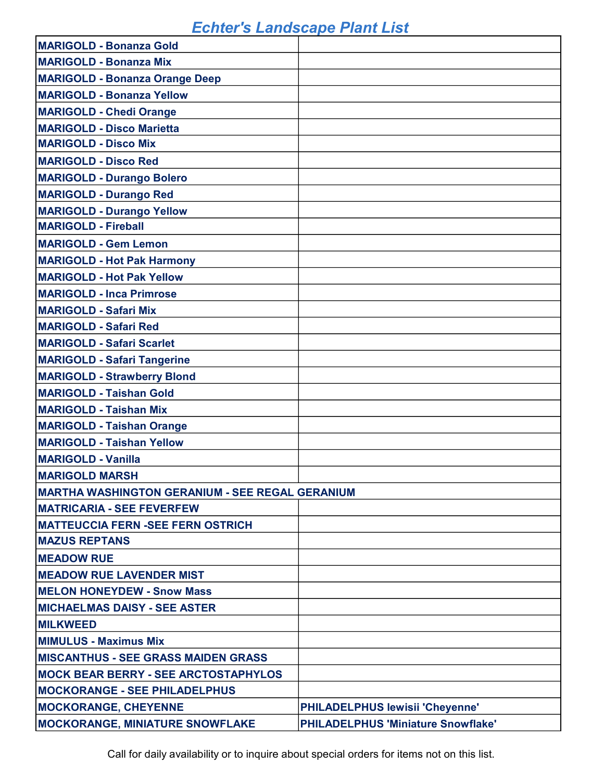| <b>MARIGOLD - Bonanza Gold</b>                          |                                           |
|---------------------------------------------------------|-------------------------------------------|
| <b>MARIGOLD - Bonanza Mix</b>                           |                                           |
| <b>MARIGOLD - Bonanza Orange Deep</b>                   |                                           |
| <b>MARIGOLD - Bonanza Yellow</b>                        |                                           |
| <b>MARIGOLD - Chedi Orange</b>                          |                                           |
| <b>MARIGOLD - Disco Marietta</b>                        |                                           |
| <b>MARIGOLD - Disco Mix</b>                             |                                           |
| <b>MARIGOLD - Disco Red</b>                             |                                           |
| <b>MARIGOLD - Durango Bolero</b>                        |                                           |
| <b>MARIGOLD - Durango Red</b>                           |                                           |
| <b>MARIGOLD - Durango Yellow</b>                        |                                           |
| <b>MARIGOLD - Fireball</b>                              |                                           |
| <b>MARIGOLD - Gem Lemon</b>                             |                                           |
| <b>MARIGOLD - Hot Pak Harmony</b>                       |                                           |
| <b>MARIGOLD - Hot Pak Yellow</b>                        |                                           |
| <b>MARIGOLD - Inca Primrose</b>                         |                                           |
| <b>MARIGOLD - Safari Mix</b>                            |                                           |
| <b>MARIGOLD - Safari Red</b>                            |                                           |
| <b>MARIGOLD - Safari Scarlet</b>                        |                                           |
| <b>MARIGOLD - Safari Tangerine</b>                      |                                           |
| <b>MARIGOLD - Strawberry Blond</b>                      |                                           |
| <b>MARIGOLD - Taishan Gold</b>                          |                                           |
| <b>MARIGOLD - Taishan Mix</b>                           |                                           |
| <b>MARIGOLD - Taishan Orange</b>                        |                                           |
| <b>MARIGOLD - Taishan Yellow</b>                        |                                           |
| <b>MARIGOLD - Vanilla</b>                               |                                           |
| <b>MARIGOLD MARSH</b>                                   |                                           |
| <b>IMARTHA WASHINGTON GERANIUM - SEE REGAL GERANIUM</b> |                                           |
| <b>MATRICARIA - SEE FEVERFEW</b>                        |                                           |
| <b>MATTEUCCIA FERN -SEE FERN OSTRICH</b>                |                                           |
| <b>MAZUS REPTANS</b>                                    |                                           |
| <b>MEADOW RUE</b>                                       |                                           |
| <b>MEADOW RUE LAVENDER MIST</b>                         |                                           |
| <b>MELON HONEYDEW - Snow Mass</b>                       |                                           |
| <b>MICHAELMAS DAISY - SEE ASTER</b>                     |                                           |
| <b>MILKWEED</b>                                         |                                           |
| <b>MIMULUS - Maximus Mix</b>                            |                                           |
| <b>MISCANTHUS - SEE GRASS MAIDEN GRASS</b>              |                                           |
| <b>MOCK BEAR BERRY - SEE ARCTOSTAPHYLOS</b>             |                                           |
| <b>MOCKORANGE - SEE PHILADELPHUS</b>                    |                                           |
| <b>MOCKORANGE, CHEYENNE</b>                             | PHILADELPHUS lewisii 'Cheyenne'           |
| <b>MOCKORANGE, MINIATURE SNOWFLAKE</b>                  | <b>PHILADELPHUS 'Miniature Snowflake'</b> |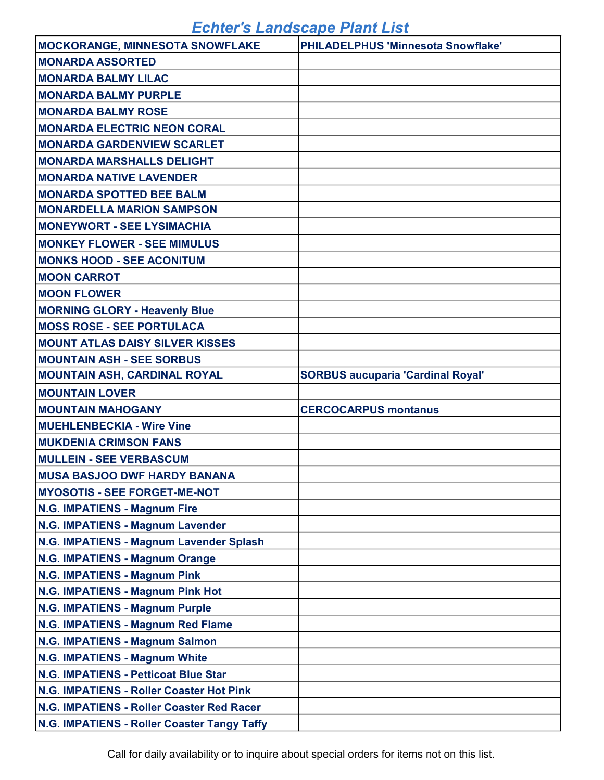| <b>MOCKORANGE, MINNESOTA SNOWFLAKE</b>      | <b>PHILADELPHUS 'Minnesota Snowflake'</b> |
|---------------------------------------------|-------------------------------------------|
| <b>MONARDA ASSORTED</b>                     |                                           |
| <b>IMONARDA BALMY LILAC</b>                 |                                           |
| <b>MONARDA BALMY PURPLE</b>                 |                                           |
| <b>MONARDA BALMY ROSE</b>                   |                                           |
| <b>MONARDA ELECTRIC NEON CORAL</b>          |                                           |
| <b>MONARDA GARDENVIEW SCARLET</b>           |                                           |
| <b>MONARDA MARSHALLS DELIGHT</b>            |                                           |
| <b>IMONARDA NATIVE LAVENDER</b>             |                                           |
| <b>MONARDA SPOTTED BEE BALM</b>             |                                           |
| <b>MONARDELLA MARION SAMPSON</b>            |                                           |
| <b>IMONEYWORT - SEE LYSIMACHIA</b>          |                                           |
| <b>IMONKEY FLOWER - SEE MIMULUS</b>         |                                           |
| <b>MONKS HOOD - SEE ACONITUM</b>            |                                           |
| <b>MOON CARROT</b>                          |                                           |
| <b>MOON FLOWER</b>                          |                                           |
| <b>MORNING GLORY - Heavenly Blue</b>        |                                           |
| <b>MOSS ROSE - SEE PORTULACA</b>            |                                           |
| <b>MOUNT ATLAS DAISY SILVER KISSES</b>      |                                           |
| <b>MOUNTAIN ASH - SEE SORBUS</b>            |                                           |
| <b>MOUNTAIN ASH, CARDINAL ROYAL</b>         | <b>SORBUS aucuparia 'Cardinal Royal'</b>  |
| <b>MOUNTAIN LOVER</b>                       |                                           |
| <b>MOUNTAIN MAHOGANY</b>                    | <b>CERCOCARPUS montanus</b>               |
| <b>MUEHLENBECKIA - Wire Vine</b>            |                                           |
| <b>MUKDENIA CRIMSON FANS</b>                |                                           |
| <b>MULLEIN - SEE VERBASCUM</b>              |                                           |
| <b>MUSA BASJOO DWF HARDY BANANA</b>         |                                           |
| <b>MYOSOTIS - SEE FORGET-ME-NOT</b>         |                                           |
| N.G. IMPATIENS - Magnum Fire                |                                           |
| N.G. IMPATIENS - Magnum Lavender            |                                           |
| N.G. IMPATIENS - Magnum Lavender Splash     |                                           |
| N.G. IMPATIENS - Magnum Orange              |                                           |
| N.G. IMPATIENS - Magnum Pink                |                                           |
| N.G. IMPATIENS - Magnum Pink Hot            |                                           |
| <b>N.G. IMPATIENS - Magnum Purple</b>       |                                           |
| N.G. IMPATIENS - Magnum Red Flame           |                                           |
| <b>N.G. IMPATIENS - Magnum Salmon</b>       |                                           |
| N.G. IMPATIENS - Magnum White               |                                           |
| N.G. IMPATIENS - Petticoat Blue Star        |                                           |
| N.G. IMPATIENS - Roller Coaster Hot Pink    |                                           |
| N.G. IMPATIENS - Roller Coaster Red Racer   |                                           |
| N.G. IMPATIENS - Roller Coaster Tangy Taffy |                                           |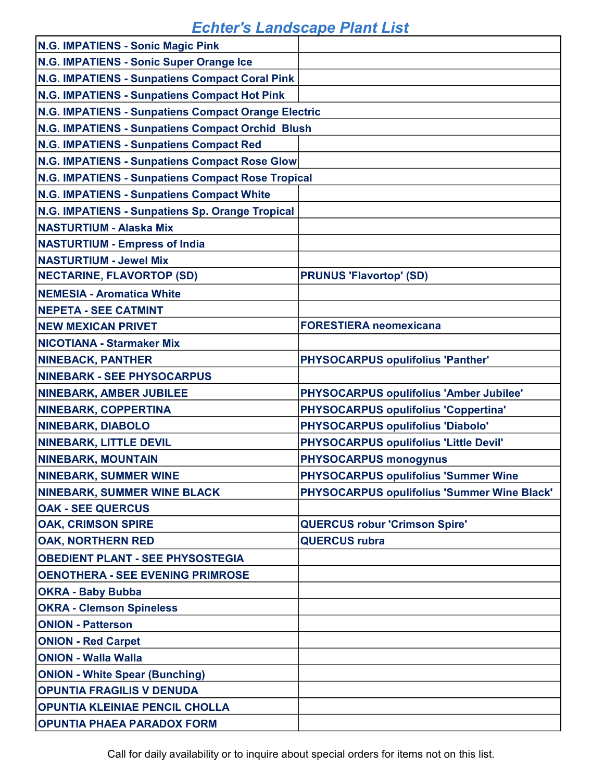| N.G. IMPATIENS - Sonic Magic Pink                   |                                             |
|-----------------------------------------------------|---------------------------------------------|
| N.G. IMPATIENS - Sonic Super Orange Ice             |                                             |
| N.G. IMPATIENS - Sunpatiens Compact Coral Pink      |                                             |
| N.G. IMPATIENS - Sunpatiens Compact Hot Pink        |                                             |
| N.G. IMPATIENS - Sunpatiens Compact Orange Electric |                                             |
| N.G. IMPATIENS - Sunpatiens Compact Orchid Blush    |                                             |
| N.G. IMPATIENS - Sunpatiens Compact Red             |                                             |
| N.G. IMPATIENS - Sunpatiens Compact Rose Glow       |                                             |
| N.G. IMPATIENS - Sunpatiens Compact Rose Tropical   |                                             |
| N.G. IMPATIENS - Sunpatiens Compact White           |                                             |
| N.G. IMPATIENS - Sunpatiens Sp. Orange Tropical     |                                             |
| <b>NASTURTIUM - Alaska Mix</b>                      |                                             |
| <b>NASTURTIUM - Empress of India</b>                |                                             |
| <b>NASTURTIUM - Jewel Mix</b>                       |                                             |
| <b>NECTARINE, FLAVORTOP (SD)</b>                    | <b>PRUNUS 'Flavortop' (SD)</b>              |
| <b>NEMESIA - Aromatica White</b>                    |                                             |
| <b>NEPETA - SEE CATMINT</b>                         |                                             |
| <b>NEW MEXICAN PRIVET</b>                           | <b>FORESTIERA neomexicana</b>               |
| <b>NICOTIANA - Starmaker Mix</b>                    |                                             |
| <b>NINEBACK, PANTHER</b>                            | <b>PHYSOCARPUS opulifolius 'Panther'</b>    |
| <b>NINEBARK - SEE PHYSOCARPUS</b>                   |                                             |
| <b>NINEBARK, AMBER JUBILEE</b>                      | PHYSOCARPUS opulifolius 'Amber Jubilee'     |
| <b>NINEBARK, COPPERTINA</b>                         | <b>PHYSOCARPUS opulifolius 'Coppertina'</b> |
| <b>NINEBARK, DIABOLO</b>                            | PHYSOCARPUS opulifolius 'Diabolo'           |
| <b>NINEBARK, LITTLE DEVIL</b>                       | PHYSOCARPUS opulifolius 'Little Devil'      |
| <b>NINEBARK, MOUNTAIN</b>                           | <b>PHYSOCARPUS monogynus</b>                |
| <b>NINEBARK, SUMMER WINE</b>                        | <b>PHYSOCARPUS opulifolius 'Summer Wine</b> |
| <b>NINEBARK, SUMMER WINE BLACK</b>                  | PHYSOCARPUS opulifolius 'Summer Wine Black' |
| <b>OAK - SEE QUERCUS</b>                            |                                             |
| <b>OAK, CRIMSON SPIRE</b>                           | <b>QUERCUS robur 'Crimson Spire'</b>        |
| <b>OAK, NORTHERN RED</b>                            | <b>QUERCUS rubra</b>                        |
| <b>OBEDIENT PLANT - SEE PHYSOSTEGIA</b>             |                                             |
| <b>OENOTHERA - SEE EVENING PRIMROSE</b>             |                                             |
| <b>OKRA - Baby Bubba</b>                            |                                             |
| <b>OKRA - Clemson Spineless</b>                     |                                             |
| <b>ONION - Patterson</b>                            |                                             |
| <b>ONION - Red Carpet</b>                           |                                             |
| <b>ONION - Walla Walla</b>                          |                                             |
| <b>ONION - White Spear (Bunching)</b>               |                                             |
| <b>OPUNTIA FRAGILIS V DENUDA</b>                    |                                             |
| OPUNTIA KLEINIAE PENCIL CHOLLA                      |                                             |
| <b>OPUNTIA PHAEA PARADOX FORM</b>                   |                                             |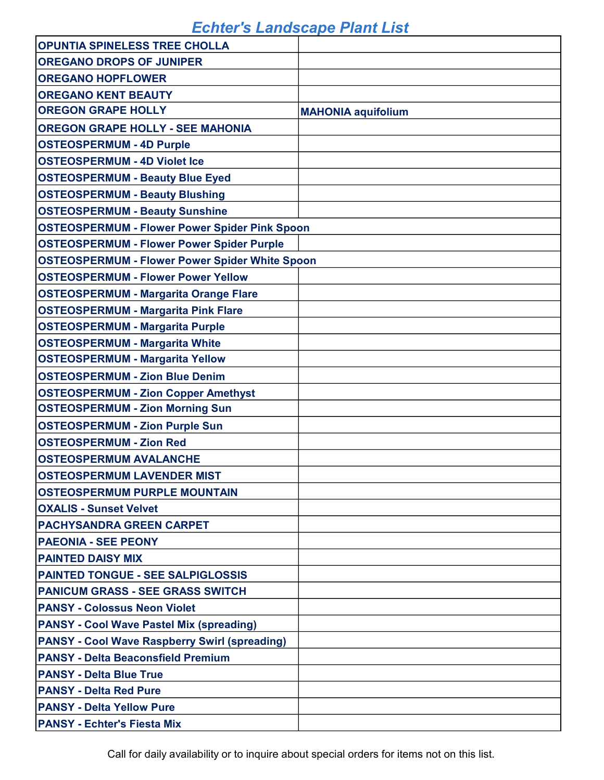| <b>OPUNTIA SPINELESS TREE CHOLLA</b>                  |                           |
|-------------------------------------------------------|---------------------------|
| <b>OREGANO DROPS OF JUNIPER</b>                       |                           |
| <b>OREGANO HOPFLOWER</b>                              |                           |
| <b>OREGANO KENT BEAUTY</b>                            |                           |
| <b>OREGON GRAPE HOLLY</b>                             | <b>MAHONIA aquifolium</b> |
| <b>OREGON GRAPE HOLLY - SEE MAHONIA</b>               |                           |
| <b>OSTEOSPERMUM - 4D Purple</b>                       |                           |
| <b>OSTEOSPERMUM - 4D Violet Ice</b>                   |                           |
| <b>OSTEOSPERMUM - Beauty Blue Eyed</b>                |                           |
| <b>OSTEOSPERMUM - Beauty Blushing</b>                 |                           |
| <b>OSTEOSPERMUM - Beauty Sunshine</b>                 |                           |
| <b>OSTEOSPERMUM - Flower Power Spider Pink Spoon</b>  |                           |
| <b>OSTEOSPERMUM - Flower Power Spider Purple</b>      |                           |
| <b>OSTEOSPERMUM - Flower Power Spider White Spoon</b> |                           |
| <b>OSTEOSPERMUM - Flower Power Yellow</b>             |                           |
| <b>OSTEOSPERMUM - Margarita Orange Flare</b>          |                           |
| <b>OSTEOSPERMUM - Margarita Pink Flare</b>            |                           |
| <b>OSTEOSPERMUM - Margarita Purple</b>                |                           |
| <b>OSTEOSPERMUM - Margarita White</b>                 |                           |
| <b>OSTEOSPERMUM - Margarita Yellow</b>                |                           |
| <b>OSTEOSPERMUM - Zion Blue Denim</b>                 |                           |
| <b>OSTEOSPERMUM - Zion Copper Amethyst</b>            |                           |
| <b>OSTEOSPERMUM - Zion Morning Sun</b>                |                           |
| <b>OSTEOSPERMUM - Zion Purple Sun</b>                 |                           |
| <b>OSTEOSPERMUM - Zion Red</b>                        |                           |
| <b>OSTEOSPERMUM AVALANCHE</b>                         |                           |
| <b>OSTEOSPERMUM LAVENDER MIST</b>                     |                           |
| <b>OSTEOSPERMUM PURPLE MOUNTAIN</b>                   |                           |
| <b>OXALIS - Sunset Velvet</b>                         |                           |
| <b>PACHYSANDRA GREEN CARPET</b>                       |                           |
| <b>PAEONIA - SEE PEONY</b>                            |                           |
| <b>PAINTED DAISY MIX</b>                              |                           |
| <b>PAINTED TONGUE - SEE SALPIGLOSSIS</b>              |                           |
| <b>PANICUM GRASS - SEE GRASS SWITCH</b>               |                           |
| <b>PANSY - Colossus Neon Violet</b>                   |                           |
| <b>PANSY - Cool Wave Pastel Mix (spreading)</b>       |                           |
| <b>PANSY - Cool Wave Raspberry Swirl (spreading)</b>  |                           |
| <b>PANSY - Delta Beaconsfield Premium</b>             |                           |
| <b>PANSY - Delta Blue True</b>                        |                           |
| <b>PANSY - Delta Red Pure</b>                         |                           |
| <b>PANSY - Delta Yellow Pure</b>                      |                           |
| <b>PANSY - Echter's Fiesta Mix</b>                    |                           |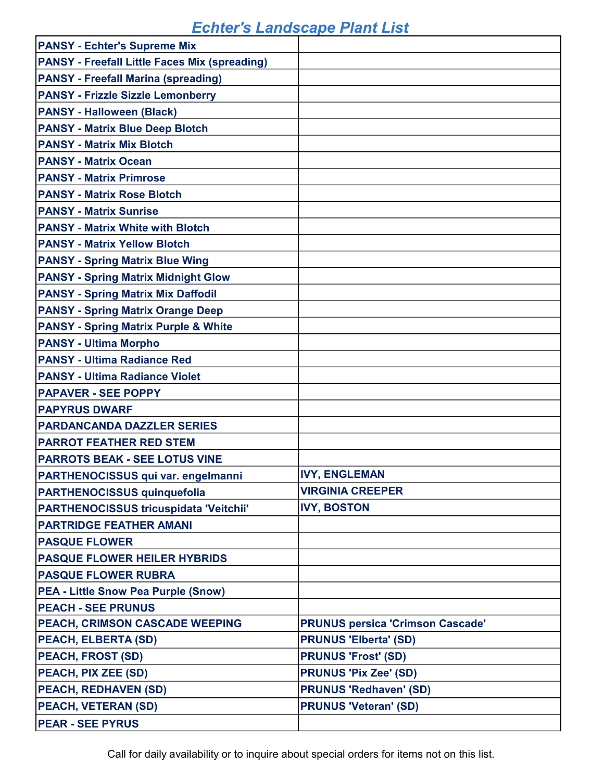| <b>PANSY - Echter's Supreme Mix</b>                  |                                         |
|------------------------------------------------------|-----------------------------------------|
| <b>PANSY - Freefall Little Faces Mix (spreading)</b> |                                         |
| <b>PANSY - Freefall Marina (spreading)</b>           |                                         |
| <b>PANSY - Frizzle Sizzle Lemonberry</b>             |                                         |
| <b>PANSY - Halloween (Black)</b>                     |                                         |
| <b>PANSY - Matrix Blue Deep Blotch</b>               |                                         |
| <b>PANSY - Matrix Mix Blotch</b>                     |                                         |
| <b>PANSY - Matrix Ocean</b>                          |                                         |
| <b>PANSY - Matrix Primrose</b>                       |                                         |
| <b>PANSY - Matrix Rose Blotch</b>                    |                                         |
| <b>PANSY - Matrix Sunrise</b>                        |                                         |
| <b>PANSY - Matrix White with Blotch</b>              |                                         |
| <b>PANSY - Matrix Yellow Blotch</b>                  |                                         |
| <b>PANSY - Spring Matrix Blue Wing</b>               |                                         |
| <b>PANSY - Spring Matrix Midnight Glow</b>           |                                         |
| <b>PANSY - Spring Matrix Mix Daffodil</b>            |                                         |
| <b>PANSY - Spring Matrix Orange Deep</b>             |                                         |
| <b>PANSY - Spring Matrix Purple &amp; White</b>      |                                         |
| <b>PANSY - Ultima Morpho</b>                         |                                         |
| <b>PANSY - Ultima Radiance Red</b>                   |                                         |
| <b>PANSY - Ultima Radiance Violet</b>                |                                         |
| <b>PAPAVER - SEE POPPY</b>                           |                                         |
| <b>PAPYRUS DWARF</b>                                 |                                         |
| <b>PARDANCANDA DAZZLER SERIES</b>                    |                                         |
| <b>PARROT FEATHER RED STEM</b>                       |                                         |
| <b>PARROTS BEAK - SEE LOTUS VINE</b>                 |                                         |
| PARTHENOCISSUS qui var. engelmanni                   | <b>IVY, ENGLEMAN</b>                    |
| <b>PARTHENOCISSUS quinquefolia</b>                   | <b>VIRGINIA CREEPER</b>                 |
| <b>PARTHENOCISSUS tricuspidata 'Veitchii'</b>        | <b>IVY, BOSTON</b>                      |
| <b>PARTRIDGE FEATHER AMANI</b>                       |                                         |
| <b>PASQUE FLOWER</b>                                 |                                         |
| <b>PASQUE FLOWER HEILER HYBRIDS</b>                  |                                         |
| <b>PASQUE FLOWER RUBRA</b>                           |                                         |
| <b>PEA - Little Snow Pea Purple (Snow)</b>           |                                         |
| <b>PEACH - SEE PRUNUS</b>                            |                                         |
| PEACH, CRIMSON CASCADE WEEPING                       | <b>PRUNUS persica 'Crimson Cascade'</b> |
| <b>PEACH, ELBERTA (SD)</b>                           | <b>PRUNUS 'Elberta' (SD)</b>            |
| <b>PEACH, FROST (SD)</b>                             | <b>PRUNUS 'Frost' (SD)</b>              |
| PEACH, PIX ZEE (SD)                                  | <b>PRUNUS 'Pix Zee' (SD)</b>            |
| <b>PEACH, REDHAVEN (SD)</b>                          | <b>PRUNUS 'Redhaven' (SD)</b>           |
| PEACH, VETERAN (SD)                                  | <b>PRUNUS 'Veteran' (SD)</b>            |
| <b>PEAR - SEE PYRUS</b>                              |                                         |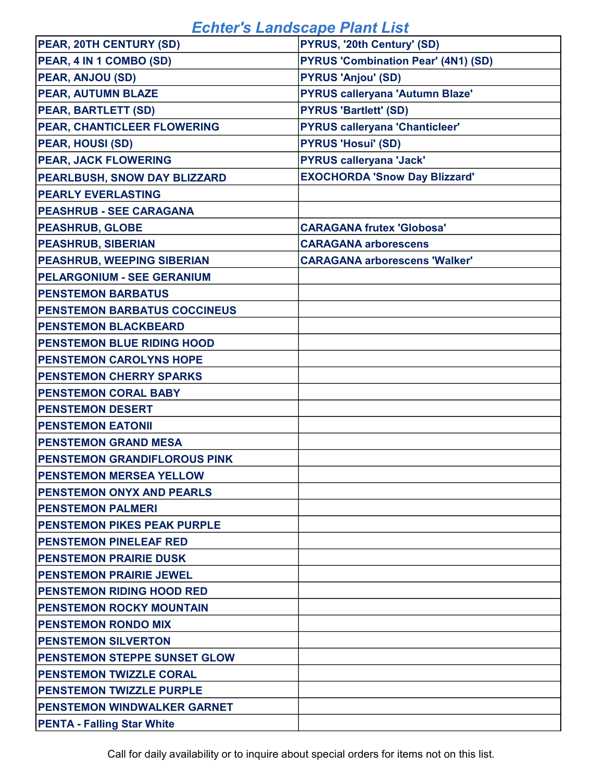| PEAR, 20TH CENTURY (SD)             | PYRUS, '20th Century' (SD)                 |
|-------------------------------------|--------------------------------------------|
| PEAR, 4 IN 1 COMBO (SD)             | <b>PYRUS 'Combination Pear' (4N1) (SD)</b> |
| PEAR, ANJOU (SD)                    | <b>PYRUS 'Anjou' (SD)</b>                  |
| PEAR, AUTUMN BLAZE                  | <b>PYRUS calleryana 'Autumn Blaze'</b>     |
| <b>PEAR, BARTLETT (SD)</b>          | <b>PYRUS 'Bartlett' (SD)</b>               |
| PEAR, CHANTICLEER FLOWERING         | <b>PYRUS calleryana 'Chanticleer'</b>      |
| <b>PEAR, HOUSI (SD)</b>             | <b>PYRUS 'Hosui' (SD)</b>                  |
| <b>PEAR, JACK FLOWERING</b>         | <b>PYRUS calleryana 'Jack'</b>             |
| PEARLBUSH, SNOW DAY BLIZZARD        | <b>EXOCHORDA 'Snow Day Blizzard'</b>       |
| <b>PEARLY EVERLASTING</b>           |                                            |
| <b>PEASHRUB - SEE CARAGANA</b>      |                                            |
| <b>PEASHRUB, GLOBE</b>              | <b>CARAGANA frutex 'Globosa'</b>           |
| <b>PEASHRUB, SIBERIAN</b>           | <b>CARAGANA arborescens</b>                |
| <b>PEASHRUB, WEEPING SIBERIAN</b>   | <b>CARAGANA arborescens 'Walker'</b>       |
| <b>PELARGONIUM - SEE GERANIUM</b>   |                                            |
| <b>PENSTEMON BARBATUS</b>           |                                            |
| <b>PENSTEMON BARBATUS COCCINEUS</b> |                                            |
| <b>PENSTEMON BLACKBEARD</b>         |                                            |
| <b>PENSTEMON BLUE RIDING HOOD</b>   |                                            |
| <b>PENSTEMON CAROLYNS HOPE</b>      |                                            |
| <b>PENSTEMON CHERRY SPARKS</b>      |                                            |
| <b>PENSTEMON CORAL BABY</b>         |                                            |
| <b>PENSTEMON DESERT</b>             |                                            |
| <b>PENSTEMON EATONII</b>            |                                            |
| <b>PENSTEMON GRAND MESA</b>         |                                            |
| PENSTEMON GRANDIFLOROUS PINK        |                                            |
| PENSTEMON MERSEA YELLOW             |                                            |
| <b>PENSTEMON ONYX AND PEARLS</b>    |                                            |
| <b>PENSTEMON PALMERI</b>            |                                            |
| <b>PENSTEMON PIKES PEAK PURPLE</b>  |                                            |
| <b>PENSTEMON PINELEAF RED</b>       |                                            |
| <b>PENSTEMON PRAIRIE DUSK</b>       |                                            |
| <b>PENSTEMON PRAIRIE JEWEL</b>      |                                            |
| <b>PENSTEMON RIDING HOOD RED</b>    |                                            |
| <b>PENSTEMON ROCKY MOUNTAIN</b>     |                                            |
| <b>PENSTEMON RONDO MIX</b>          |                                            |
| <b>PENSTEMON SILVERTON</b>          |                                            |
| <b>PENSTEMON STEPPE SUNSET GLOW</b> |                                            |
| <b>PENSTEMON TWIZZLE CORAL</b>      |                                            |
| <b>PENSTEMON TWIZZLE PURPLE</b>     |                                            |
| <b>PENSTEMON WINDWALKER GARNET</b>  |                                            |
| <b>PENTA - Falling Star White</b>   |                                            |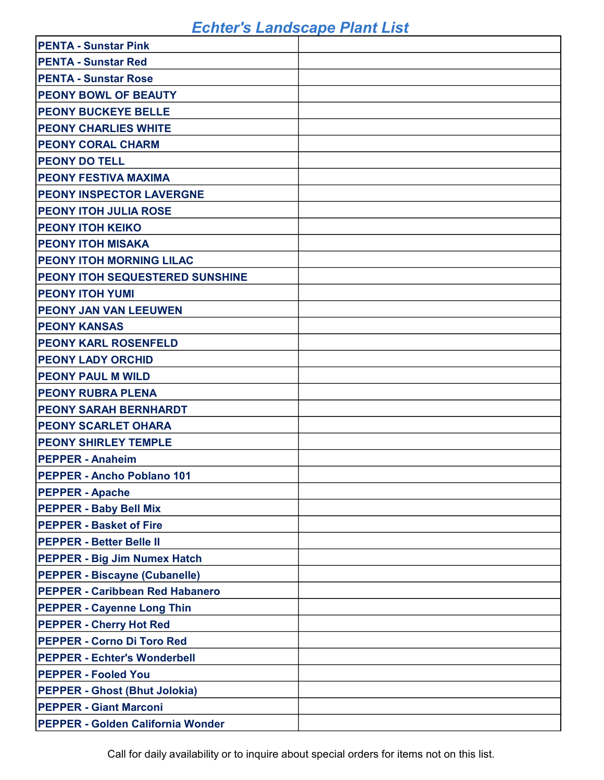| <b>PENTA - Sunstar Pink</b>            |  |
|----------------------------------------|--|
| <b>PENTA - Sunstar Red</b>             |  |
| <b>PENTA - Sunstar Rose</b>            |  |
| <b>PEONY BOWL OF BEAUTY</b>            |  |
| <b>PEONY BUCKEYE BELLE</b>             |  |
| <b>PEONY CHARLIES WHITE</b>            |  |
| <b>PEONY CORAL CHARM</b>               |  |
| <b>PEONY DO TELL</b>                   |  |
| <b>PEONY FESTIVA MAXIMA</b>            |  |
| <b>PEONY INSPECTOR LAVERGNE</b>        |  |
| <b>PEONY ITOH JULIA ROSE</b>           |  |
| <b>PEONY ITOH KEIKO</b>                |  |
| <b>PEONY ITOH MISAKA</b>               |  |
| <b>PEONY ITOH MORNING LILAC</b>        |  |
| <b>PEONY ITOH SEQUESTERED SUNSHINE</b> |  |
| <b>PEONY ITOH YUMI</b>                 |  |
| <b>PEONY JAN VAN LEEUWEN</b>           |  |
| <b>PEONY KANSAS</b>                    |  |
| <b>PEONY KARL ROSENFELD</b>            |  |
| <b>PEONY LADY ORCHID</b>               |  |
| <b>PEONY PAUL M WILD</b>               |  |
|                                        |  |
| <b>PEONY RUBRA PLENA</b>               |  |
| <b>PEONY SARAH BERNHARDT</b>           |  |
| <b>PEONY SCARLET OHARA</b>             |  |
| <b>PEONY SHIRLEY TEMPLE</b>            |  |
| <b>PEPPER - Anaheim</b>                |  |
| <b>PEPPER - Ancho Poblano 101</b>      |  |
| <b>PEPPER - Apache</b>                 |  |
| <b>PEPPER - Baby Bell Mix</b>          |  |
| <b>PEPPER - Basket of Fire</b>         |  |
| <b>PEPPER - Better Belle II</b>        |  |
| <b>PEPPER - Big Jim Numex Hatch</b>    |  |
| <b>PEPPER - Biscayne (Cubanelle)</b>   |  |
| <b>PEPPER - Caribbean Red Habanero</b> |  |
| <b>PEPPER - Cayenne Long Thin</b>      |  |
| <b>PEPPER - Cherry Hot Red</b>         |  |
| <b>PEPPER - Corno Di Toro Red</b>      |  |
| <b>PEPPER - Echter's Wonderbell</b>    |  |
| <b>PEPPER - Fooled You</b>             |  |
| <b>PEPPER - Ghost (Bhut Jolokia)</b>   |  |
| <b>PEPPER - Giant Marconi</b>          |  |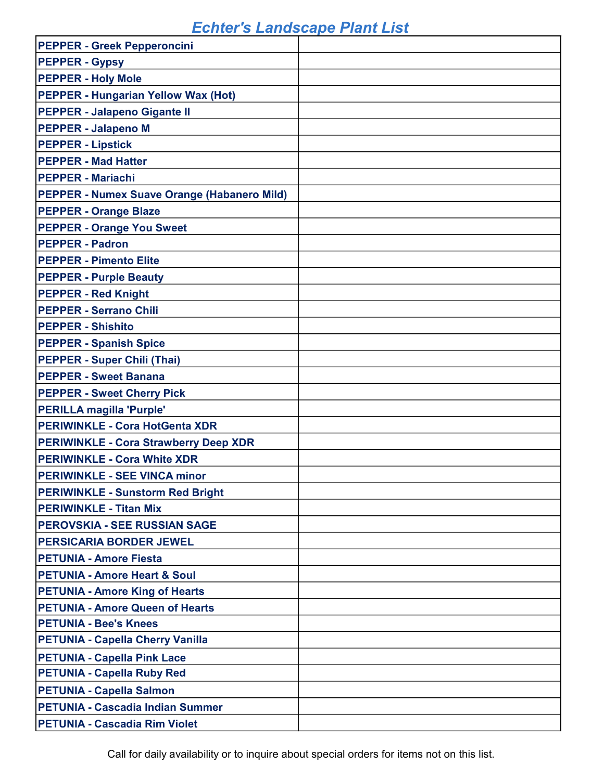| <b>PEPPER - Greek Pepperoncini</b>           |  |
|----------------------------------------------|--|
| <b>PEPPER - Gypsy</b>                        |  |
| <b>PEPPER - Holy Mole</b>                    |  |
| <b>PEPPER - Hungarian Yellow Wax (Hot)</b>   |  |
| <b>PEPPER - Jalapeno Gigante II</b>          |  |
| <b>PEPPER - Jalapeno M</b>                   |  |
| <b>PEPPER - Lipstick</b>                     |  |
| <b>PEPPER - Mad Hatter</b>                   |  |
| <b>PEPPER - Mariachi</b>                     |  |
| PEPPER - Numex Suave Orange (Habanero Mild)  |  |
| <b>PEPPER - Orange Blaze</b>                 |  |
| <b>PEPPER - Orange You Sweet</b>             |  |
| <b>PEPPER - Padron</b>                       |  |
| <b>PEPPER - Pimento Elite</b>                |  |
| <b>PEPPER - Purple Beauty</b>                |  |
| <b>PEPPER - Red Knight</b>                   |  |
| <b>PEPPER - Serrano Chili</b>                |  |
| <b>PEPPER - Shishito</b>                     |  |
| <b>PEPPER - Spanish Spice</b>                |  |
| <b>PEPPER - Super Chili (Thai)</b>           |  |
| <b>PEPPER - Sweet Banana</b>                 |  |
| <b>PEPPER - Sweet Cherry Pick</b>            |  |
| PERILLA magilla 'Purple'                     |  |
| <b>PERIWINKLE - Cora HotGenta XDR</b>        |  |
| <b>PERIWINKLE - Cora Strawberry Deep XDR</b> |  |
| <b>PERIWINKLE - Cora White XDR</b>           |  |
| <b>PERIWINKLE - SEE VINCA minor</b>          |  |
| <b>PERIWINKLE - Sunstorm Red Bright</b>      |  |
| <b>PERIWINKLE - Titan Mix</b>                |  |
| <b>PEROVSKIA - SEE RUSSIAN SAGE</b>          |  |
| <b>PERSICARIA BORDER JEWEL</b>               |  |
| <b>PETUNIA - Amore Fiesta</b>                |  |
| <b>PETUNIA - Amore Heart &amp; Soul</b>      |  |
| <b>PETUNIA - Amore King of Hearts</b>        |  |
| <b>PETUNIA - Amore Queen of Hearts</b>       |  |
| <b>PETUNIA - Bee's Knees</b>                 |  |
| <b>PETUNIA - Capella Cherry Vanilla</b>      |  |
| <b>PETUNIA - Capella Pink Lace</b>           |  |
| <b>PETUNIA - Capella Ruby Red</b>            |  |
| <b>PETUNIA - Capella Salmon</b>              |  |
| <b>PETUNIA - Cascadia Indian Summer</b>      |  |
| <b>PETUNIA - Cascadia Rim Violet</b>         |  |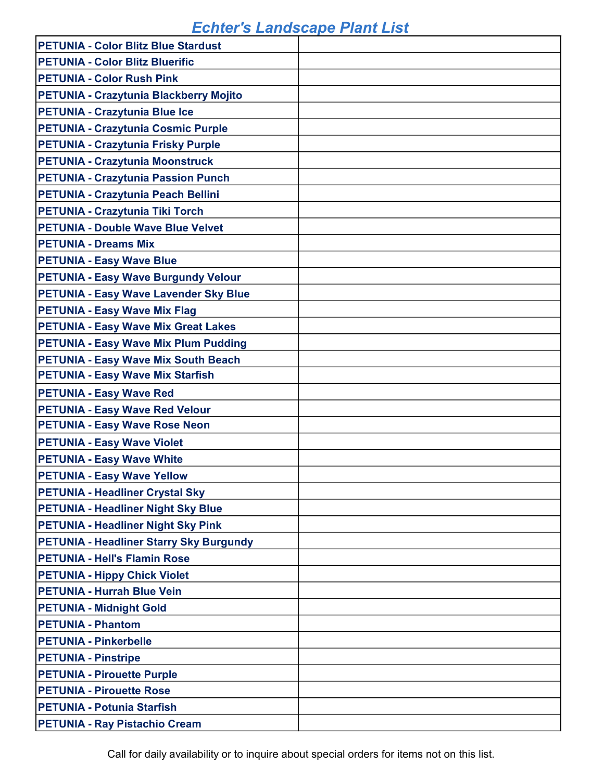| <b>PETUNIA - Color Blitz Blue Stardust</b>     |  |
|------------------------------------------------|--|
| <b>PETUNIA - Color Blitz Bluerific</b>         |  |
| <b>PETUNIA - Color Rush Pink</b>               |  |
| PETUNIA - Crazytunia Blackberry Mojito         |  |
| <b>PETUNIA - Crazytunia Blue Ice</b>           |  |
| <b>PETUNIA - Crazytunia Cosmic Purple</b>      |  |
| <b>PETUNIA - Crazytunia Frisky Purple</b>      |  |
| <b>PETUNIA - Crazytunia Moonstruck</b>         |  |
| <b>PETUNIA - Crazytunia Passion Punch</b>      |  |
| PETUNIA - Crazytunia Peach Bellini             |  |
| <b>PETUNIA - Crazytunia Tiki Torch</b>         |  |
| <b>PETUNIA - Double Wave Blue Velvet</b>       |  |
| <b>PETUNIA - Dreams Mix</b>                    |  |
| <b>PETUNIA - Easy Wave Blue</b>                |  |
| <b>PETUNIA - Easy Wave Burgundy Velour</b>     |  |
| <b>PETUNIA - Easy Wave Lavender Sky Blue</b>   |  |
| <b>PETUNIA - Easy Wave Mix Flag</b>            |  |
| <b>PETUNIA - Easy Wave Mix Great Lakes</b>     |  |
| <b>PETUNIA - Easy Wave Mix Plum Pudding</b>    |  |
| <b>PETUNIA - Easy Wave Mix South Beach</b>     |  |
| <b>PETUNIA - Easy Wave Mix Starfish</b>        |  |
| <b>PETUNIA - Easy Wave Red</b>                 |  |
| <b>PETUNIA - Easy Wave Red Velour</b>          |  |
| <b>PETUNIA - Easy Wave Rose Neon</b>           |  |
| <b>PETUNIA - Easy Wave Violet</b>              |  |
| <b>PETUNIA - Easy Wave White</b>               |  |
| <b>PETUNIA - Easy Wave Yellow</b>              |  |
| <b>PETUNIA - Headliner Crystal Sky</b>         |  |
| <b>PETUNIA - Headliner Night Sky Blue</b>      |  |
| <b>PETUNIA - Headliner Night Sky Pink</b>      |  |
| <b>PETUNIA - Headliner Starry Sky Burgundy</b> |  |
| <b>PETUNIA - Hell's Flamin Rose</b>            |  |
| <b>PETUNIA - Hippy Chick Violet</b>            |  |
| <b>PETUNIA - Hurrah Blue Vein</b>              |  |
| <b>PETUNIA - Midnight Gold</b>                 |  |
| <b>PETUNIA - Phantom</b>                       |  |
| <b>PETUNIA - Pinkerbelle</b>                   |  |
| <b>PETUNIA - Pinstripe</b>                     |  |
| <b>PETUNIA - Pirouette Purple</b>              |  |
| <b>PETUNIA - Pirouette Rose</b>                |  |
| <b>PETUNIA - Potunia Starfish</b>              |  |
| <b>PETUNIA - Ray Pistachio Cream</b>           |  |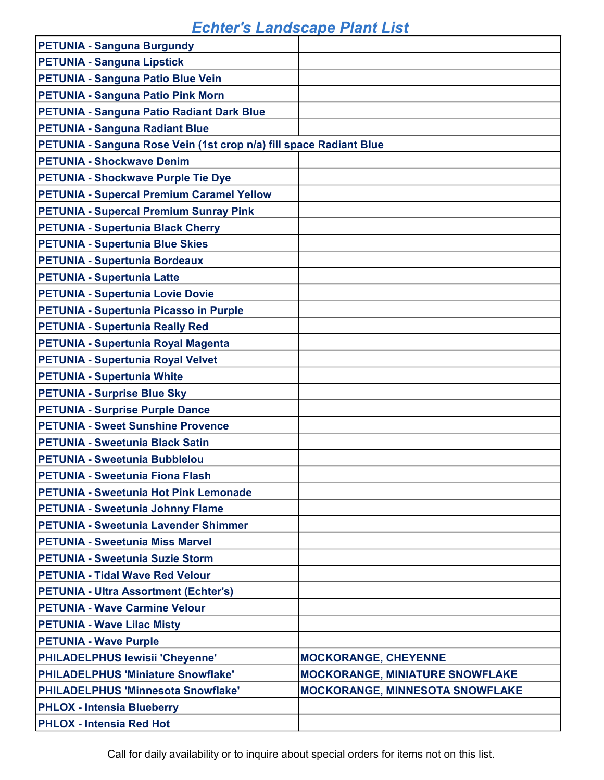| <b>PETUNIA - Sanguna Burgundy</b>                                  |                                        |
|--------------------------------------------------------------------|----------------------------------------|
| <b>PETUNIA - Sanguna Lipstick</b>                                  |                                        |
| <b>PETUNIA - Sanguna Patio Blue Vein</b>                           |                                        |
| <b>PETUNIA - Sanguna Patio Pink Morn</b>                           |                                        |
| PETUNIA - Sanguna Patio Radiant Dark Blue                          |                                        |
| <b>PETUNIA - Sanguna Radiant Blue</b>                              |                                        |
| PETUNIA - Sanguna Rose Vein (1st crop n/a) fill space Radiant Blue |                                        |
| <b>PETUNIA - Shockwave Denim</b>                                   |                                        |
| <b>PETUNIA - Shockwave Purple Tie Dye</b>                          |                                        |
| <b>PETUNIA - Supercal Premium Caramel Yellow</b>                   |                                        |
| <b>PETUNIA - Supercal Premium Sunray Pink</b>                      |                                        |
| <b>PETUNIA - Supertunia Black Cherry</b>                           |                                        |
| <b>PETUNIA - Supertunia Blue Skies</b>                             |                                        |
| <b>PETUNIA - Supertunia Bordeaux</b>                               |                                        |
| <b>PETUNIA - Supertunia Latte</b>                                  |                                        |
| <b>PETUNIA - Supertunia Lovie Dovie</b>                            |                                        |
| <b>PETUNIA - Supertunia Picasso in Purple</b>                      |                                        |
| <b>PETUNIA - Supertunia Really Red</b>                             |                                        |
| PETUNIA - Supertunia Royal Magenta                                 |                                        |
| <b>PETUNIA - Supertunia Royal Velvet</b>                           |                                        |
| <b>PETUNIA - Supertunia White</b>                                  |                                        |
| <b>PETUNIA - Surprise Blue Sky</b>                                 |                                        |
| <b>PETUNIA - Surprise Purple Dance</b>                             |                                        |
| <b>PETUNIA - Sweet Sunshine Provence</b>                           |                                        |
| <b>PETUNIA - Sweetunia Black Satin</b>                             |                                        |
| <b>PETUNIA - Sweetunia Bubblelou</b>                               |                                        |
| <b>PETUNIA - Sweetunia Fiona Flash</b>                             |                                        |
| <b>PETUNIA - Sweetunia Hot Pink Lemonade</b>                       |                                        |
| <b>PETUNIA - Sweetunia Johnny Flame</b>                            |                                        |
| <b>PETUNIA - Sweetunia Lavender Shimmer</b>                        |                                        |
| <b>PETUNIA - Sweetunia Miss Marvel</b>                             |                                        |
| <b>PETUNIA - Sweetunia Suzie Storm</b>                             |                                        |
| <b>PETUNIA - Tidal Wave Red Velour</b>                             |                                        |
| <b>PETUNIA - Ultra Assortment (Echter's)</b>                       |                                        |
| <b>PETUNIA - Wave Carmine Velour</b>                               |                                        |
| <b>PETUNIA - Wave Lilac Misty</b>                                  |                                        |
| <b>PETUNIA - Wave Purple</b>                                       |                                        |
| PHILADELPHUS lewisii 'Cheyenne'                                    | <b>MOCKORANGE, CHEYENNE</b>            |
| <b>PHILADELPHUS 'Miniature Snowflake'</b>                          | <b>MOCKORANGE, MINIATURE SNOWFLAKE</b> |
| <b>PHILADELPHUS 'Minnesota Snowflake'</b>                          | MOCKORANGE, MINNESOTA SNOWFLAKE        |
| <b>PHLOX - Intensia Blueberry</b>                                  |                                        |
| <b>PHLOX - Intensia Red Hot</b>                                    |                                        |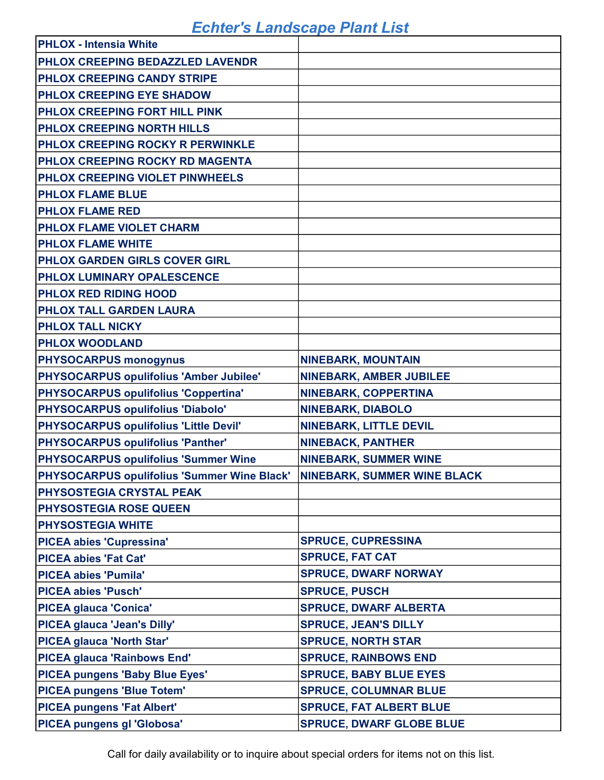| <b>PHLOX - Intensia White</b>               |                                    |
|---------------------------------------------|------------------------------------|
| PHLOX CREEPING BEDAZZLED LAVENDR            |                                    |
| PHLOX CREEPING CANDY STRIPE                 |                                    |
| PHLOX CREEPING EYE SHADOW                   |                                    |
| PHLOX CREEPING FORT HILL PINK               |                                    |
| PHLOX CREEPING NORTH HILLS                  |                                    |
| <b>PHLOX CREEPING ROCKY R PERWINKLE</b>     |                                    |
| PHLOX CREEPING ROCKY RD MAGENTA             |                                    |
| PHLOX CREEPING VIOLET PINWHEELS             |                                    |
| <b>PHLOX FLAME BLUE</b>                     |                                    |
| <b>PHLOX FLAME RED</b>                      |                                    |
| PHLOX FLAME VIOLET CHARM                    |                                    |
| <b>PHLOX FLAME WHITE</b>                    |                                    |
| PHLOX GARDEN GIRLS COVER GIRL               |                                    |
| PHLOX LUMINARY OPALESCENCE                  |                                    |
| PHLOX RED RIDING HOOD                       |                                    |
| PHLOX TALL GARDEN LAURA                     |                                    |
| PHLOX TALL NICKY                            |                                    |
| <b>PHLOX WOODLAND</b>                       |                                    |
| <b>PHYSOCARPUS monogynus</b>                | <b>NINEBARK, MOUNTAIN</b>          |
| PHYSOCARPUS opulifolius 'Amber Jubilee'     | <b>NINEBARK, AMBER JUBILEE</b>     |
| <b>PHYSOCARPUS opulifolius 'Coppertina'</b> | <b>NINEBARK, COPPERTINA</b>        |
| PHYSOCARPUS opulifolius 'Diabolo'           | <b>NINEBARK, DIABOLO</b>           |
| PHYSOCARPUS opulifolius 'Little Devil'      | <b>NINEBARK, LITTLE DEVIL</b>      |
| PHYSOCARPUS opulifolius 'Panther'           | <b>NINEBACK, PANTHER</b>           |
| PHYSOCARPUS opulifolius 'Summer Wine        | <b>NINEBARK, SUMMER WINE</b>       |
| PHYSOCARPUS opulifolius 'Summer Wine Black' | <b>NINEBARK, SUMMER WINE BLACK</b> |
| PHYSOSTEGIA CRYSTAL PEAK                    |                                    |
| <b>PHYSOSTEGIA ROSE QUEEN</b>               |                                    |
| <b>PHYSOSTEGIA WHITE</b>                    |                                    |
| <b>PICEA abies 'Cupressina'</b>             | <b>SPRUCE, CUPRESSINA</b>          |
| <b>PICEA abies 'Fat Cat'</b>                | <b>SPRUCE, FAT CAT</b>             |
| <b>PICEA abies 'Pumila'</b>                 | <b>SPRUCE, DWARF NORWAY</b>        |
| <b>PICEA abies 'Pusch'</b>                  | <b>SPRUCE, PUSCH</b>               |
| <b>PICEA glauca 'Conica'</b>                | <b>SPRUCE, DWARF ALBERTA</b>       |
| PICEA glauca 'Jean's Dilly'                 | <b>SPRUCE, JEAN'S DILLY</b>        |
| <b>PICEA glauca 'North Star'</b>            | <b>SPRUCE, NORTH STAR</b>          |
| <b>PICEA glauca 'Rainbows End'</b>          | <b>SPRUCE, RAINBOWS END</b>        |
| <b>PICEA pungens 'Baby Blue Eyes'</b>       | <b>SPRUCE, BABY BLUE EYES</b>      |
| <b>PICEA pungens 'Blue Totem'</b>           | <b>SPRUCE, COLUMNAR BLUE</b>       |
| <b>PICEA pungens 'Fat Albert'</b>           | <b>SPRUCE, FAT ALBERT BLUE</b>     |
| PICEA pungens gl 'Globosa'                  | <b>SPRUCE, DWARF GLOBE BLUE</b>    |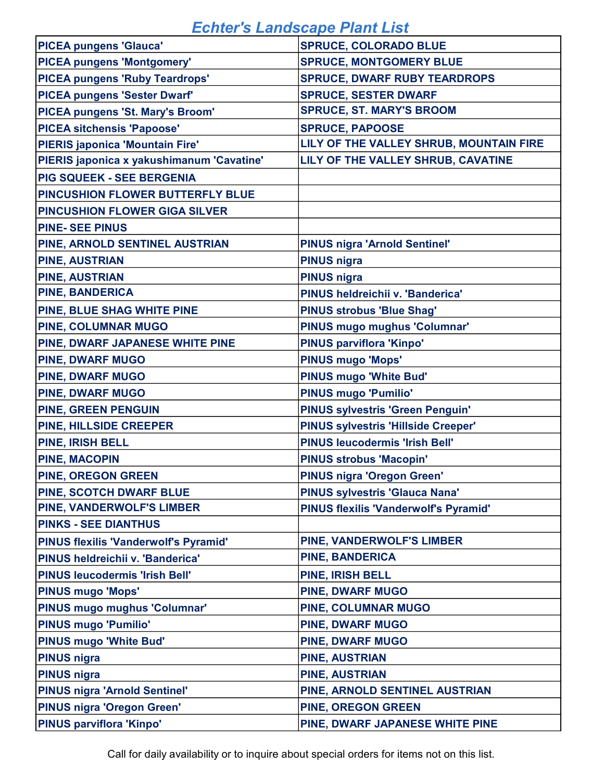| <b>PICEA pungens 'Glauca'</b>                | <b>SPRUCE, COLORADO BLUE</b>                 |
|----------------------------------------------|----------------------------------------------|
| <b>PICEA pungens 'Montgomery'</b>            | <b>SPRUCE, MONTGOMERY BLUE</b>               |
| <b>PICEA pungens 'Ruby Teardrops'</b>        | <b>SPRUCE, DWARF RUBY TEARDROPS</b>          |
| <b>PICEA pungens 'Sester Dwarf'</b>          | <b>SPRUCE, SESTER DWARF</b>                  |
| PICEA pungens 'St. Mary's Broom'             | <b>SPRUCE, ST. MARY'S BROOM</b>              |
| <b>PICEA sitchensis 'Papoose'</b>            | <b>SPRUCE, PAPOOSE</b>                       |
| <b>PIERIS japonica 'Mountain Fire'</b>       | LILY OF THE VALLEY SHRUB, MOUNTAIN FIRE      |
| PIERIS japonica x yakushimanum 'Cavatine'    | LILY OF THE VALLEY SHRUB, CAVATINE           |
| <b>PIG SQUEEK - SEE BERGENIA</b>             |                                              |
| PINCUSHION FLOWER BUTTERFLY BLUE             |                                              |
| <b>PINCUSHION FLOWER GIGA SILVER</b>         |                                              |
| <b>PINE-SEE PINUS</b>                        |                                              |
| PINE, ARNOLD SENTINEL AUSTRIAN               | PINUS nigra 'Arnold Sentinel'                |
| <b>PINE, AUSTRIAN</b>                        | <b>PINUS nigra</b>                           |
| <b>PINE, AUSTRIAN</b>                        | <b>PINUS nigra</b>                           |
| <b>PINE, BANDERICA</b>                       | PINUS heldreichii v. 'Banderica'             |
| PINE, BLUE SHAG WHITE PINE                   | <b>PINUS strobus 'Blue Shag'</b>             |
| <b>PINE, COLUMNAR MUGO</b>                   | PINUS mugo mughus 'Columnar'                 |
| PINE, DWARF JAPANESE WHITE PINE              | PINUS parviflora 'Kinpo'                     |
| <b>PINE, DWARF MUGO</b>                      | <b>PINUS mugo 'Mops'</b>                     |
| <b>PINE, DWARF MUGO</b>                      | <b>PINUS mugo 'White Bud'</b>                |
| <b>PINE, DWARF MUGO</b>                      | <b>PINUS mugo 'Pumilio'</b>                  |
| <b>PINE, GREEN PENGUIN</b>                   | <b>PINUS sylvestris 'Green Penguin'</b>      |
| PINE, HILLSIDE CREEPER                       | <b>PINUS sylvestris 'Hillside Creeper'</b>   |
| <b>PINE, IRISH BELL</b>                      | <b>PINUS leucodermis 'Irish Bell'</b>        |
| <b>PINE, MACOPIN</b>                         | <b>PINUS strobus 'Macopin'</b>               |
| <b>PINE, OREGON GREEN</b>                    | <b>PINUS nigra 'Oregon Green'</b>            |
| PINE, SCOTCH DWARF BLUE                      | <b>PINUS sylvestris 'Glauca Nana'</b>        |
| PINE, VANDERWOLF'S LIMBER                    | <b>PINUS flexilis 'Vanderwolf's Pyramid'</b> |
| <b>PINKS - SEE DIANTHUS</b>                  |                                              |
| <b>PINUS flexilis 'Vanderwolf's Pyramid'</b> | <b>PINE, VANDERWOLF'S LIMBER</b>             |
| PINUS heldreichii v. 'Banderica'             | <b>PINE, BANDERICA</b>                       |
| <b>PINUS leucodermis 'Irish Bell'</b>        | <b>PINE, IRISH BELL</b>                      |
| <b>PINUS mugo 'Mops'</b>                     | <b>PINE, DWARF MUGO</b>                      |
| PINUS mugo mughus 'Columnar'                 | <b>PINE, COLUMNAR MUGO</b>                   |
| <b>PINUS mugo 'Pumilio'</b>                  | <b>PINE, DWARF MUGO</b>                      |
| <b>PINUS mugo 'White Bud'</b>                | <b>PINE, DWARF MUGO</b>                      |
| <b>PINUS nigra</b>                           | <b>PINE, AUSTRIAN</b>                        |
| <b>PINUS nigra</b>                           | <b>PINE, AUSTRIAN</b>                        |
| <b>PINUS nigra 'Arnold Sentinel'</b>         | PINE, ARNOLD SENTINEL AUSTRIAN               |
| <b>PINUS nigra 'Oregon Green'</b>            | <b>PINE, OREGON GREEN</b>                    |
| <b>PINUS parviflora 'Kinpo'</b>              | PINE, DWARF JAPANESE WHITE PINE              |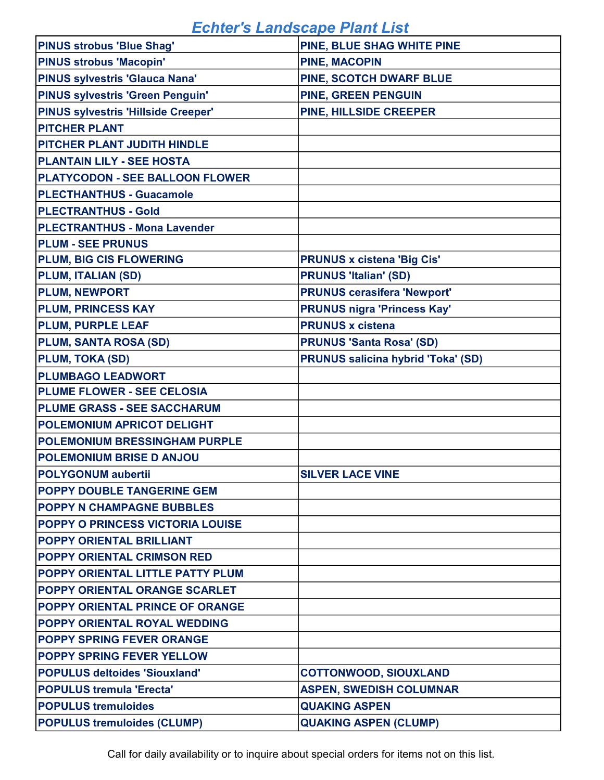| <b>PINUS strobus 'Blue Shag'</b>           | PINE, BLUE SHAG WHITE PINE                |
|--------------------------------------------|-------------------------------------------|
| <b>PINUS strobus 'Macopin'</b>             | <b>PINE, MACOPIN</b>                      |
| <b>PINUS sylvestris 'Glauca Nana'</b>      | PINE, SCOTCH DWARF BLUE                   |
| <b>PINUS sylvestris 'Green Penguin'</b>    | <b>PINE, GREEN PENGUIN</b>                |
| <b>PINUS sylvestris 'Hillside Creeper'</b> | PINE, HILLSIDE CREEPER                    |
| <b>PITCHER PLANT</b>                       |                                           |
| <b>PITCHER PLANT JUDITH HINDLE</b>         |                                           |
| <b>PLANTAIN LILY - SEE HOSTA</b>           |                                           |
| <b>PLATYCODON - SEE BALLOON FLOWER</b>     |                                           |
| <b>PLECTHANTHUS - Guacamole</b>            |                                           |
| <b>PLECTRANTHUS - Gold</b>                 |                                           |
| <b>PLECTRANTHUS - Mona Lavender</b>        |                                           |
| <b>PLUM - SEE PRUNUS</b>                   |                                           |
| <b>PLUM, BIG CIS FLOWERING</b>             | <b>PRUNUS x cistena 'Big Cis'</b>         |
| <b>PLUM, ITALIAN (SD)</b>                  | <b>PRUNUS 'Italian' (SD)</b>              |
| <b>PLUM, NEWPORT</b>                       | <b>PRUNUS cerasifera 'Newport'</b>        |
| <b>PLUM, PRINCESS KAY</b>                  | <b>PRUNUS nigra 'Princess Kay'</b>        |
| <b>PLUM, PURPLE LEAF</b>                   | <b>PRUNUS x cistena</b>                   |
| PLUM, SANTA ROSA (SD)                      | <b>PRUNUS 'Santa Rosa' (SD)</b>           |
| <b>PLUM, TOKA (SD)</b>                     | <b>PRUNUS salicina hybrid 'Toka' (SD)</b> |
| <b>PLUMBAGO LEADWORT</b>                   |                                           |
| <b>PLUME FLOWER - SEE CELOSIA</b>          |                                           |
| <b>PLUME GRASS - SEE SACCHARUM</b>         |                                           |
| <b>POLEMONIUM APRICOT DELIGHT</b>          |                                           |
| <b>POLEMONIUM BRESSINGHAM PURPLE</b>       |                                           |
| <b>POLEMONIUM BRISE D ANJOU</b>            |                                           |
| <b>POLYGONUM aubertii</b>                  | <b>SILVER LACE VINE</b>                   |
| <b>POPPY DOUBLE TANGERINE GEM</b>          |                                           |
| <b>POPPY N CHAMPAGNE BUBBLES</b>           |                                           |
| <b>POPPY O PRINCESS VICTORIA LOUISE</b>    |                                           |
| <b>POPPY ORIENTAL BRILLIANT</b>            |                                           |
| <b>POPPY ORIENTAL CRIMSON RED</b>          |                                           |
| <b>POPPY ORIENTAL LITTLE PATTY PLUM</b>    |                                           |
| <b>POPPY ORIENTAL ORANGE SCARLET</b>       |                                           |
| <b>POPPY ORIENTAL PRINCE OF ORANGE</b>     |                                           |
| <b>POPPY ORIENTAL ROYAL WEDDING</b>        |                                           |
| <b>POPPY SPRING FEVER ORANGE</b>           |                                           |
| <b>POPPY SPRING FEVER YELLOW</b>           |                                           |
| <b>POPULUS deltoides 'Siouxland'</b>       | <b>COTTONWOOD, SIOUXLAND</b>              |
| <b>POPULUS tremula 'Erecta'</b>            | <b>ASPEN, SWEDISH COLUMNAR</b>            |
| <b>POPULUS tremuloides</b>                 | <b>QUAKING ASPEN</b>                      |
| <b>POPULUS tremuloides (CLUMP)</b>         | <b>QUAKING ASPEN (CLUMP)</b>              |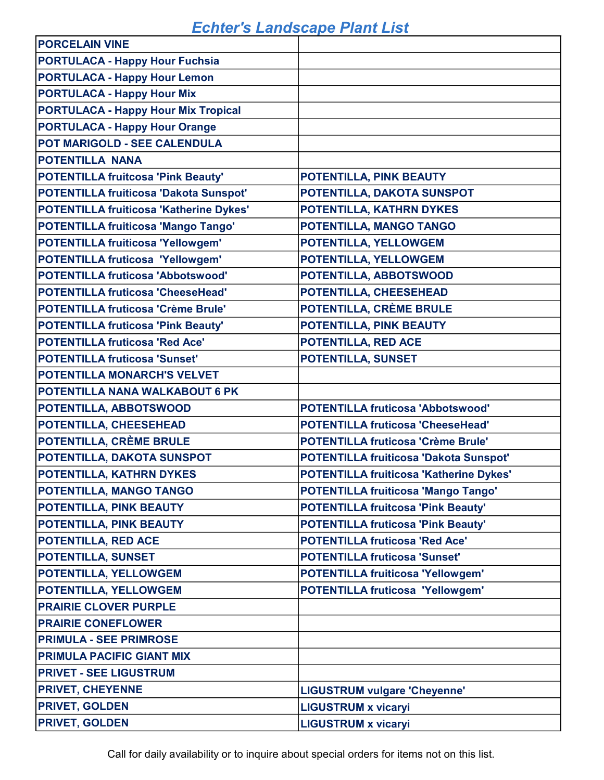| <b>PORCELAIN VINE</b>                      |                                                |
|--------------------------------------------|------------------------------------------------|
| <b>PORTULACA - Happy Hour Fuchsia</b>      |                                                |
| <b>PORTULACA - Happy Hour Lemon</b>        |                                                |
| <b>PORTULACA - Happy Hour Mix</b>          |                                                |
| <b>PORTULACA - Happy Hour Mix Tropical</b> |                                                |
| <b>PORTULACA - Happy Hour Orange</b>       |                                                |
| POT MARIGOLD - SEE CALENDULA               |                                                |
| <b>POTENTILLA NANA</b>                     |                                                |
| <b>POTENTILLA fruitcosa 'Pink Beauty'</b>  | POTENTILLA, PINK BEAUTY                        |
| POTENTILLA fruiticosa 'Dakota Sunspot'     | POTENTILLA, DAKOTA SUNSPOT                     |
| POTENTILLA fruiticosa 'Katherine Dykes'    | POTENTILLA, KATHRN DYKES                       |
| POTENTILLA fruiticosa 'Mango Tango'        | POTENTILLA, MANGO TANGO                        |
| <b>POTENTILLA fruiticosa 'Yellowgem'</b>   | POTENTILLA, YELLOWGEM                          |
| <b>POTENTILLA fruticosa 'Yellowgem'</b>    | POTENTILLA, YELLOWGEM                          |
| <b>POTENTILLA fruticosa 'Abbotswood'</b>   | POTENTILLA, ABBOTSWOOD                         |
| <b>POTENTILLA fruticosa 'CheeseHead'</b>   | POTENTILLA, CHEESEHEAD                         |
| <b>POTENTILLA fruticosa 'Crème Brule'</b>  | POTENTILLA, CRÈME BRULE                        |
| <b>POTENTILLA fruticosa 'Pink Beauty'</b>  | POTENTILLA, PINK BEAUTY                        |
| <b>POTENTILLA fruticosa 'Red Ace'</b>      | POTENTILLA, RED ACE                            |
| <b>POTENTILLA fruticosa 'Sunset'</b>       | <b>POTENTILLA, SUNSET</b>                      |
| POTENTILLA MONARCH'S VELVET                |                                                |
| POTENTILLA NANA WALKABOUT 6 PK             |                                                |
| POTENTILLA, ABBOTSWOOD                     | <b>POTENTILLA fruticosa 'Abbotswood'</b>       |
| POTENTILLA, CHEESEHEAD                     | <b>POTENTILLA fruticosa 'CheeseHead'</b>       |
| POTENTILLA, CRÈME BRULE                    | <b>POTENTILLA fruticosa 'Crème Brule'</b>      |
| POTENTILLA, DAKOTA SUNSPOT                 | <b>POTENTILLA fruiticosa 'Dakota Sunspot'</b>  |
| POTENTILLA, KATHRN DYKES                   | <b>POTENTILLA fruiticosa 'Katherine Dykes'</b> |
| <b>POTENTILLA, MANGO TANGO</b>             | <b>POTENTILLA fruiticosa 'Mango Tango'</b>     |
| POTENTILLA, PINK BEAUTY                    | <b>POTENTILLA fruitcosa 'Pink Beauty'</b>      |
| POTENTILLA, PINK BEAUTY                    | <b>POTENTILLA fruticosa 'Pink Beauty'</b>      |
| POTENTILLA, RED ACE                        | <b>POTENTILLA fruticosa 'Red Ace'</b>          |
| <b>POTENTILLA, SUNSET</b>                  | <b>POTENTILLA fruticosa 'Sunset'</b>           |
| POTENTILLA, YELLOWGEM                      | <b>POTENTILLA fruiticosa 'Yellowgem'</b>       |
| POTENTILLA, YELLOWGEM                      | <b>POTENTILLA fruticosa 'Yellowgem'</b>        |
| <b>PRAIRIE CLOVER PURPLE</b>               |                                                |
| <b>PRAIRIE CONEFLOWER</b>                  |                                                |
| <b>PRIMULA - SEE PRIMROSE</b>              |                                                |
| <b>PRIMULA PACIFIC GIANT MIX</b>           |                                                |
| <b>PRIVET - SEE LIGUSTRUM</b>              |                                                |
| <b>PRIVET, CHEYENNE</b>                    | <b>LIGUSTRUM vulgare 'Cheyenne'</b>            |
| <b>PRIVET, GOLDEN</b>                      | <b>LIGUSTRUM x vicaryi</b>                     |
| <b>PRIVET, GOLDEN</b>                      | <b>LIGUSTRUM x vicaryi</b>                     |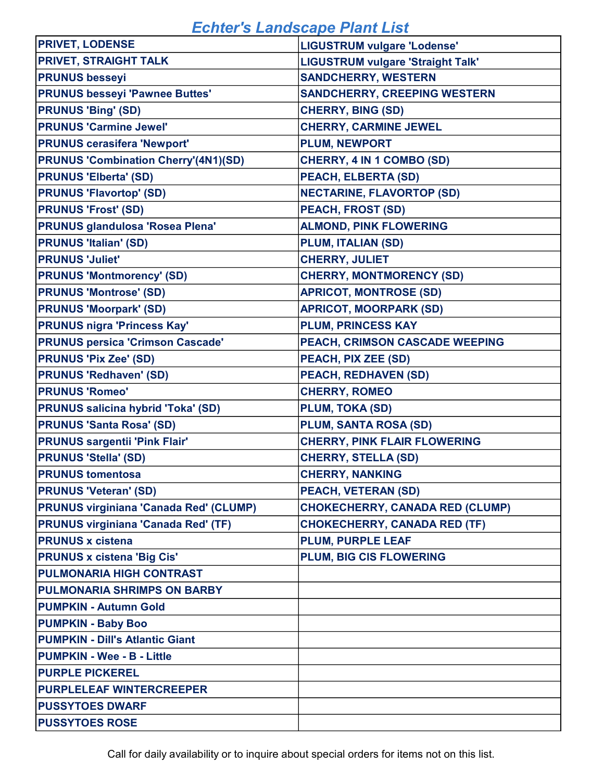| <b>PRIVET, LODENSE</b>                        | <b>LIGUSTRUM vulgare 'Lodense'</b>       |
|-----------------------------------------------|------------------------------------------|
| <b>PRIVET, STRAIGHT TALK</b>                  | <b>LIGUSTRUM vulgare 'Straight Talk'</b> |
| <b>PRUNUS besseyi</b>                         | <b>SANDCHERRY, WESTERN</b>               |
| <b>PRUNUS besseyi 'Pawnee Buttes'</b>         | <b>SANDCHERRY, CREEPING WESTERN</b>      |
| <b>PRUNUS 'Bing' (SD)</b>                     | <b>CHERRY, BING (SD)</b>                 |
| <b>PRUNUS 'Carmine Jewel'</b>                 | <b>CHERRY, CARMINE JEWEL</b>             |
| <b>PRUNUS cerasifera 'Newport'</b>            | <b>PLUM, NEWPORT</b>                     |
| <b>PRUNUS 'Combination Cherry'(4N1)(SD)</b>   | CHERRY, 4 IN 1 COMBO (SD)                |
| <b>PRUNUS 'Elberta' (SD)</b>                  | <b>PEACH, ELBERTA (SD)</b>               |
| <b>PRUNUS 'Flavortop' (SD)</b>                | <b>NECTARINE, FLAVORTOP (SD)</b>         |
| <b>PRUNUS 'Frost' (SD)</b>                    | <b>PEACH, FROST (SD)</b>                 |
| <b>PRUNUS glandulosa 'Rosea Plena'</b>        | <b>ALMOND, PINK FLOWERING</b>            |
| <b>PRUNUS 'Italian' (SD)</b>                  | <b>PLUM, ITALIAN (SD)</b>                |
| <b>PRUNUS 'Juliet'</b>                        | <b>CHERRY, JULIET</b>                    |
| <b>PRUNUS 'Montmorency' (SD)</b>              | <b>CHERRY, MONTMORENCY (SD)</b>          |
| <b>PRUNUS 'Montrose' (SD)</b>                 | <b>APRICOT, MONTROSE (SD)</b>            |
| <b>PRUNUS 'Moorpark' (SD)</b>                 | <b>APRICOT, MOORPARK (SD)</b>            |
| <b>PRUNUS nigra 'Princess Kay'</b>            | <b>PLUM, PRINCESS KAY</b>                |
| <b>PRUNUS persica 'Crimson Cascade'</b>       | PEACH, CRIMSON CASCADE WEEPING           |
| <b>PRUNUS 'Pix Zee' (SD)</b>                  | PEACH, PIX ZEE (SD)                      |
| <b>PRUNUS 'Redhaven' (SD)</b>                 | <b>PEACH, REDHAVEN (SD)</b>              |
| <b>PRUNUS 'Romeo'</b>                         | <b>CHERRY, ROMEO</b>                     |
| <b>PRUNUS salicina hybrid 'Toka' (SD)</b>     | <b>PLUM, TOKA (SD)</b>                   |
| <b>PRUNUS 'Santa Rosa' (SD)</b>               | PLUM, SANTA ROSA (SD)                    |
| <b>PRUNUS sargentii 'Pink Flair'</b>          | <b>CHERRY, PINK FLAIR FLOWERING</b>      |
| <b>PRUNUS 'Stella' (SD)</b>                   | <b>CHERRY, STELLA (SD)</b>               |
| <b>PRUNUS tomentosa</b>                       | <b>CHERRY, NANKING</b>                   |
| <b>PRUNUS 'Veteran' (SD)</b>                  | <b>PEACH, VETERAN (SD)</b>               |
| <b>PRUNUS virginiana 'Canada Red' (CLUMP)</b> | <b>CHOKECHERRY, CANADA RED (CLUMP)</b>   |
| <b>PRUNUS virginiana 'Canada Red' (TF)</b>    | <b>CHOKECHERRY, CANADA RED (TF)</b>      |
| <b>PRUNUS x cistena</b>                       | <b>PLUM, PURPLE LEAF</b>                 |
| <b>PRUNUS x cistena 'Big Cis'</b>             | <b>PLUM, BIG CIS FLOWERING</b>           |
| <b>PULMONARIA HIGH CONTRAST</b>               |                                          |
| <b>PULMONARIA SHRIMPS ON BARBY</b>            |                                          |
| <b>PUMPKIN - Autumn Gold</b>                  |                                          |
| <b>PUMPKIN - Baby Boo</b>                     |                                          |
| <b>PUMPKIN - Dill's Atlantic Giant</b>        |                                          |
| <b>PUMPKIN - Wee - B - Little</b>             |                                          |
| <b>PURPLE PICKEREL</b>                        |                                          |
| <b>PURPLELEAF WINTERCREEPER</b>               |                                          |
| <b>PUSSYTOES DWARF</b>                        |                                          |
| <b>PUSSYTOES ROSE</b>                         |                                          |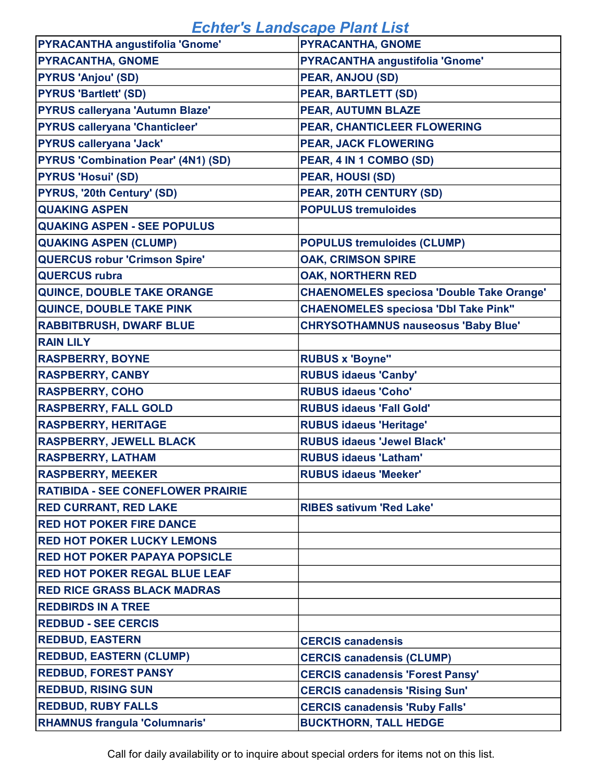| <b>PYRACANTHA angustifolia 'Gnome'</b>     | PYRACANTHA, GNOME                                |
|--------------------------------------------|--------------------------------------------------|
| <b>PYRACANTHA, GNOME</b>                   | <b>PYRACANTHA angustifolia 'Gnome'</b>           |
| <b>PYRUS 'Anjou' (SD)</b>                  | PEAR, ANJOU (SD)                                 |
| <b>PYRUS 'Bartlett' (SD)</b>               | <b>PEAR, BARTLETT (SD)</b>                       |
| <b>PYRUS calleryana 'Autumn Blaze'</b>     | PEAR, AUTUMN BLAZE                               |
| <b>PYRUS calleryana 'Chanticleer'</b>      | PEAR, CHANTICLEER FLOWERING                      |
| <b>PYRUS calleryana 'Jack'</b>             | <b>PEAR, JACK FLOWERING</b>                      |
| <b>PYRUS 'Combination Pear' (4N1) (SD)</b> | PEAR, 4 IN 1 COMBO (SD)                          |
| <b>PYRUS 'Hosui' (SD)</b>                  | <b>PEAR, HOUSI (SD)</b>                          |
| <b>PYRUS, '20th Century' (SD)</b>          | PEAR, 20TH CENTURY (SD)                          |
| <b>QUAKING ASPEN</b>                       | <b>POPULUS tremuloides</b>                       |
| <b>QUAKING ASPEN - SEE POPULUS</b>         |                                                  |
| <b>QUAKING ASPEN (CLUMP)</b>               | <b>POPULUS tremuloides (CLUMP)</b>               |
| <b>QUERCUS robur 'Crimson Spire'</b>       | <b>OAK, CRIMSON SPIRE</b>                        |
| <b>QUERCUS rubra</b>                       | <b>OAK, NORTHERN RED</b>                         |
| QUINCE, DOUBLE TAKE ORANGE                 | <b>CHAENOMELES speciosa 'Double Take Orange'</b> |
| QUINCE, DOUBLE TAKE PINK                   | <b>CHAENOMELES speciosa 'Dbl Take Pink"</b>      |
| <b>RABBITBRUSH, DWARF BLUE</b>             | <b>CHRYSOTHAMNUS nauseosus 'Baby Blue'</b>       |
| <b>RAIN LILY</b>                           |                                                  |
| <b>RASPBERRY, BOYNE</b>                    | <b>RUBUS x 'Boyne"</b>                           |
| <b>RASPBERRY, CANBY</b>                    | <b>RUBUS idaeus 'Canby'</b>                      |
| <b>RASPBERRY, COHO</b>                     | <b>RUBUS idaeus 'Coho'</b>                       |
| <b>RASPBERRY, FALL GOLD</b>                | <b>RUBUS idaeus 'Fall Gold'</b>                  |
| <b>RASPBERRY, HERITAGE</b>                 | <b>RUBUS idaeus 'Heritage'</b>                   |
| <b>RASPBERRY, JEWELL BLACK</b>             | <b>RUBUS idaeus 'Jewel Black'</b>                |
| <b>RASPBERRY, LATHAM</b>                   | <b>RUBUS idaeus 'Latham'</b>                     |
| <b>RASPBERRY, MEEKER</b>                   | <b>RUBUS idaeus 'Meeker'</b>                     |
| <b>RATIBIDA - SEE CONEFLOWER PRAIRIE</b>   |                                                  |
| <b>RED CURRANT, RED LAKE</b>               | <b>RIBES sativum 'Red Lake'</b>                  |
| <b>RED HOT POKER FIRE DANCE</b>            |                                                  |
| <b>RED HOT POKER LUCKY LEMONS</b>          |                                                  |
| <b>RED HOT POKER PAPAYA POPSICLE</b>       |                                                  |
| <b>RED HOT POKER REGAL BLUE LEAF</b>       |                                                  |
| <b>RED RICE GRASS BLACK MADRAS</b>         |                                                  |
| <b>REDBIRDS IN A TREE</b>                  |                                                  |
| <b>REDBUD - SEE CERCIS</b>                 |                                                  |
| <b>REDBUD, EASTERN</b>                     | <b>CERCIS canadensis</b>                         |
| <b>REDBUD, EASTERN (CLUMP)</b>             | <b>CERCIS canadensis (CLUMP)</b>                 |
| <b>REDBUD, FOREST PANSY</b>                | <b>CERCIS canadensis 'Forest Pansy'</b>          |
| <b>REDBUD, RISING SUN</b>                  | <b>CERCIS canadensis 'Rising Sun'</b>            |
| <b>REDBUD, RUBY FALLS</b>                  | <b>CERCIS canadensis 'Ruby Falls'</b>            |
| <b>RHAMNUS frangula 'Columnaris'</b>       | <b>BUCKTHORN, TALL HEDGE</b>                     |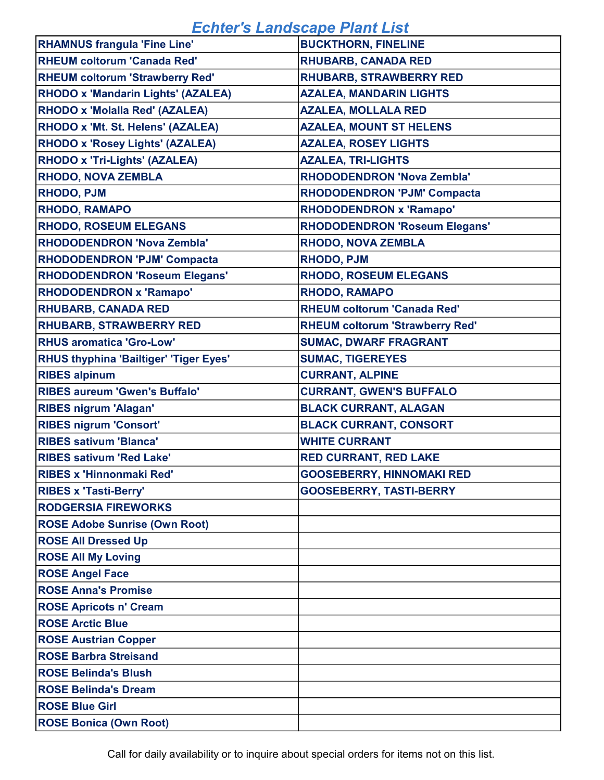| <b>RHAMNUS frangula 'Fine Line'</b>           | <b>BUCKTHORN, FINELINE</b>             |
|-----------------------------------------------|----------------------------------------|
| <b>RHEUM coltorum 'Canada Red'</b>            | <b>RHUBARB, CANADA RED</b>             |
| <b>RHEUM coltorum 'Strawberry Red'</b>        | <b>RHUBARB, STRAWBERRY RED</b>         |
| <b>RHODO x 'Mandarin Lights' (AZALEA)</b>     | <b>AZALEA, MANDARIN LIGHTS</b>         |
| <b>RHODO x 'Molalla Red' (AZALEA)</b>         | <b>AZALEA, MOLLALA RED</b>             |
| RHODO x 'Mt. St. Helens' (AZALEA)             | <b>AZALEA, MOUNT ST HELENS</b>         |
| <b>RHODO x 'Rosey Lights' (AZALEA)</b>        | <b>AZALEA, ROSEY LIGHTS</b>            |
| <b>RHODO x 'Tri-Lights' (AZALEA)</b>          | <b>AZALEA, TRI-LIGHTS</b>              |
| <b>RHODO, NOVA ZEMBLA</b>                     | <b>RHODODENDRON 'Nova Zembla'</b>      |
| <b>RHODO, PJM</b>                             | <b>RHODODENDRON 'PJM' Compacta</b>     |
| <b>RHODO, RAMAPO</b>                          | <b>RHODODENDRON x 'Ramapo'</b>         |
| <b>RHODO, ROSEUM ELEGANS</b>                  | <b>RHODODENDRON 'Roseum Elegans'</b>   |
| <b>RHODODENDRON 'Nova Zembla'</b>             | <b>RHODO, NOVA ZEMBLA</b>              |
| <b>RHODODENDRON 'PJM' Compacta</b>            | <b>RHODO, PJM</b>                      |
| <b>RHODODENDRON 'Roseum Elegans'</b>          | <b>RHODO, ROSEUM ELEGANS</b>           |
| <b>RHODODENDRON x 'Ramapo'</b>                | <b>RHODO, RAMAPO</b>                   |
| <b>RHUBARB, CANADA RED</b>                    | <b>RHEUM coltorum 'Canada Red'</b>     |
| <b>RHUBARB, STRAWBERRY RED</b>                | <b>RHEUM coltorum 'Strawberry Red'</b> |
| <b>RHUS aromatica 'Gro-Low'</b>               | <b>SUMAC, DWARF FRAGRANT</b>           |
| <b>RHUS thyphina 'Bailtiger' 'Tiger Eyes'</b> | <b>SUMAC, TIGEREYES</b>                |
| <b>RIBES alpinum</b>                          | <b>CURRANT, ALPINE</b>                 |
| <b>RIBES aureum 'Gwen's Buffalo'</b>          | <b>CURRANT, GWEN'S BUFFALO</b>         |
| <b>RIBES nigrum 'Alagan'</b>                  | <b>BLACK CURRANT, ALAGAN</b>           |
| <b>RIBES nigrum 'Consort'</b>                 | <b>BLACK CURRANT, CONSORT</b>          |
| <b>RIBES sativum 'Blanca'</b>                 | <b>WHITE CURRANT</b>                   |
| <b>RIBES sativum 'Red Lake'</b>               | <b>RED CURRANT, RED LAKE</b>           |
| RIBES x 'Hinnonmaki Red'                      | <b>GOOSEBERRY, HINNOMAKI RED</b>       |
| <b>RIBES x 'Tasti-Berry'</b>                  | <b>GOOSEBERRY, TASTI-BERRY</b>         |
| <b>RODGERSIA FIREWORKS</b>                    |                                        |
| <b>ROSE Adobe Sunrise (Own Root)</b>          |                                        |
| <b>ROSE All Dressed Up</b>                    |                                        |
| <b>ROSE All My Loving</b>                     |                                        |
| <b>ROSE Angel Face</b>                        |                                        |
| <b>ROSE Anna's Promise</b>                    |                                        |
| <b>ROSE Apricots n' Cream</b>                 |                                        |
| <b>ROSE Arctic Blue</b>                       |                                        |
| <b>ROSE Austrian Copper</b>                   |                                        |
| <b>ROSE Barbra Streisand</b>                  |                                        |
| <b>ROSE Belinda's Blush</b>                   |                                        |
| <b>ROSE Belinda's Dream</b>                   |                                        |
| <b>ROSE Blue Girl</b>                         |                                        |
| <b>ROSE Bonica (Own Root)</b>                 |                                        |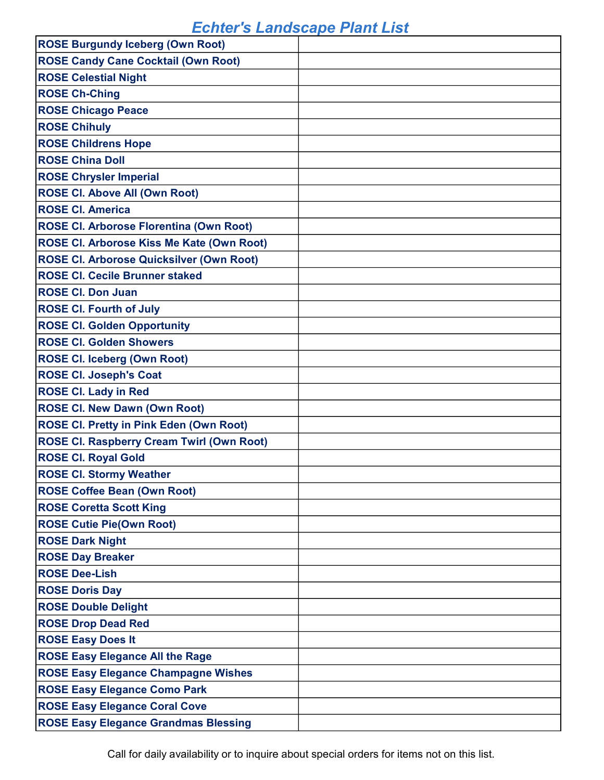| <b>ROSE Burgundy Iceberg (Own Root)</b>          |  |
|--------------------------------------------------|--|
| <b>ROSE Candy Cane Cocktail (Own Root)</b>       |  |
| <b>ROSE Celestial Night</b>                      |  |
| <b>ROSE Ch-Ching</b>                             |  |
| <b>ROSE Chicago Peace</b>                        |  |
| <b>ROSE Chihuly</b>                              |  |
| <b>ROSE Childrens Hope</b>                       |  |
| <b>ROSE China Doll</b>                           |  |
| <b>ROSE Chrysler Imperial</b>                    |  |
| <b>ROSE CI. Above All (Own Root)</b>             |  |
| <b>ROSE CI. America</b>                          |  |
| <b>ROSE Cl. Arborose Florentina (Own Root)</b>   |  |
| ROSE CI. Arborose Kiss Me Kate (Own Root)        |  |
| <b>ROSE CI. Arborose Quicksilver (Own Root)</b>  |  |
| <b>ROSE CI. Cecile Brunner staked</b>            |  |
| <b>ROSE CI. Don Juan</b>                         |  |
| <b>ROSE CI. Fourth of July</b>                   |  |
| <b>ROSE CI. Golden Opportunity</b>               |  |
| <b>ROSE CI. Golden Showers</b>                   |  |
| <b>ROSE CI. Iceberg (Own Root)</b>               |  |
| <b>ROSE CI. Joseph's Coat</b>                    |  |
|                                                  |  |
| <b>ROSE CI. Lady in Red</b>                      |  |
| <b>ROSE CI. New Dawn (Own Root)</b>              |  |
| <b>ROSE CI. Pretty in Pink Eden (Own Root)</b>   |  |
| <b>ROSE CI. Raspberry Cream Twirl (Own Root)</b> |  |
| <b>ROSE CI. Royal Gold</b>                       |  |
| <b>ROSE CI. Stormy Weather</b>                   |  |
| <b>ROSE Coffee Bean (Own Root)</b>               |  |
| <b>ROSE Coretta Scott King</b>                   |  |
| <b>ROSE Cutie Pie(Own Root)</b>                  |  |
| <b>ROSE Dark Night</b>                           |  |
| <b>ROSE Day Breaker</b>                          |  |
| <b>ROSE Dee-Lish</b>                             |  |
| <b>ROSE Doris Day</b>                            |  |
| <b>ROSE Double Delight</b>                       |  |
| <b>ROSE Drop Dead Red</b>                        |  |
| <b>ROSE Easy Does It</b>                         |  |
| <b>ROSE Easy Elegance All the Rage</b>           |  |
| <b>ROSE Easy Elegance Champagne Wishes</b>       |  |
| <b>ROSE Easy Elegance Como Park</b>              |  |
| <b>ROSE Easy Elegance Coral Cove</b>             |  |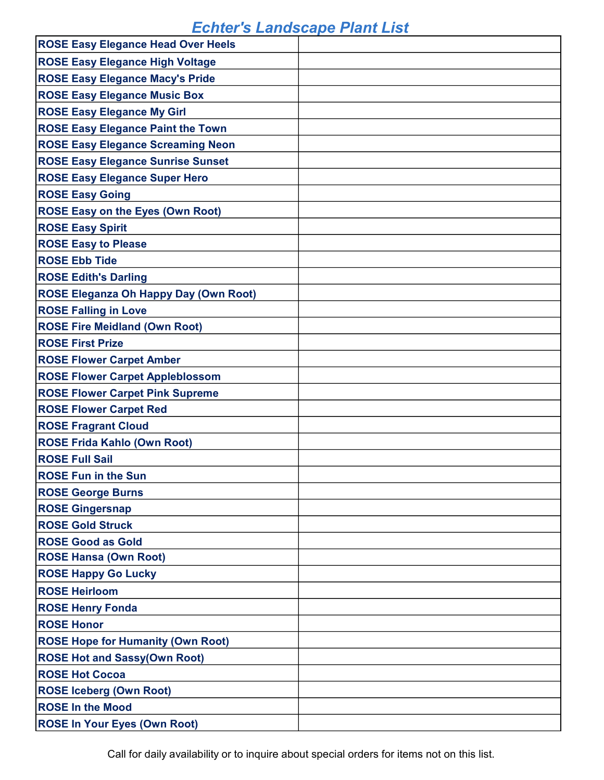| <b>ROSE Easy Elegance Head Over Heels</b>    |  |
|----------------------------------------------|--|
| <b>ROSE Easy Elegance High Voltage</b>       |  |
| <b>ROSE Easy Elegance Macy's Pride</b>       |  |
| <b>ROSE Easy Elegance Music Box</b>          |  |
| <b>ROSE Easy Elegance My Girl</b>            |  |
| <b>ROSE Easy Elegance Paint the Town</b>     |  |
| <b>ROSE Easy Elegance Screaming Neon</b>     |  |
| <b>ROSE Easy Elegance Sunrise Sunset</b>     |  |
| <b>ROSE Easy Elegance Super Hero</b>         |  |
| <b>ROSE Easy Going</b>                       |  |
| <b>ROSE Easy on the Eyes (Own Root)</b>      |  |
| <b>ROSE Easy Spirit</b>                      |  |
| <b>ROSE Easy to Please</b>                   |  |
| <b>ROSE Ebb Tide</b>                         |  |
| <b>ROSE Edith's Darling</b>                  |  |
| <b>ROSE Eleganza Oh Happy Day (Own Root)</b> |  |
| <b>ROSE Falling in Love</b>                  |  |
| <b>ROSE Fire Meidland (Own Root)</b>         |  |
| <b>ROSE First Prize</b>                      |  |
| <b>ROSE Flower Carpet Amber</b>              |  |
| <b>ROSE Flower Carpet Appleblossom</b>       |  |
| <b>ROSE Flower Carpet Pink Supreme</b>       |  |
| <b>ROSE Flower Carpet Red</b>                |  |
| <b>ROSE Fragrant Cloud</b>                   |  |
| <b>ROSE Frida Kahlo (Own Root)</b>           |  |
| <b>ROSE Full Sail</b>                        |  |
| <b>ROSE Fun in the Sun</b>                   |  |
| <b>ROSE George Burns</b>                     |  |
| <b>ROSE Gingersnap</b>                       |  |
| <b>ROSE Gold Struck</b>                      |  |
| <b>ROSE Good as Gold</b>                     |  |
| <b>ROSE Hansa (Own Root)</b>                 |  |
| <b>ROSE Happy Go Lucky</b>                   |  |
| <b>ROSE Heirloom</b>                         |  |
| <b>ROSE Henry Fonda</b>                      |  |
| <b>ROSE Honor</b>                            |  |
| <b>ROSE Hope for Humanity (Own Root)</b>     |  |
| <b>ROSE Hot and Sassy(Own Root)</b>          |  |
| <b>ROSE Hot Cocoa</b>                        |  |
| <b>ROSE Iceberg (Own Root)</b>               |  |
| <b>ROSE In the Mood</b>                      |  |
| <b>ROSE In Your Eyes (Own Root)</b>          |  |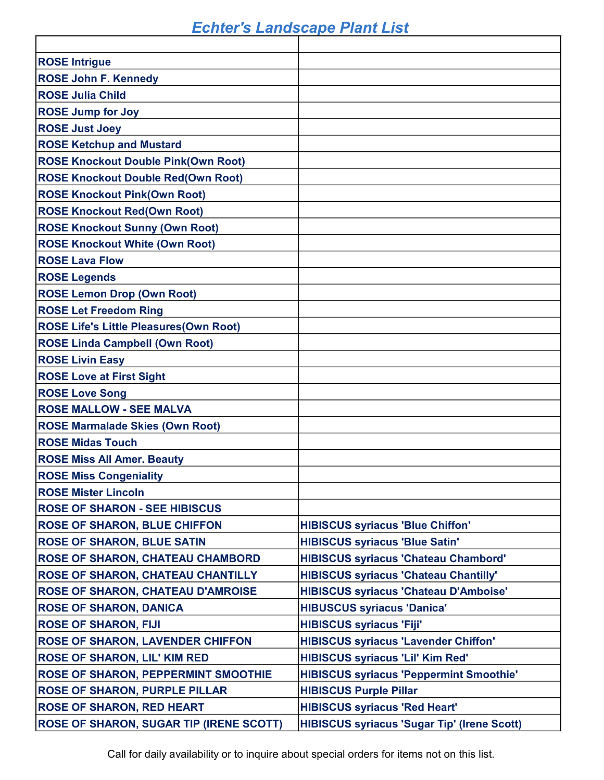| <b>ROSE Intrigue</b>                           |                                                    |
|------------------------------------------------|----------------------------------------------------|
| <b>ROSE John F. Kennedy</b>                    |                                                    |
| <b>ROSE Julia Child</b>                        |                                                    |
| <b>ROSE Jump for Joy</b>                       |                                                    |
| <b>ROSE Just Joey</b>                          |                                                    |
| <b>ROSE Ketchup and Mustard</b>                |                                                    |
| <b>ROSE Knockout Double Pink(Own Root)</b>     |                                                    |
| <b>ROSE Knockout Double Red(Own Root)</b>      |                                                    |
| <b>ROSE Knockout Pink(Own Root)</b>            |                                                    |
| <b>ROSE Knockout Red(Own Root)</b>             |                                                    |
| <b>ROSE Knockout Sunny (Own Root)</b>          |                                                    |
| <b>ROSE Knockout White (Own Root)</b>          |                                                    |
| <b>ROSE Lava Flow</b>                          |                                                    |
| <b>ROSE Legends</b>                            |                                                    |
| <b>ROSE Lemon Drop (Own Root)</b>              |                                                    |
| <b>ROSE Let Freedom Ring</b>                   |                                                    |
| <b>ROSE Life's Little Pleasures (Own Root)</b> |                                                    |
| <b>ROSE Linda Campbell (Own Root)</b>          |                                                    |
| <b>ROSE Livin Easy</b>                         |                                                    |
| <b>ROSE Love at First Sight</b>                |                                                    |
| <b>ROSE Love Song</b>                          |                                                    |
| <b>ROSE MALLOW - SEE MALVA</b>                 |                                                    |
| <b>ROSE Marmalade Skies (Own Root)</b>         |                                                    |
| <b>ROSE Midas Touch</b>                        |                                                    |
| <b>ROSE Miss All Amer. Beauty</b>              |                                                    |
| <b>ROSE Miss Congeniality</b>                  |                                                    |
| <b>ROSE Mister Lincoln</b>                     |                                                    |
| <b>ROSE OF SHARON - SEE HIBISCUS</b>           |                                                    |
| <b>ROSE OF SHARON, BLUE CHIFFON</b>            | <b>HIBISCUS syriacus 'Blue Chiffon'</b>            |
| <b>ROSE OF SHARON, BLUE SATIN</b>              | <b>HIBISCUS syriacus 'Blue Satin'</b>              |
| <b>ROSE OF SHARON, CHATEAU CHAMBORD</b>        | <b>HIBISCUS syriacus 'Chateau Chambord'</b>        |
| ROSE OF SHARON, CHATEAU CHANTILLY              | <b>HIBISCUS syriacus 'Chateau Chantilly'</b>       |
| <b>ROSE OF SHARON, CHATEAU D'AMROISE</b>       | <b>HIBISCUS syriacus 'Chateau D'Amboise'</b>       |
| <b>ROSE OF SHARON, DANICA</b>                  | <b>HIBUSCUS syriacus 'Danica'</b>                  |
| <b>ROSE OF SHARON, FIJI</b>                    | <b>HIBISCUS syriacus 'Fiji'</b>                    |
| <b>ROSE OF SHARON, LAVENDER CHIFFON</b>        | <b>HIBISCUS syriacus 'Lavender Chiffon'</b>        |
| <b>ROSE OF SHARON, LIL' KIM RED</b>            | <b>HIBISCUS syriacus 'Lil' Kim Red'</b>            |
| <b>ROSE OF SHARON, PEPPERMINT SMOOTHIE</b>     | <b>HIBISCUS syriacus 'Peppermint Smoothie'</b>     |
| <b>ROSE OF SHARON, PURPLE PILLAR</b>           | <b>HIBISCUS Purple Pillar</b>                      |
| <b>ROSE OF SHARON, RED HEART</b>               | <b>HIBISCUS syriacus 'Red Heart'</b>               |
| <b>ROSE OF SHARON, SUGAR TIP (IRENE SCOTT)</b> | <b>HIBISCUS syriacus 'Sugar Tip' (Irene Scott)</b> |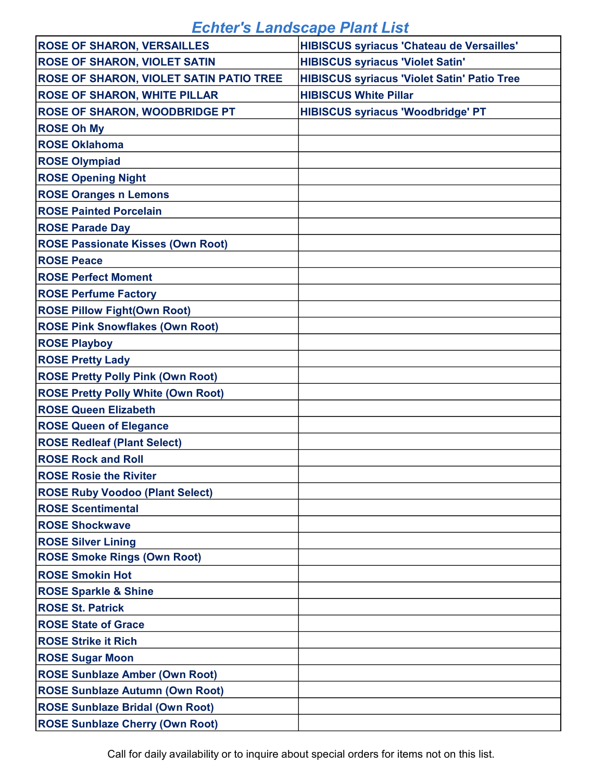| <b>ROSE OF SHARON, VERSAILLES</b>              | <b>HIBISCUS syriacus 'Chateau de Versailles'</b>   |
|------------------------------------------------|----------------------------------------------------|
| <b>ROSE OF SHARON, VIOLET SATIN</b>            | <b>HIBISCUS syriacus 'Violet Satin'</b>            |
| <b>ROSE OF SHARON, VIOLET SATIN PATIO TREE</b> | <b>HIBISCUS syriacus 'Violet Satin' Patio Tree</b> |
| <b>ROSE OF SHARON, WHITE PILLAR</b>            | <b>HIBISCUS White Pillar</b>                       |
| <b>ROSE OF SHARON, WOODBRIDGE PT</b>           | <b>HIBISCUS syriacus 'Woodbridge' PT</b>           |
| <b>ROSE Oh My</b>                              |                                                    |
| <b>ROSE Oklahoma</b>                           |                                                    |
| <b>ROSE Olympiad</b>                           |                                                    |
| <b>ROSE Opening Night</b>                      |                                                    |
| <b>ROSE Oranges n Lemons</b>                   |                                                    |
| <b>ROSE Painted Porcelain</b>                  |                                                    |
| <b>ROSE Parade Day</b>                         |                                                    |
| <b>ROSE Passionate Kisses (Own Root)</b>       |                                                    |
| <b>ROSE Peace</b>                              |                                                    |
| <b>ROSE Perfect Moment</b>                     |                                                    |
| <b>ROSE Perfume Factory</b>                    |                                                    |
| <b>ROSE Pillow Fight(Own Root)</b>             |                                                    |
| <b>ROSE Pink Snowflakes (Own Root)</b>         |                                                    |
| <b>ROSE Playboy</b>                            |                                                    |
| <b>ROSE Pretty Lady</b>                        |                                                    |
| <b>ROSE Pretty Polly Pink (Own Root)</b>       |                                                    |
| <b>ROSE Pretty Polly White (Own Root)</b>      |                                                    |
| <b>ROSE Queen Elizabeth</b>                    |                                                    |
| <b>ROSE Queen of Elegance</b>                  |                                                    |
| <b>ROSE Redleaf (Plant Select)</b>             |                                                    |
| <b>ROSE Rock and Roll</b>                      |                                                    |
| <b>ROSE Rosie the Riviter</b>                  |                                                    |
| <b>ROSE Ruby Voodoo (Plant Select)</b>         |                                                    |
| <b>ROSE Scentimental</b>                       |                                                    |
| <b>ROSE Shockwave</b>                          |                                                    |
| <b>ROSE Silver Lining</b>                      |                                                    |
| <b>ROSE Smoke Rings (Own Root)</b>             |                                                    |
| <b>ROSE Smokin Hot</b>                         |                                                    |
| <b>ROSE Sparkle &amp; Shine</b>                |                                                    |
| <b>ROSE St. Patrick</b>                        |                                                    |
| <b>ROSE State of Grace</b>                     |                                                    |
| <b>ROSE Strike it Rich</b>                     |                                                    |
| <b>ROSE Sugar Moon</b>                         |                                                    |
| <b>ROSE Sunblaze Amber (Own Root)</b>          |                                                    |
| <b>ROSE Sunblaze Autumn (Own Root)</b>         |                                                    |
| <b>ROSE Sunblaze Bridal (Own Root)</b>         |                                                    |
| <b>ROSE Sunblaze Cherry (Own Root)</b>         |                                                    |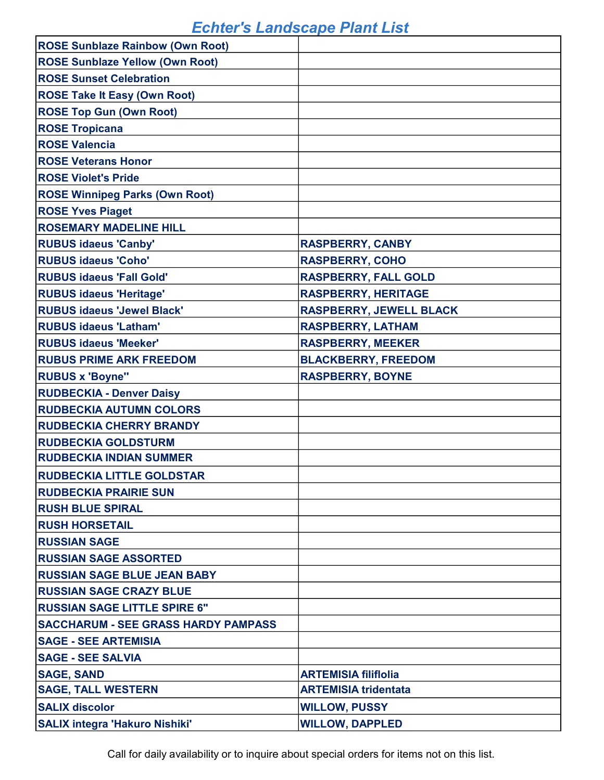| <b>ROSE Sunblaze Rainbow (Own Root)</b>    |                                |
|--------------------------------------------|--------------------------------|
| <b>ROSE Sunblaze Yellow (Own Root)</b>     |                                |
| <b>ROSE Sunset Celebration</b>             |                                |
| <b>ROSE Take It Easy (Own Root)</b>        |                                |
| <b>ROSE Top Gun (Own Root)</b>             |                                |
| <b>ROSE Tropicana</b>                      |                                |
| <b>ROSE Valencia</b>                       |                                |
| <b>ROSE Veterans Honor</b>                 |                                |
| <b>ROSE Violet's Pride</b>                 |                                |
| <b>ROSE Winnipeg Parks (Own Root)</b>      |                                |
| <b>ROSE Yves Piaget</b>                    |                                |
| <b>ROSEMARY MADELINE HILL</b>              |                                |
| <b>RUBUS idaeus 'Canby'</b>                | <b>RASPBERRY, CANBY</b>        |
| <b>RUBUS idaeus 'Coho'</b>                 | <b>RASPBERRY, COHO</b>         |
| <b>RUBUS idaeus 'Fall Gold'</b>            | <b>RASPBERRY, FALL GOLD</b>    |
| <b>RUBUS idaeus 'Heritage'</b>             | <b>RASPBERRY, HERITAGE</b>     |
| <b>RUBUS idaeus 'Jewel Black'</b>          | <b>RASPBERRY, JEWELL BLACK</b> |
| <b>RUBUS idaeus 'Latham'</b>               | <b>RASPBERRY, LATHAM</b>       |
| <b>RUBUS idaeus 'Meeker'</b>               | <b>RASPBERRY, MEEKER</b>       |
| <b>RUBUS PRIME ARK FREEDOM</b>             | <b>BLACKBERRY, FREEDOM</b>     |
| <b>RUBUS x 'Boyne"</b>                     | <b>RASPBERRY, BOYNE</b>        |
| <b>RUDBECKIA - Denver Daisy</b>            |                                |
| <b>RUDBECKIA AUTUMN COLORS</b>             |                                |
| <b>RUDBECKIA CHERRY BRANDY</b>             |                                |
| <b>RUDBECKIA GOLDSTURM</b>                 |                                |
| <b>RUDBECKIA INDIAN SUMMER</b>             |                                |
| <b>RUDBECKIA LITTLE GOLDSTAR</b>           |                                |
| <b>RUDBECKIA PRAIRIE SUN</b>               |                                |
| <b>RUSH BLUE SPIRAL</b>                    |                                |
| <b>RUSH HORSETAIL</b>                      |                                |
| <b>RUSSIAN SAGE</b>                        |                                |
| <b>RUSSIAN SAGE ASSORTED</b>               |                                |
| <b>RUSSIAN SAGE BLUE JEAN BABY</b>         |                                |
| <b>RUSSIAN SAGE CRAZY BLUE</b>             |                                |
| <b>RUSSIAN SAGE LITTLE SPIRE 6"</b>        |                                |
| <b>SACCHARUM - SEE GRASS HARDY PAMPASS</b> |                                |
| <b>SAGE - SEE ARTEMISIA</b>                |                                |
| <b>SAGE - SEE SALVIA</b>                   |                                |
| <b>SAGE, SAND</b>                          | <b>ARTEMISIA filiflolia</b>    |
| <b>SAGE, TALL WESTERN</b>                  | <b>ARTEMISIA tridentata</b>    |
| <b>SALIX discolor</b>                      | <b>WILLOW, PUSSY</b>           |
| <b>SALIX integra 'Hakuro Nishiki'</b>      | <b>WILLOW, DAPPLED</b>         |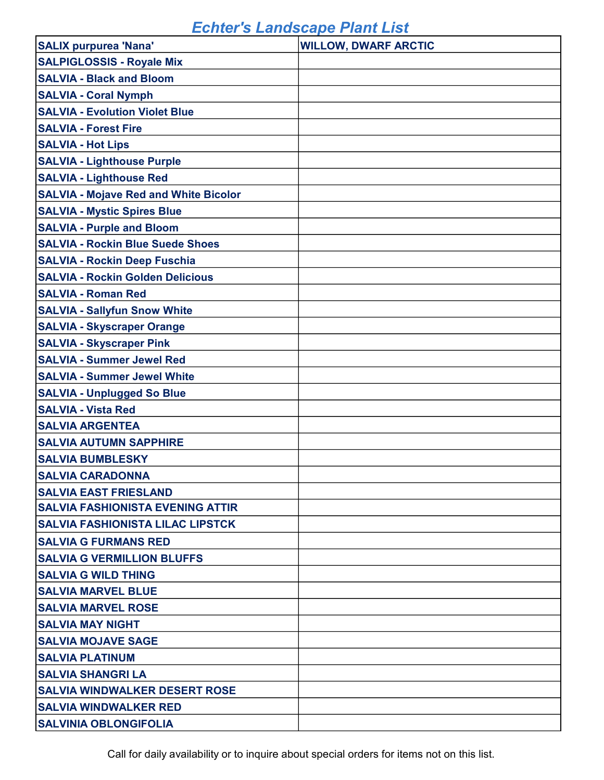| <b>SALIX purpurea 'Nana'</b>                 | <b>WILLOW, DWARF ARCTIC</b> |
|----------------------------------------------|-----------------------------|
| <b>SALPIGLOSSIS - Royale Mix</b>             |                             |
| <b>SALVIA - Black and Bloom</b>              |                             |
| <b>SALVIA - Coral Nymph</b>                  |                             |
| <b>SALVIA - Evolution Violet Blue</b>        |                             |
| <b>SALVIA - Forest Fire</b>                  |                             |
| <b>SALVIA - Hot Lips</b>                     |                             |
| <b>SALVIA - Lighthouse Purple</b>            |                             |
| <b>SALVIA - Lighthouse Red</b>               |                             |
| <b>SALVIA - Mojave Red and White Bicolor</b> |                             |
| <b>SALVIA - Mystic Spires Blue</b>           |                             |
| <b>SALVIA - Purple and Bloom</b>             |                             |
| <b>SALVIA - Rockin Blue Suede Shoes</b>      |                             |
| <b>SALVIA - Rockin Deep Fuschia</b>          |                             |
| <b>SALVIA - Rockin Golden Delicious</b>      |                             |
| <b>SALVIA - Roman Red</b>                    |                             |
| <b>SALVIA - Sallyfun Snow White</b>          |                             |
| <b>SALVIA - Skyscraper Orange</b>            |                             |
| <b>SALVIA - Skyscraper Pink</b>              |                             |
| <b>SALVIA - Summer Jewel Red</b>             |                             |
| <b>SALVIA - Summer Jewel White</b>           |                             |
| <b>SALVIA - Unplugged So Blue</b>            |                             |
| <b>SALVIA - Vista Red</b>                    |                             |
| <b>SALVIA ARGENTEA</b>                       |                             |
| <b>SALVIA AUTUMN SAPPHIRE</b>                |                             |
| <b>SALVIA BUMBLESKY</b>                      |                             |
| <b>SALVIA CARADONNA</b>                      |                             |
| <b>SALVIA EAST FRIESLAND</b>                 |                             |
| <b>SALVIA FASHIONISTA EVENING ATTIR</b>      |                             |
| <b>SALVIA FASHIONISTA LILAC LIPSTCK</b>      |                             |
| <b>SALVIA G FURMANS RED</b>                  |                             |
| <b>SALVIA G VERMILLION BLUFFS</b>            |                             |
| <b>SALVIA G WILD THING</b>                   |                             |
| <b>SALVIA MARVEL BLUE</b>                    |                             |
| <b>SALVIA MARVEL ROSE</b>                    |                             |
| <b>SALVIA MAY NIGHT</b>                      |                             |
| <b>SALVIA MOJAVE SAGE</b>                    |                             |
| <b>SALVIA PLATINUM</b>                       |                             |
| <b>SALVIA SHANGRI LA</b>                     |                             |
| <b>SALVIA WINDWALKER DESERT ROSE</b>         |                             |
| <b>SALVIA WINDWALKER RED</b>                 |                             |
| <b>SALVINIA OBLONGIFOLIA</b>                 |                             |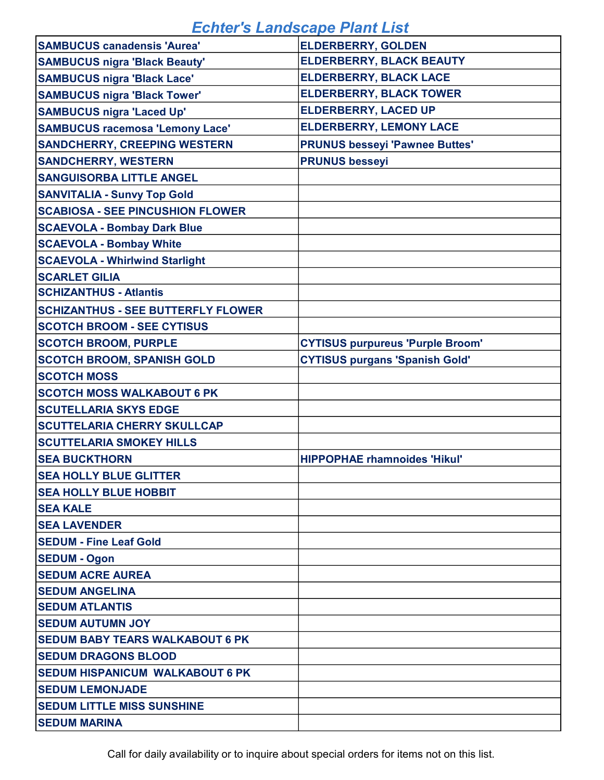| <b>SAMBUCUS canadensis 'Aurea'</b>        | <b>ELDERBERRY, GOLDEN</b>               |
|-------------------------------------------|-----------------------------------------|
| <b>SAMBUCUS nigra 'Black Beauty'</b>      | <b>ELDERBERRY, BLACK BEAUTY</b>         |
| <b>SAMBUCUS nigra 'Black Lace'</b>        | <b>ELDERBERRY, BLACK LACE</b>           |
| <b>SAMBUCUS nigra 'Black Tower'</b>       | <b>ELDERBERRY, BLACK TOWER</b>          |
| <b>SAMBUCUS nigra 'Laced Up'</b>          | <b>ELDERBERRY, LACED UP</b>             |
| <b>SAMBUCUS racemosa 'Lemony Lace'</b>    | <b>ELDERBERRY, LEMONY LACE</b>          |
| <b>SANDCHERRY, CREEPING WESTERN</b>       | <b>PRUNUS besseyi 'Pawnee Buttes'</b>   |
| <b>SANDCHERRY, WESTERN</b>                | <b>PRUNUS besseyi</b>                   |
| <b>SANGUISORBA LITTLE ANGEL</b>           |                                         |
| <b>SANVITALIA - Sunvy Top Gold</b>        |                                         |
| <b>SCABIOSA - SEE PINCUSHION FLOWER</b>   |                                         |
| <b>SCAEVOLA - Bombay Dark Blue</b>        |                                         |
| <b>SCAEVOLA - Bombay White</b>            |                                         |
| <b>SCAEVOLA - Whirlwind Starlight</b>     |                                         |
| <b>SCARLET GILIA</b>                      |                                         |
| <b>SCHIZANTHUS - Atlantis</b>             |                                         |
| <b>SCHIZANTHUS - SEE BUTTERFLY FLOWER</b> |                                         |
| <b>SCOTCH BROOM - SEE CYTISUS</b>         |                                         |
| <b>SCOTCH BROOM, PURPLE</b>               | <b>CYTISUS purpureus 'Purple Broom'</b> |
| <b>SCOTCH BROOM, SPANISH GOLD</b>         | <b>CYTISUS purgans 'Spanish Gold'</b>   |
| <b>SCOTCH MOSS</b>                        |                                         |
| <b>SCOTCH MOSS WALKABOUT 6 PK</b>         |                                         |
| <b>SCUTELLARIA SKYS EDGE</b>              |                                         |
| <b>SCUTTELARIA CHERRY SKULLCAP</b>        |                                         |
| <b>SCUTTELARIA SMOKEY HILLS</b>           |                                         |
| <b>SEA BUCKTHORN</b>                      | <b>HIPPOPHAE rhamnoides 'Hikul'</b>     |
| <b>SEA HOLLY BLUE GLITTER</b>             |                                         |
| <b>SEA HOLLY BLUE HOBBIT</b>              |                                         |
| <b>SEA KALE</b>                           |                                         |
| <b>SEA LAVENDER</b>                       |                                         |
| <b>SEDUM - Fine Leaf Gold</b>             |                                         |
| <b>SEDUM - Ogon</b>                       |                                         |
| <b>SEDUM ACRE AUREA</b>                   |                                         |
| <b>SEDUM ANGELINA</b>                     |                                         |
| <b>SEDUM ATLANTIS</b>                     |                                         |
| <b>SEDUM AUTUMN JOY</b>                   |                                         |
| <b>SEDUM BABY TEARS WALKABOUT 6 PK</b>    |                                         |
| <b>SEDUM DRAGONS BLOOD</b>                |                                         |
| <b>SEDUM HISPANICUM WALKABOUT 6 PK</b>    |                                         |
| <b>SEDUM LEMONJADE</b>                    |                                         |
| <b>SEDUM LITTLE MISS SUNSHINE</b>         |                                         |
| <b>SEDUM MARINA</b>                       |                                         |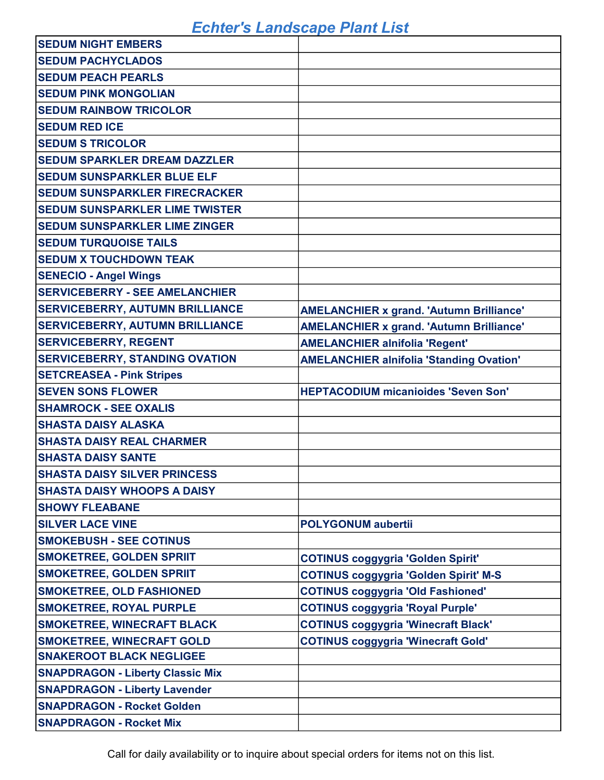| <b>SEDUM NIGHT EMBERS</b>               |                                                 |
|-----------------------------------------|-------------------------------------------------|
| <b>SEDUM PACHYCLADOS</b>                |                                                 |
| <b>SEDUM PEACH PEARLS</b>               |                                                 |
| <b>SEDUM PINK MONGOLIAN</b>             |                                                 |
| <b>SEDUM RAINBOW TRICOLOR</b>           |                                                 |
| <b>SEDUM RED ICE</b>                    |                                                 |
| <b>SEDUM S TRICOLOR</b>                 |                                                 |
| <b>SEDUM SPARKLER DREAM DAZZLER</b>     |                                                 |
| <b>SEDUM SUNSPARKLER BLUE ELF</b>       |                                                 |
| <b>SEDUM SUNSPARKLER FIRECRACKER</b>    |                                                 |
| <b>SEDUM SUNSPARKLER LIME TWISTER</b>   |                                                 |
| <b>SEDUM SUNSPARKLER LIME ZINGER</b>    |                                                 |
| <b>SEDUM TURQUOISE TAILS</b>            |                                                 |
| <b>SEDUM X TOUCHDOWN TEAK</b>           |                                                 |
| <b>SENECIO - Angel Wings</b>            |                                                 |
| <b>SERVICEBERRY - SEE AMELANCHIER</b>   |                                                 |
| <b>SERVICEBERRY, AUTUMN BRILLIANCE</b>  | <b>AMELANCHIER x grand. 'Autumn Brilliance'</b> |
| <b>SERVICEBERRY, AUTUMN BRILLIANCE</b>  | <b>AMELANCHIER x grand. 'Autumn Brilliance'</b> |
| <b>SERVICEBERRY, REGENT</b>             | <b>AMELANCHIER alnifolia 'Regent'</b>           |
| <b>SERVICEBERRY, STANDING OVATION</b>   | <b>AMELANCHIER alnifolia 'Standing Ovation'</b> |
| <b>SETCREASEA - Pink Stripes</b>        |                                                 |
| <b>SEVEN SONS FLOWER</b>                | <b>HEPTACODIUM micanioides 'Seven Son'</b>      |
| <b>SHAMROCK - SEE OXALIS</b>            |                                                 |
| <b>SHASTA DAISY ALASKA</b>              |                                                 |
| <b>SHASTA DAISY REAL CHARMER</b>        |                                                 |
| <b>SHASTA DAISY SANTE</b>               |                                                 |
| <b>SHASTA DAISY SILVER PRINCESS</b>     |                                                 |
| <b>SHASTA DAISY WHOOPS A DAISY</b>      |                                                 |
| <b>SHOWY FLEABANE</b>                   |                                                 |
| <b>SILVER LACE VINE</b>                 | <b>POLYGONUM</b> aubertii                       |
| <b>SMOKEBUSH - SEE COTINUS</b>          |                                                 |
| <b>SMOKETREE, GOLDEN SPRIIT</b>         | <b>COTINUS coggygria 'Golden Spirit'</b>        |
| <b>SMOKETREE, GOLDEN SPRIIT</b>         | <b>COTINUS coggygria 'Golden Spirit' M-S</b>    |
| <b>SMOKETREE, OLD FASHIONED</b>         | <b>COTINUS coggygria 'Old Fashioned'</b>        |
| <b>SMOKETREE, ROYAL PURPLE</b>          | <b>COTINUS coggygria 'Royal Purple'</b>         |
| <b>SMOKETREE, WINECRAFT BLACK</b>       | <b>COTINUS coggygria 'Winecraft Black'</b>      |
| <b>SMOKETREE, WINECRAFT GOLD</b>        | <b>COTINUS coggygria 'Winecraft Gold'</b>       |
| <b>SNAKEROOT BLACK NEGLIGEE</b>         |                                                 |
| <b>SNAPDRAGON - Liberty Classic Mix</b> |                                                 |
| <b>SNAPDRAGON - Liberty Lavender</b>    |                                                 |
| <b>SNAPDRAGON - Rocket Golden</b>       |                                                 |
| <b>SNAPDRAGON - Rocket Mix</b>          |                                                 |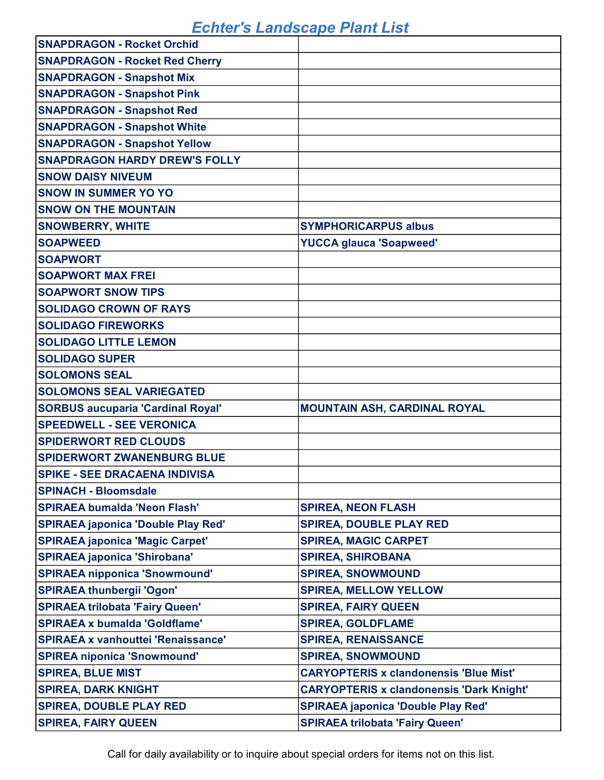| <b>SNAPDRAGON - Rocket Orchid</b>         |                                                 |
|-------------------------------------------|-------------------------------------------------|
| <b>SNAPDRAGON - Rocket Red Cherry</b>     |                                                 |
| <b>SNAPDRAGON - Snapshot Mix</b>          |                                                 |
| <b>SNAPDRAGON - Snapshot Pink</b>         |                                                 |
| <b>SNAPDRAGON - Snapshot Red</b>          |                                                 |
| <b>SNAPDRAGON - Snapshot White</b>        |                                                 |
| <b>SNAPDRAGON - Snapshot Yellow</b>       |                                                 |
| <b>SNAPDRAGON HARDY DREW'S FOLLY</b>      |                                                 |
| <b>SNOW DAISY NIVEUM</b>                  |                                                 |
| <b>SNOW IN SUMMER YO YO</b>               |                                                 |
| <b>SNOW ON THE MOUNTAIN</b>               |                                                 |
| <b>SNOWBERRY, WHITE</b>                   | <b>SYMPHORICARPUS albus</b>                     |
| <b>SOAPWEED</b>                           | <b>YUCCA glauca 'Soapweed'</b>                  |
| <b>SOAPWORT</b>                           |                                                 |
| <b>SOAPWORT MAX FREI</b>                  |                                                 |
| <b>SOAPWORT SNOW TIPS</b>                 |                                                 |
| <b>SOLIDAGO CROWN OF RAYS</b>             |                                                 |
| <b>SOLIDAGO FIREWORKS</b>                 |                                                 |
| <b>SOLIDAGO LITTLE LEMON</b>              |                                                 |
| <b>SOLIDAGO SUPER</b>                     |                                                 |
| <b>SOLOMONS SEAL</b>                      |                                                 |
| <b>SOLOMONS SEAL VARIEGATED</b>           |                                                 |
| <b>SORBUS aucuparia 'Cardinal Royal'</b>  | <b>MOUNTAIN ASH, CARDINAL ROYAL</b>             |
| <b>SPEEDWELL - SEE VERONICA</b>           |                                                 |
| <b>SPIDERWORT RED CLOUDS</b>              |                                                 |
| <b>SPIDERWORT ZWANENBURG BLUE</b>         |                                                 |
| <b>SPIKE - SEE DRACAENA INDIVISA</b>      |                                                 |
| <b>SPINACH - Bloomsdale</b>               |                                                 |
| <b>SPIRAEA bumalda 'Neon Flash'</b>       | <b>SPIREA, NEON FLASH</b>                       |
| <b>SPIRAEA japonica 'Double Play Red'</b> | <b>SPIREA, DOUBLE PLAY RED</b>                  |
| <b>SPIRAEA japonica 'Magic Carpet'</b>    | <b>SPIREA, MAGIC CARPET</b>                     |
| <b>SPIRAEA japonica 'Shirobana'</b>       | <b>SPIREA, SHIROBANA</b>                        |
| <b>SPIRAEA nipponica 'Snowmound'</b>      | <b>SPIREA, SNOWMOUND</b>                        |
| <b>SPIRAEA thunbergii 'Ogon'</b>          | <b>SPIREA, MELLOW YELLOW</b>                    |
| <b>SPIRAEA trilobata 'Fairy Queen'</b>    | <b>SPIREA, FAIRY QUEEN</b>                      |
| <b>SPIRAEA x bumalda 'Goldflame'</b>      | <b>SPIREA, GOLDFLAME</b>                        |
| <b>SPIRAEA x vanhouttei 'Renaissance'</b> | <b>SPIREA, RENAISSANCE</b>                      |
| <b>SPIREA niponica 'Snowmound'</b>        | <b>SPIREA, SNOWMOUND</b>                        |
| <b>SPIREA, BLUE MIST</b>                  | <b>CARYOPTERIS x clandonensis 'Blue Mist'</b>   |
| <b>SPIREA, DARK KNIGHT</b>                | <b>CARYOPTERIS x clandonensis 'Dark Knight'</b> |
| <b>SPIREA, DOUBLE PLAY RED</b>            | <b>SPIRAEA japonica 'Double Play Red'</b>       |
| <b>SPIREA, FAIRY QUEEN</b>                | <b>SPIRAEA trilobata 'Fairy Queen'</b>          |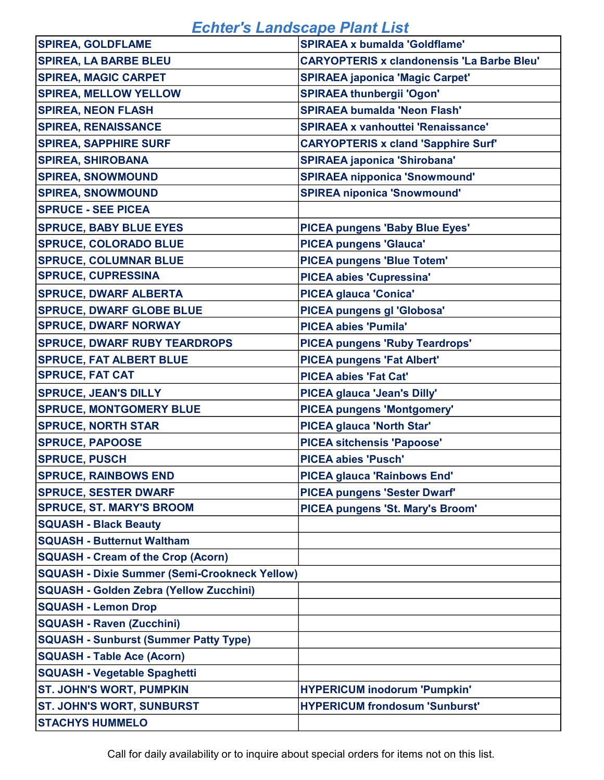| <b>SPIREA, GOLDFLAME</b>                             | <b>SPIRAEA x bumalda 'Goldflame'</b>              |
|------------------------------------------------------|---------------------------------------------------|
| <b>SPIREA, LA BARBE BLEU</b>                         | <b>CARYOPTERIS x clandonensis 'La Barbe Bleu'</b> |
| <b>SPIREA, MAGIC CARPET</b>                          | <b>SPIRAEA japonica 'Magic Carpet'</b>            |
| <b>SPIREA, MELLOW YELLOW</b>                         | <b>SPIRAEA thunbergii 'Ogon'</b>                  |
| <b>SPIREA, NEON FLASH</b>                            | <b>SPIRAEA bumalda 'Neon Flash'</b>               |
| <b>SPIREA, RENAISSANCE</b>                           | <b>SPIRAEA x vanhouttei 'Renaissance'</b>         |
| <b>SPIREA, SAPPHIRE SURF</b>                         | <b>CARYOPTERIS x cland 'Sapphire Surf'</b>        |
| <b>SPIREA, SHIROBANA</b>                             | <b>SPIRAEA japonica 'Shirobana'</b>               |
| <b>SPIREA, SNOWMOUND</b>                             | <b>SPIRAEA nipponica 'Snowmound'</b>              |
| <b>SPIREA, SNOWMOUND</b>                             | <b>SPIREA niponica 'Snowmound'</b>                |
| <b>SPRUCE - SEE PICEA</b>                            |                                                   |
| <b>SPRUCE, BABY BLUE EYES</b>                        | <b>PICEA pungens 'Baby Blue Eyes'</b>             |
| <b>SPRUCE, COLORADO BLUE</b>                         | <b>PICEA pungens 'Glauca'</b>                     |
| <b>SPRUCE, COLUMNAR BLUE</b>                         | <b>PICEA pungens 'Blue Totem'</b>                 |
| <b>SPRUCE, CUPRESSINA</b>                            | <b>PICEA abies 'Cupressina'</b>                   |
| <b>SPRUCE, DWARF ALBERTA</b>                         | <b>PICEA glauca 'Conica'</b>                      |
| <b>SPRUCE, DWARF GLOBE BLUE</b>                      | PICEA pungens gl 'Globosa'                        |
| <b>SPRUCE, DWARF NORWAY</b>                          | <b>PICEA abies 'Pumila'</b>                       |
| <b>SPRUCE, DWARF RUBY TEARDROPS</b>                  | <b>PICEA pungens 'Ruby Teardrops'</b>             |
| <b>SPRUCE, FAT ALBERT BLUE</b>                       | <b>PICEA pungens 'Fat Albert'</b>                 |
| <b>SPRUCE, FAT CAT</b>                               | <b>PICEA abies 'Fat Cat'</b>                      |
| <b>SPRUCE, JEAN'S DILLY</b>                          | PICEA glauca 'Jean's Dilly'                       |
| <b>SPRUCE, MONTGOMERY BLUE</b>                       | <b>PICEA pungens 'Montgomery'</b>                 |
| <b>SPRUCE, NORTH STAR</b>                            | <b>PICEA glauca 'North Star'</b>                  |
| <b>SPRUCE, PAPOOSE</b>                               | <b>PICEA sitchensis 'Papoose'</b>                 |
| <b>SPRUCE, PUSCH</b>                                 | <b>PICEA abies 'Pusch'</b>                        |
| <b>SPRUCE, RAINBOWS END</b>                          | <b>PICEA glauca 'Rainbows End'</b>                |
| <b>SPRUCE, SESTER DWARF</b>                          | <b>PICEA pungens 'Sester Dwarf'</b>               |
| <b>SPRUCE, ST. MARY'S BROOM</b>                      | PICEA pungens 'St. Mary's Broom'                  |
| <b>SQUASH - Black Beauty</b>                         |                                                   |
| <b>SQUASH - Butternut Waltham</b>                    |                                                   |
| <b>SQUASH - Cream of the Crop (Acorn)</b>            |                                                   |
| <b>SQUASH - Dixie Summer (Semi-Crookneck Yellow)</b> |                                                   |
| <b>SQUASH - Golden Zebra (Yellow Zucchini)</b>       |                                                   |
| <b>SQUASH - Lemon Drop</b>                           |                                                   |
| <b>SQUASH - Raven (Zucchini)</b>                     |                                                   |
| <b>SQUASH - Sunburst (Summer Patty Type)</b>         |                                                   |
| <b>SQUASH - Table Ace (Acorn)</b>                    |                                                   |
| <b>SQUASH - Vegetable Spaghetti</b>                  |                                                   |
| <b>ST. JOHN'S WORT, PUMPKIN</b>                      | <b>HYPERICUM inodorum 'Pumpkin'</b>               |
| <b>ST. JOHN'S WORT, SUNBURST</b>                     | <b>HYPERICUM frondosum 'Sunburst'</b>             |
| <b>STACHYS HUMMELO</b>                               |                                                   |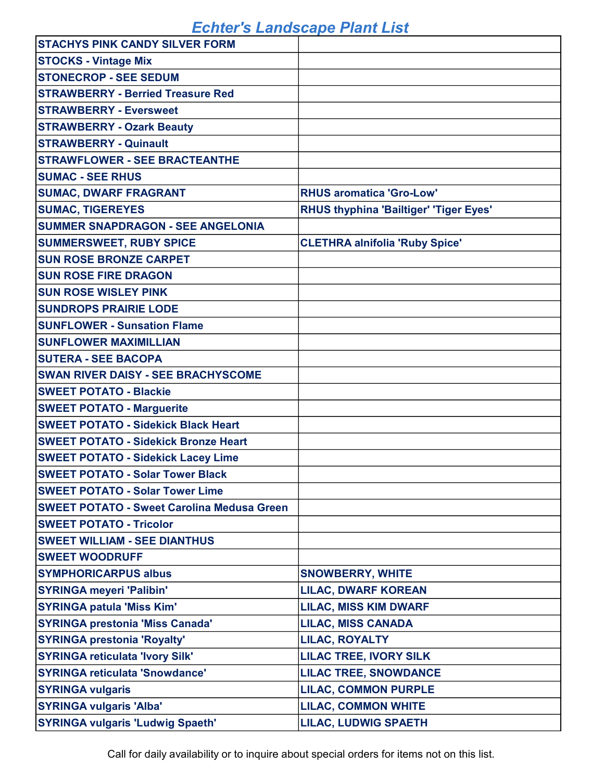| <b>STACHYS PINK CANDY SILVER FORM</b>             |                                               |
|---------------------------------------------------|-----------------------------------------------|
| <b>STOCKS - Vintage Mix</b>                       |                                               |
| <b>STONECROP - SEE SEDUM</b>                      |                                               |
| <b>STRAWBERRY - Berried Treasure Red</b>          |                                               |
| <b>STRAWBERRY - Eversweet</b>                     |                                               |
| <b>STRAWBERRY - Ozark Beauty</b>                  |                                               |
| <b>STRAWBERRY - Quinault</b>                      |                                               |
| <b>STRAWFLOWER - SEE BRACTEANTHE</b>              |                                               |
| <b>SUMAC - SEE RHUS</b>                           |                                               |
| <b>SUMAC, DWARF FRAGRANT</b>                      | <b>RHUS aromatica 'Gro-Low'</b>               |
| <b>SUMAC, TIGEREYES</b>                           | <b>RHUS thyphina 'Bailtiger' 'Tiger Eyes'</b> |
| <b>SUMMER SNAPDRAGON - SEE ANGELONIA</b>          |                                               |
| <b>SUMMERSWEET, RUBY SPICE</b>                    | <b>CLETHRA alnifolia 'Ruby Spice'</b>         |
| <b>SUN ROSE BRONZE CARPET</b>                     |                                               |
| <b>SUN ROSE FIRE DRAGON</b>                       |                                               |
| <b>SUN ROSE WISLEY PINK</b>                       |                                               |
| <b>SUNDROPS PRAIRIE LODE</b>                      |                                               |
| <b>SUNFLOWER - Sunsation Flame</b>                |                                               |
| <b>SUNFLOWER MAXIMILLIAN</b>                      |                                               |
| <b>SUTERA - SEE BACOPA</b>                        |                                               |
| <b>SWAN RIVER DAISY - SEE BRACHYSCOME</b>         |                                               |
| <b>SWEET POTATO - Blackie</b>                     |                                               |
| <b>SWEET POTATO - Marguerite</b>                  |                                               |
| <b>SWEET POTATO - Sidekick Black Heart</b>        |                                               |
| <b>SWEET POTATO - Sidekick Bronze Heart</b>       |                                               |
| <b>SWEET POTATO - Sidekick Lacey Lime</b>         |                                               |
| <b>SWEET POTATO - Solar Tower Black</b>           |                                               |
| <b>SWEET POTATO - Solar Tower Lime</b>            |                                               |
| <b>SWEET POTATO - Sweet Carolina Medusa Green</b> |                                               |
| <b>SWEET POTATO - Tricolor</b>                    |                                               |
| <b>SWEET WILLIAM - SEE DIANTHUS</b>               |                                               |
| <b>SWEET WOODRUFF</b>                             |                                               |
| <b>SYMPHORICARPUS albus</b>                       | <b>SNOWBERRY, WHITE</b>                       |
| <b>SYRINGA meyeri 'Palibin'</b>                   | <b>LILAC, DWARF KOREAN</b>                    |
| <b>SYRINGA patula 'Miss Kim'</b>                  | <b>LILAC, MISS KIM DWARF</b>                  |
| <b>SYRINGA prestonia 'Miss Canada'</b>            | <b>LILAC, MISS CANADA</b>                     |
| <b>SYRINGA prestonia 'Royalty'</b>                | <b>LILAC, ROYALTY</b>                         |
| <b>SYRINGA reticulata 'Ivory Silk'</b>            | <b>LILAC TREE, IVORY SILK</b>                 |
| <b>SYRINGA reticulata 'Snowdance'</b>             | <b>LILAC TREE, SNOWDANCE</b>                  |
| <b>SYRINGA vulgaris</b>                           | <b>LILAC, COMMON PURPLE</b>                   |
| <b>SYRINGA vulgaris 'Alba'</b>                    | <b>LILAC, COMMON WHITE</b>                    |
| <b>SYRINGA vulgaris 'Ludwig Spaeth'</b>           | <b>LILAC, LUDWIG SPAETH</b>                   |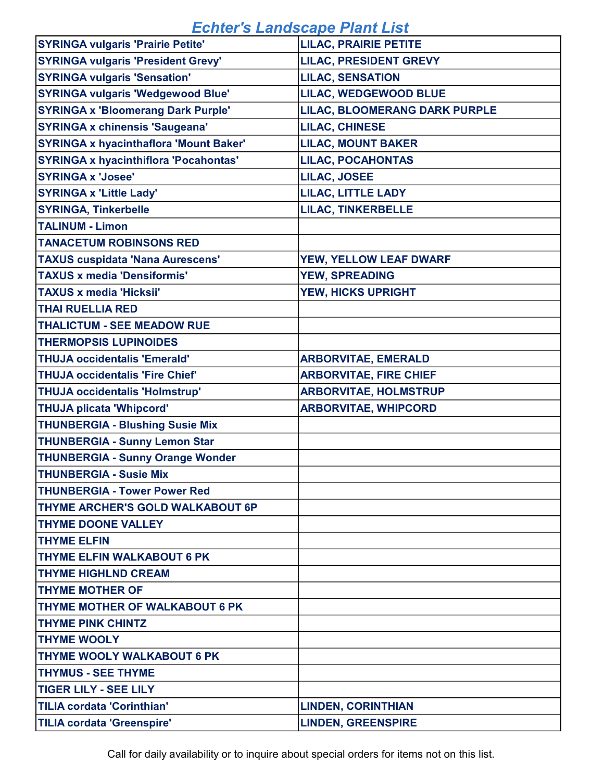| <b>SYRINGA vulgaris 'Prairie Petite'</b>      | <b>LILAC, PRAIRIE PETITE</b>         |
|-----------------------------------------------|--------------------------------------|
| <b>SYRINGA vulgaris 'President Grevy'</b>     | <b>LILAC, PRESIDENT GREVY</b>        |
| <b>SYRINGA vulgaris 'Sensation'</b>           | <b>LILAC, SENSATION</b>              |
| <b>SYRINGA vulgaris 'Wedgewood Blue'</b>      | LILAC, WEDGEWOOD BLUE                |
| <b>SYRINGA x 'Bloomerang Dark Purple'</b>     | <b>LILAC, BLOOMERANG DARK PURPLE</b> |
| <b>SYRINGA x chinensis 'Saugeana'</b>         | <b>LILAC, CHINESE</b>                |
| <b>SYRINGA x hyacinthaflora 'Mount Baker'</b> | <b>LILAC, MOUNT BAKER</b>            |
| <b>SYRINGA x hyacinthiflora 'Pocahontas'</b>  | <b>LILAC, POCAHONTAS</b>             |
| <b>SYRINGA x 'Josee'</b>                      | <b>LILAC, JOSEE</b>                  |
| <b>SYRINGA x 'Little Lady'</b>                | <b>LILAC, LITTLE LADY</b>            |
| <b>SYRINGA, Tinkerbelle</b>                   | <b>LILAC, TINKERBELLE</b>            |
| <b>TALINUM - Limon</b>                        |                                      |
| <b>TANACETUM ROBINSONS RED</b>                |                                      |
| <b>TAXUS cuspidata 'Nana Aurescens'</b>       | YEW, YELLOW LEAF DWARF               |
| <b>TAXUS x media 'Densiformis'</b>            | <b>YEW, SPREADING</b>                |
| <b>TAXUS x media 'Hicksii'</b>                | YEW, HICKS UPRIGHT                   |
| <b>THAI RUELLIA RED</b>                       |                                      |
| <b>THALICTUM - SEE MEADOW RUE</b>             |                                      |
| <b>THERMOPSIS LUPINOIDES</b>                  |                                      |
| <b>THUJA occidentalis 'Emerald'</b>           | <b>ARBORVITAE, EMERALD</b>           |
| <b>THUJA occidentalis 'Fire Chief'</b>        | <b>ARBORVITAE, FIRE CHIEF</b>        |
| <b>THUJA occidentalis 'Holmstrup'</b>         | <b>ARBORVITAE, HOLMSTRUP</b>         |
| <b>THUJA plicata 'Whipcord'</b>               | <b>ARBORVITAE, WHIPCORD</b>          |
| <b>THUNBERGIA - Blushing Susie Mix</b>        |                                      |
| <b>THUNBERGIA - Sunny Lemon Star</b>          |                                      |
| <b>THUNBERGIA - Sunny Orange Wonder</b>       |                                      |
| <b>THUNBERGIA - Susie Mix</b>                 |                                      |
| <b>THUNBERGIA - Tower Power Red</b>           |                                      |
| THYME ARCHER'S GOLD WALKABOUT 6P              |                                      |
| <b>THYME DOONE VALLEY</b>                     |                                      |
| <b>THYME ELFIN</b>                            |                                      |
| <b>THYME ELFIN WALKABOUT 6 PK</b>             |                                      |
| <b>THYME HIGHLND CREAM</b>                    |                                      |
| <b>THYME MOTHER OF</b>                        |                                      |
| THYME MOTHER OF WALKABOUT 6 PK                |                                      |
| <b>THYME PINK CHINTZ</b>                      |                                      |
| <b>THYME WOOLY</b>                            |                                      |
| <b>THYME WOOLY WALKABOUT 6 PK</b>             |                                      |
| <b>THYMUS - SEE THYME</b>                     |                                      |
| <b>TIGER LILY - SEE LILY</b>                  |                                      |
| <b>TILIA cordata 'Corinthian'</b>             | <b>LINDEN, CORINTHIAN</b>            |
| <b>TILIA cordata 'Greenspire'</b>             | <b>LINDEN, GREENSPIRE</b>            |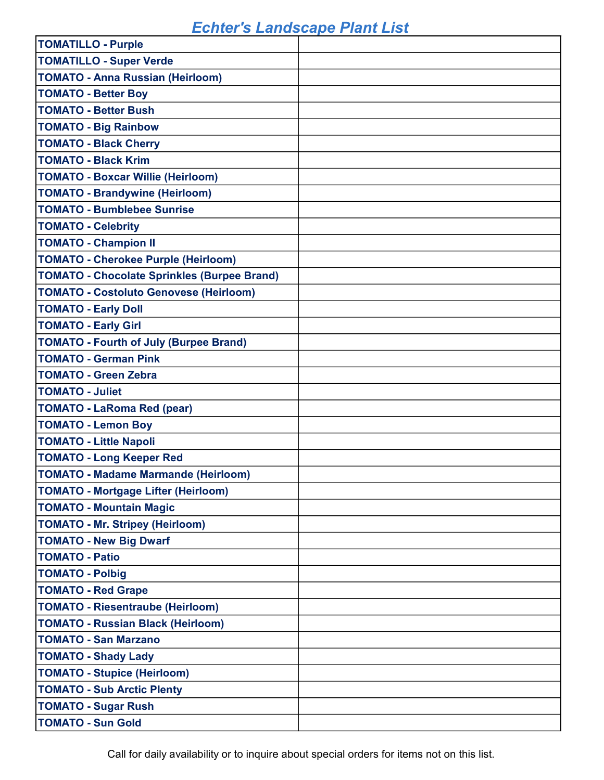| <b>TOMATILLO - Purple</b>                          |  |
|----------------------------------------------------|--|
| <b>TOMATILLO - Super Verde</b>                     |  |
| <b>TOMATO - Anna Russian (Heirloom)</b>            |  |
| <b>TOMATO - Better Boy</b>                         |  |
| <b>TOMATO - Better Bush</b>                        |  |
| <b>TOMATO - Big Rainbow</b>                        |  |
| <b>TOMATO - Black Cherry</b>                       |  |
| <b>TOMATO - Black Krim</b>                         |  |
| <b>TOMATO - Boxcar Willie (Heirloom)</b>           |  |
| <b>TOMATO - Brandywine (Heirloom)</b>              |  |
| <b>TOMATO - Bumblebee Sunrise</b>                  |  |
| <b>TOMATO - Celebrity</b>                          |  |
| <b>TOMATO - Champion II</b>                        |  |
| <b>TOMATO - Cherokee Purple (Heirloom)</b>         |  |
| <b>TOMATO - Chocolate Sprinkles (Burpee Brand)</b> |  |
| <b>TOMATO - Costoluto Genovese (Heirloom)</b>      |  |
| <b>TOMATO - Early Doll</b>                         |  |
| <b>TOMATO - Early Girl</b>                         |  |
| <b>TOMATO - Fourth of July (Burpee Brand)</b>      |  |
| <b>TOMATO - German Pink</b>                        |  |
| <b>TOMATO - Green Zebra</b>                        |  |
| <b>TOMATO - Juliet</b>                             |  |
| <b>TOMATO - LaRoma Red (pear)</b>                  |  |
| <b>TOMATO - Lemon Boy</b>                          |  |
| <b>TOMATO - Little Napoli</b>                      |  |
| <b>TOMATO - Long Keeper Red</b>                    |  |
| TOMATO - Madame Marmande (Heirloom)                |  |
| <b>TOMATO - Mortgage Lifter (Heirloom)</b>         |  |
| <b>TOMATO - Mountain Magic</b>                     |  |
| <b>TOMATO - Mr. Stripey (Heirloom)</b>             |  |
| <b>TOMATO - New Big Dwarf</b>                      |  |
| <b>TOMATO - Patio</b>                              |  |
| <b>TOMATO - Polbig</b>                             |  |
| <b>TOMATO - Red Grape</b>                          |  |
| <b>TOMATO - Riesentraube (Heirloom)</b>            |  |
| <b>TOMATO - Russian Black (Heirloom)</b>           |  |
| <b>TOMATO - San Marzano</b>                        |  |
| <b>TOMATO - Shady Lady</b>                         |  |
| <b>TOMATO - Stupice (Heirloom)</b>                 |  |
| <b>TOMATO - Sub Arctic Plenty</b>                  |  |
| <b>TOMATO - Sugar Rush</b>                         |  |
| <b>TOMATO - Sun Gold</b>                           |  |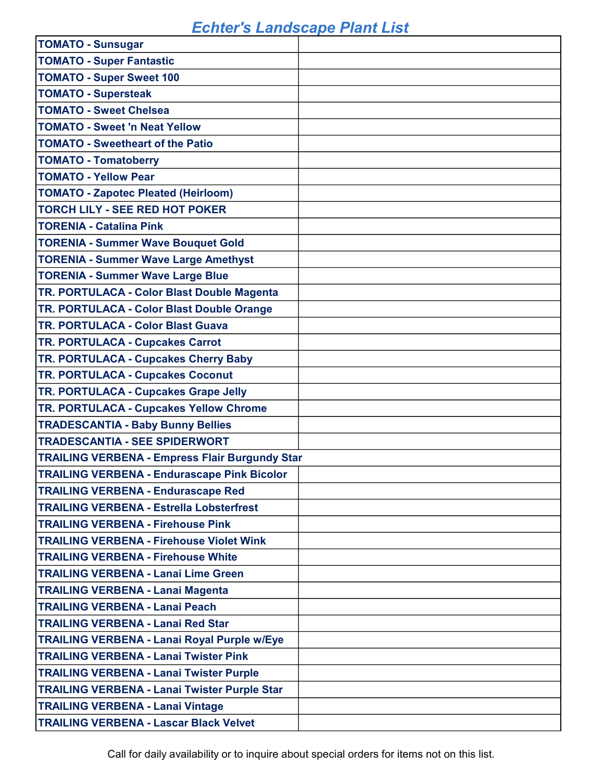| <b>TOMATO - Sunsugar</b>                              |  |
|-------------------------------------------------------|--|
| <b>TOMATO - Super Fantastic</b>                       |  |
| <b>TOMATO - Super Sweet 100</b>                       |  |
| <b>TOMATO - Supersteak</b>                            |  |
| <b>TOMATO - Sweet Chelsea</b>                         |  |
| <b>TOMATO - Sweet 'n Neat Yellow</b>                  |  |
| <b>TOMATO - Sweetheart of the Patio</b>               |  |
| <b>TOMATO - Tomatoberry</b>                           |  |
| <b>TOMATO - Yellow Pear</b>                           |  |
| <b>TOMATO - Zapotec Pleated (Heirloom)</b>            |  |
| <b>TORCH LILY - SEE RED HOT POKER</b>                 |  |
| <b>TORENIA - Catalina Pink</b>                        |  |
| <b>TORENIA - Summer Wave Bouquet Gold</b>             |  |
| <b>TORENIA - Summer Wave Large Amethyst</b>           |  |
| <b>TORENIA - Summer Wave Large Blue</b>               |  |
| TR. PORTULACA - Color Blast Double Magenta            |  |
| TR. PORTULACA - Color Blast Double Orange             |  |
| <b>TR. PORTULACA - Color Blast Guava</b>              |  |
| TR. PORTULACA - Cupcakes Carrot                       |  |
| TR. PORTULACA - Cupcakes Cherry Baby                  |  |
| TR. PORTULACA - Cupcakes Coconut                      |  |
|                                                       |  |
| TR. PORTULACA - Cupcakes Grape Jelly                  |  |
| TR. PORTULACA - Cupcakes Yellow Chrome                |  |
| <b>TRADESCANTIA - Baby Bunny Bellies</b>              |  |
| <b>TRADESCANTIA - SEE SPIDERWORT</b>                  |  |
| <b>TRAILING VERBENA - Empress Flair Burgundy Star</b> |  |
| <b>TRAILING VERBENA - Endurascape Pink Bicolor</b>    |  |
| <b>TRAILING VERBENA - Endurascape Red</b>             |  |
| <b>TRAILING VERBENA - Estrella Lobsterfrest</b>       |  |
| <b>TRAILING VERBENA - Firehouse Pink</b>              |  |
| <b>TRAILING VERBENA - Firehouse Violet Wink</b>       |  |
| <b>TRAILING VERBENA - Firehouse White</b>             |  |
| <b>TRAILING VERBENA - Lanai Lime Green</b>            |  |
| <b>TRAILING VERBENA - Lanai Magenta</b>               |  |
| <b>TRAILING VERBENA - Lanai Peach</b>                 |  |
| <b>TRAILING VERBENA - Lanai Red Star</b>              |  |
| <b>TRAILING VERBENA - Lanai Royal Purple w/Eye</b>    |  |
| <b>TRAILING VERBENA - Lanai Twister Pink</b>          |  |
| <b>TRAILING VERBENA - Lanai Twister Purple</b>        |  |
| <b>TRAILING VERBENA - Lanai Twister Purple Star</b>   |  |
| <b>TRAILING VERBENA - Lanai Vintage</b>               |  |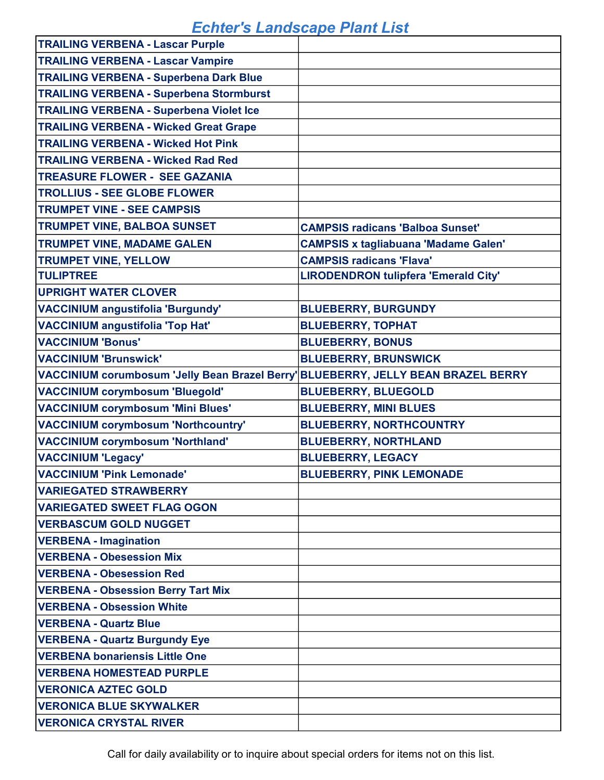| <b>TRAILING VERBENA - Lascar Purple</b>                                           |                                             |
|-----------------------------------------------------------------------------------|---------------------------------------------|
| <b>TRAILING VERBENA - Lascar Vampire</b>                                          |                                             |
| <b>TRAILING VERBENA - Superbena Dark Blue</b>                                     |                                             |
| <b>TRAILING VERBENA - Superbena Stormburst</b>                                    |                                             |
| <b>TRAILING VERBENA - Superbena Violet Ice</b>                                    |                                             |
| <b>TRAILING VERBENA - Wicked Great Grape</b>                                      |                                             |
| <b>TRAILING VERBENA - Wicked Hot Pink</b>                                         |                                             |
| <b>TRAILING VERBENA - Wicked Rad Red</b>                                          |                                             |
| <b>TREASURE FLOWER - SEE GAZANIA</b>                                              |                                             |
| <b>TROLLIUS - SEE GLOBE FLOWER</b>                                                |                                             |
| <b>TRUMPET VINE - SEE CAMPSIS</b>                                                 |                                             |
| <b>TRUMPET VINE, BALBOA SUNSET</b>                                                | <b>CAMPSIS radicans 'Balboa Sunset'</b>     |
| <b>TRUMPET VINE, MADAME GALEN</b>                                                 | <b>CAMPSIS x tagliabuana 'Madame Galen'</b> |
| <b>TRUMPET VINE, YELLOW</b>                                                       | <b>CAMPSIS radicans 'Flava'</b>             |
| <b>TULIPTREE</b>                                                                  | <b>LIRODENDRON tulipfera 'Emerald City'</b> |
| <b>UPRIGHT WATER CLOVER</b>                                                       |                                             |
| <b>VACCINIUM angustifolia 'Burgundy'</b>                                          | <b>BLUEBERRY, BURGUNDY</b>                  |
| <b>VACCINIUM angustifolia 'Top Hat'</b>                                           | <b>BLUEBERRY, TOPHAT</b>                    |
| <b>VACCINIUM 'Bonus'</b>                                                          | <b>BLUEBERRY, BONUS</b>                     |
| <b>VACCINIUM 'Brunswick'</b>                                                      | <b>BLUEBERRY, BRUNSWICK</b>                 |
| VACCINIUM corumbosum 'Jelly Bean Brazel Berry' BLUEBERRY, JELLY BEAN BRAZEL BERRY |                                             |
| <b>VACCINIUM corymbosum 'Bluegold'</b>                                            | <b>BLUEBERRY, BLUEGOLD</b>                  |
| <b>VACCINIUM corymbosum 'Mini Blues'</b>                                          | <b>BLUEBERRY, MINI BLUES</b>                |
| <b>VACCINIUM corymbosum 'Northcountry'</b>                                        | <b>BLUEBERRY, NORTHCOUNTRY</b>              |
| <b>VACCINIUM corymbosum 'Northland'</b>                                           | <b>BLUEBERRY, NORTHLAND</b>                 |
| <b>VACCINIUM 'Legacy'</b>                                                         | <b>BLUEBERRY, LEGACY</b>                    |
| <b>VACCINIUM 'Pink Lemonade'</b>                                                  | <b>BLUEBERRY, PINK LEMONADE</b>             |
| <b>VARIEGATED STRAWBERRY</b>                                                      |                                             |
| <b>VARIEGATED SWEET FLAG OGON</b>                                                 |                                             |
| <b>VERBASCUM GOLD NUGGET</b>                                                      |                                             |
| <b>VERBENA - Imagination</b>                                                      |                                             |
| <b>VERBENA - Obesession Mix</b>                                                   |                                             |
| <b>VERBENA - Obesession Red</b>                                                   |                                             |
| <b>VERBENA - Obsession Berry Tart Mix</b>                                         |                                             |
| <b>VERBENA - Obsession White</b>                                                  |                                             |
| <b>VERBENA - Quartz Blue</b>                                                      |                                             |
| <b>VERBENA - Quartz Burgundy Eye</b>                                              |                                             |
| <b>VERBENA bonariensis Little One</b>                                             |                                             |
| <b>VERBENA HOMESTEAD PURPLE</b>                                                   |                                             |
| <b>VERONICA AZTEC GOLD</b>                                                        |                                             |
| <b>VERONICA BLUE SKYWALKER</b>                                                    |                                             |
| <b>VERONICA CRYSTAL RIVER</b>                                                     |                                             |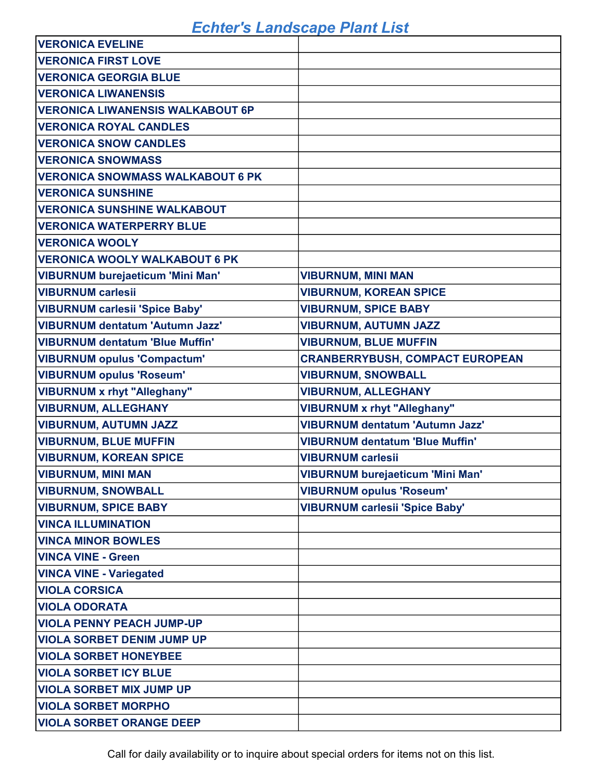| <b>VERONICA EVELINE</b>                 |                                         |
|-----------------------------------------|-----------------------------------------|
| <b>VERONICA FIRST LOVE</b>              |                                         |
| <b>VERONICA GEORGIA BLUE</b>            |                                         |
| <b>VERONICA LIWANENSIS</b>              |                                         |
| <b>VERONICA LIWANENSIS WALKABOUT 6P</b> |                                         |
| <b>VERONICA ROYAL CANDLES</b>           |                                         |
| <b>VERONICA SNOW CANDLES</b>            |                                         |
| <b>VERONICA SNOWMASS</b>                |                                         |
| <b>VERONICA SNOWMASS WALKABOUT 6 PK</b> |                                         |
| <b>VERONICA SUNSHINE</b>                |                                         |
| <b>VERONICA SUNSHINE WALKABOUT</b>      |                                         |
| <b>VERONICA WATERPERRY BLUE</b>         |                                         |
| <b>VERONICA WOOLY</b>                   |                                         |
| <b>VERONICA WOOLY WALKABOUT 6 PK</b>    |                                         |
| <b>VIBURNUM burejaeticum 'Mini Man'</b> | <b>VIBURNUM, MINI MAN</b>               |
| <b>VIBURNUM carlesii</b>                | <b>VIBURNUM, KOREAN SPICE</b>           |
| <b>VIBURNUM carlesii 'Spice Baby'</b>   | <b>VIBURNUM, SPICE BABY</b>             |
| <b>VIBURNUM dentatum 'Autumn Jazz'</b>  | <b>VIBURNUM, AUTUMN JAZZ</b>            |
| <b>VIBURNUM dentatum 'Blue Muffin'</b>  | <b>VIBURNUM, BLUE MUFFIN</b>            |
| <b>VIBURNUM opulus 'Compactum'</b>      | <b>CRANBERRYBUSH, COMPACT EUROPEAN</b>  |
| <b>VIBURNUM opulus 'Roseum'</b>         | <b>VIBURNUM, SNOWBALL</b>               |
| <b>VIBURNUM x rhyt "Alleghany"</b>      | <b>VIBURNUM, ALLEGHANY</b>              |
| <b>VIBURNUM, ALLEGHANY</b>              | <b>VIBURNUM x rhyt "Alleghany"</b>      |
| <b>VIBURNUM, AUTUMN JAZZ</b>            | <b>VIBURNUM dentatum 'Autumn Jazz'</b>  |
| <b>VIBURNUM, BLUE MUFFIN</b>            | <b>VIBURNUM dentatum 'Blue Muffin'</b>  |
| <b>VIBURNUM, KOREAN SPICE</b>           | <b>VIBURNUM carlesii</b>                |
| <b>VIBURNUM, MINI MAN</b>               | <b>VIBURNUM burejaeticum 'Mini Man'</b> |
| <b>VIBURNUM, SNOWBALL</b>               | <b>VIBURNUM opulus 'Roseum'</b>         |
| <b>VIBURNUM, SPICE BABY</b>             | <b>VIBURNUM carlesii 'Spice Baby'</b>   |
| <b>VINCA ILLUMINATION</b>               |                                         |
| <b>VINCA MINOR BOWLES</b>               |                                         |
| <b>VINCA VINE - Green</b>               |                                         |
| <b>VINCA VINE - Variegated</b>          |                                         |
| <b>VIOLA CORSICA</b>                    |                                         |
| <b>VIOLA ODORATA</b>                    |                                         |
| <b>VIOLA PENNY PEACH JUMP-UP</b>        |                                         |
| <b>VIOLA SORBET DENIM JUMP UP</b>       |                                         |
| <b>VIOLA SORBET HONEYBEE</b>            |                                         |
| <b>VIOLA SORBET ICY BLUE</b>            |                                         |
| <b>VIOLA SORBET MIX JUMP UP</b>         |                                         |
| <b>VIOLA SORBET MORPHO</b>              |                                         |
| <b>VIOLA SORBET ORANGE DEEP</b>         |                                         |

Call for daily availability or to inquire about special orders for items not on this list.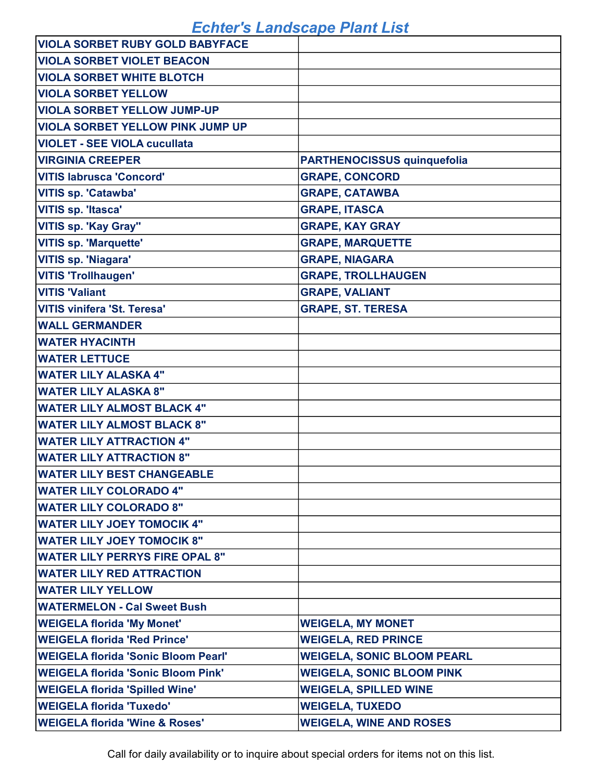| <b>VIOLA SORBET RUBY GOLD BABYFACE</b>     |                                    |
|--------------------------------------------|------------------------------------|
| <b>VIOLA SORBET VIOLET BEACON</b>          |                                    |
| <b>VIOLA SORBET WHITE BLOTCH</b>           |                                    |
| <b>VIOLA SORBET YELLOW</b>                 |                                    |
| <b>VIOLA SORBET YELLOW JUMP-UP</b>         |                                    |
| <b>VIOLA SORBET YELLOW PINK JUMP UP</b>    |                                    |
| <b>VIOLET - SEE VIOLA cucullata</b>        |                                    |
| <b>VIRGINIA CREEPER</b>                    | <b>PARTHENOCISSUS quinquefolia</b> |
| <b>VITIS labrusca 'Concord'</b>            | <b>GRAPE, CONCORD</b>              |
| <b>VITIS sp. 'Catawba'</b>                 | <b>GRAPE, CATAWBA</b>              |
| <b>VITIS sp. 'Itasca'</b>                  | <b>GRAPE, ITASCA</b>               |
| <b>VITIS sp. 'Kay Gray"</b>                | <b>GRAPE, KAY GRAY</b>             |
| <b>VITIS sp. 'Marquette'</b>               | <b>GRAPE, MARQUETTE</b>            |
| <b>VITIS sp. 'Niagara'</b>                 | <b>GRAPE, NIAGARA</b>              |
| <b>VITIS 'Trollhaugen'</b>                 | <b>GRAPE, TROLLHAUGEN</b>          |
| <b>VITIS 'Valiant</b>                      | <b>GRAPE, VALIANT</b>              |
| <b>VITIS vinifera 'St. Teresa'</b>         | <b>GRAPE, ST. TERESA</b>           |
| <b>WALL GERMANDER</b>                      |                                    |
| <b>WATER HYACINTH</b>                      |                                    |
| <b>WATER LETTUCE</b>                       |                                    |
| <b>WATER LILY ALASKA 4"</b>                |                                    |
| <b>WATER LILY ALASKA 8"</b>                |                                    |
| <b>WATER LILY ALMOST BLACK 4"</b>          |                                    |
| <b>WATER LILY ALMOST BLACK 8"</b>          |                                    |
| <b>WATER LILY ATTRACTION 4"</b>            |                                    |
| <b>WATER LILY ATTRACTION 8"</b>            |                                    |
| <b>WATER LILY BEST CHANGEABLE</b>          |                                    |
| <b>WATER LILY COLORADO 4"</b>              |                                    |
| <b>WATER LILY COLORADO 8"</b>              |                                    |
| <b>WATER LILY JOEY TOMOCIK 4"</b>          |                                    |
| <b>WATER LILY JOEY TOMOCIK 8"</b>          |                                    |
| <b>WATER LILY PERRYS FIRE OPAL 8"</b>      |                                    |
| <b>WATER LILY RED ATTRACTION</b>           |                                    |
| <b>WATER LILY YELLOW</b>                   |                                    |
| <b>WATERMELON - Cal Sweet Bush</b>         |                                    |
| <b>WEIGELA florida 'My Monet'</b>          | <b>WEIGELA, MY MONET</b>           |
| <b>WEIGELA florida 'Red Prince'</b>        | <b>WEIGELA, RED PRINCE</b>         |
| <b>WEIGELA florida 'Sonic Bloom Pearl'</b> | <b>WEIGELA, SONIC BLOOM PEARL</b>  |
| <b>WEIGELA florida 'Sonic Bloom Pink'</b>  | <b>WEIGELA, SONIC BLOOM PINK</b>   |
| <b>WEIGELA florida 'Spilled Wine'</b>      | <b>WEIGELA, SPILLED WINE</b>       |
| <b>WEIGELA florida 'Tuxedo'</b>            | <b>WEIGELA, TUXEDO</b>             |
| <b>WEIGELA florida 'Wine &amp; Roses'</b>  | <b>WEIGELA, WINE AND ROSES</b>     |

Call for daily availability or to inquire about special orders for items not on this list.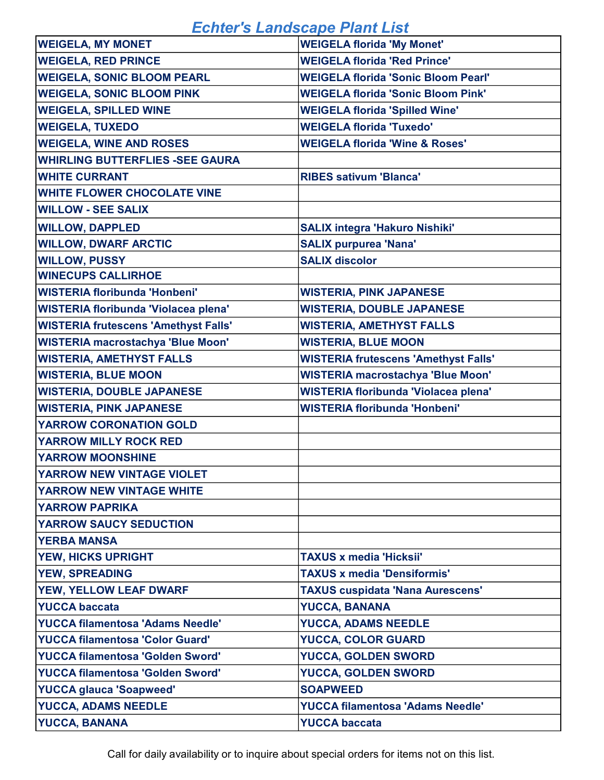| <b>WEIGELA, MY MONET</b>                    | <b>WEIGELA florida 'My Monet'</b>           |
|---------------------------------------------|---------------------------------------------|
| <b>WEIGELA, RED PRINCE</b>                  | <b>WEIGELA florida 'Red Prince'</b>         |
| <b>WEIGELA, SONIC BLOOM PEARL</b>           | <b>WEIGELA florida 'Sonic Bloom Pearl'</b>  |
| <b>WEIGELA, SONIC BLOOM PINK</b>            | <b>WEIGELA florida 'Sonic Bloom Pink'</b>   |
| <b>WEIGELA, SPILLED WINE</b>                | <b>WEIGELA florida 'Spilled Wine'</b>       |
| <b>WEIGELA, TUXEDO</b>                      | <b>WEIGELA florida 'Tuxedo'</b>             |
| <b>WEIGELA, WINE AND ROSES</b>              | <b>WEIGELA florida 'Wine &amp; Roses'</b>   |
| <b>WHIRLING BUTTERFLIES -SEE GAURA</b>      |                                             |
| <b>WHITE CURRANT</b>                        | <b>RIBES sativum 'Blanca'</b>               |
| <b>WHITE FLOWER CHOCOLATE VINE</b>          |                                             |
| <b>WILLOW - SEE SALIX</b>                   |                                             |
| <b>WILLOW, DAPPLED</b>                      | <b>SALIX integra 'Hakuro Nishiki'</b>       |
| <b>WILLOW, DWARF ARCTIC</b>                 | <b>SALIX purpurea 'Nana'</b>                |
| <b>WILLOW, PUSSY</b>                        | <b>SALIX discolor</b>                       |
| <b>WINECUPS CALLIRHOE</b>                   |                                             |
| <b>WISTERIA floribunda 'Honbeni'</b>        | <b>WISTERIA, PINK JAPANESE</b>              |
| <b>WISTERIA floribunda 'Violacea plena'</b> | <b>WISTERIA, DOUBLE JAPANESE</b>            |
| <b>WISTERIA frutescens 'Amethyst Falls'</b> | <b>WISTERIA, AMETHYST FALLS</b>             |
| <b>WISTERIA macrostachya 'Blue Moon'</b>    | <b>WISTERIA, BLUE MOON</b>                  |
| <b>WISTERIA, AMETHYST FALLS</b>             | <b>WISTERIA frutescens 'Amethyst Falls'</b> |
| <b>WISTERIA, BLUE MOON</b>                  | <b>WISTERIA macrostachya 'Blue Moon'</b>    |
| <b>WISTERIA, DOUBLE JAPANESE</b>            | WISTERIA floribunda 'Violacea plena'        |
| <b>WISTERIA, PINK JAPANESE</b>              | <b>WISTERIA floribunda 'Honbeni'</b>        |
| <b>YARROW CORONATION GOLD</b>               |                                             |
| <b>YARROW MILLY ROCK RED</b>                |                                             |
| <b>YARROW MOONSHINE</b>                     |                                             |
| YARROW NEW VINTAGE VIOLET                   |                                             |
| YARROW NEW VINTAGE WHITE                    |                                             |
| <b>YARROW PAPRIKA</b>                       |                                             |
| <b>YARROW SAUCY SEDUCTION</b>               |                                             |
| <b>YERBA MANSA</b>                          |                                             |
| <b>YEW, HICKS UPRIGHT</b>                   | <b>TAXUS x media 'Hicksii'</b>              |
| <b>YEW, SPREADING</b>                       | <b>TAXUS x media 'Densiformis'</b>          |
| <b>YEW, YELLOW LEAF DWARF</b>               | <b>TAXUS cuspidata 'Nana Aurescens'</b>     |
| <b>YUCCA baccata</b>                        | <b>YUCCA, BANANA</b>                        |
| <b>YUCCA filamentosa 'Adams Needle'</b>     | <b>YUCCA, ADAMS NEEDLE</b>                  |
| <b>YUCCA filamentosa 'Color Guard'</b>      | <b>YUCCA, COLOR GUARD</b>                   |
| <b>YUCCA filamentosa 'Golden Sword'</b>     | <b>YUCCA, GOLDEN SWORD</b>                  |
| <b>YUCCA filamentosa 'Golden Sword'</b>     | <b>YUCCA, GOLDEN SWORD</b>                  |
| <b>YUCCA glauca 'Soapweed'</b>              | <b>SOAPWEED</b>                             |
| <b>YUCCA, ADAMS NEEDLE</b>                  | <b>YUCCA filamentosa 'Adams Needle'</b>     |
| <b>YUCCA, BANANA</b>                        | <b>YUCCA baccata</b>                        |

Call for daily availability or to inquire about special orders for items not on this list.